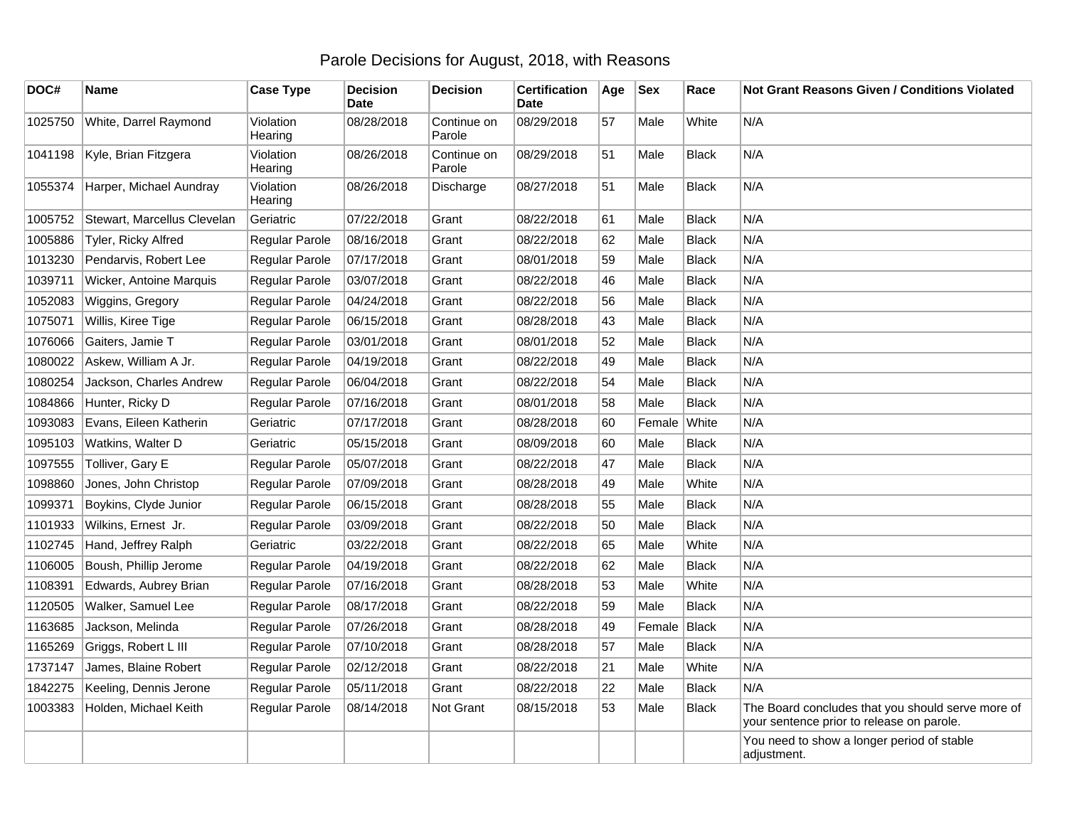## Parole Decisions for August, 2018, with Reasons

| DOC#    | <b>Name</b>                 | <b>Case Type</b>     | <b>Decision</b><br><b>Date</b> | <b>Decision</b>       | <b>Certification</b><br><b>Date</b> | Age | <b>Sex</b> | Race         | Not Grant Reasons Given / Conditions Violated                                                  |
|---------|-----------------------------|----------------------|--------------------------------|-----------------------|-------------------------------------|-----|------------|--------------|------------------------------------------------------------------------------------------------|
| 1025750 | White, Darrel Raymond       | Violation<br>Hearing | 08/28/2018                     | Continue on<br>Parole | 08/29/2018                          | 57  | Male       | White        | N/A                                                                                            |
| 1041198 | Kyle, Brian Fitzgera        | Violation<br>Hearing | 08/26/2018                     | Continue on<br>Parole | 08/29/2018                          | 51  | Male       | <b>Black</b> | N/A                                                                                            |
| 1055374 | Harper, Michael Aundray     | Violation<br>Hearing | 08/26/2018                     | Discharge             | 08/27/2018                          | 51  | Male       | <b>Black</b> | N/A                                                                                            |
| 1005752 | Stewart, Marcellus Clevelan | Geriatric            | 07/22/2018                     | Grant                 | 08/22/2018                          | 61  | Male       | <b>Black</b> | N/A                                                                                            |
| 1005886 | Tyler, Ricky Alfred         | Regular Parole       | 08/16/2018                     | Grant                 | 08/22/2018                          | 62  | Male       | <b>Black</b> | N/A                                                                                            |
| 1013230 | Pendarvis, Robert Lee       | Regular Parole       | 07/17/2018                     | Grant                 | 08/01/2018                          | 59  | Male       | <b>Black</b> | N/A                                                                                            |
| 1039711 | Wicker, Antoine Marquis     | Regular Parole       | 03/07/2018                     | Grant                 | 08/22/2018                          | 46  | Male       | <b>Black</b> | N/A                                                                                            |
| 1052083 | Wiggins, Gregory            | Regular Parole       | 04/24/2018                     | Grant                 | 08/22/2018                          | 56  | Male       | <b>Black</b> | N/A                                                                                            |
| 1075071 | Willis, Kiree Tige          | Regular Parole       | 06/15/2018                     | Grant                 | 08/28/2018                          | 43  | Male       | <b>Black</b> | N/A                                                                                            |
| 1076066 | Gaiters, Jamie T            | Regular Parole       | 03/01/2018                     | Grant                 | 08/01/2018                          | 52  | Male       | <b>Black</b> | N/A                                                                                            |
| 1080022 | Askew, William A Jr.        | Regular Parole       | 04/19/2018                     | Grant                 | 08/22/2018                          | 49  | Male       | <b>Black</b> | N/A                                                                                            |
| 1080254 | Jackson, Charles Andrew     | Regular Parole       | 06/04/2018                     | Grant                 | 08/22/2018                          | 54  | Male       | <b>Black</b> | N/A                                                                                            |
| 1084866 | Hunter, Ricky D             | Regular Parole       | 07/16/2018                     | Grant                 | 08/01/2018                          | 58  | Male       | <b>Black</b> | N/A                                                                                            |
| 1093083 | Evans, Eileen Katherin      | Geriatric            | 07/17/2018                     | Grant                 | 08/28/2018                          | 60  | Female     | White        | N/A                                                                                            |
| 1095103 | Watkins, Walter D           | Geriatric            | 05/15/2018                     | Grant                 | 08/09/2018                          | 60  | Male       | <b>Black</b> | N/A                                                                                            |
| 1097555 | Tolliver, Gary E            | Regular Parole       | 05/07/2018                     | Grant                 | 08/22/2018                          | 47  | Male       | <b>Black</b> | N/A                                                                                            |
| 1098860 | Jones, John Christop        | Regular Parole       | 07/09/2018                     | Grant                 | 08/28/2018                          | 49  | Male       | White        | N/A                                                                                            |
| 1099371 | Boykins, Clyde Junior       | Regular Parole       | 06/15/2018                     | Grant                 | 08/28/2018                          | 55  | Male       | <b>Black</b> | N/A                                                                                            |
| 1101933 | Wilkins, Ernest Jr.         | Regular Parole       | 03/09/2018                     | Grant                 | 08/22/2018                          | 50  | Male       | <b>Black</b> | N/A                                                                                            |
| 1102745 | Hand, Jeffrey Ralph         | Geriatric            | 03/22/2018                     | Grant                 | 08/22/2018                          | 65  | Male       | White        | N/A                                                                                            |
| 1106005 | Boush, Phillip Jerome       | Regular Parole       | 04/19/2018                     | Grant                 | 08/22/2018                          | 62  | Male       | <b>Black</b> | N/A                                                                                            |
| 1108391 | Edwards, Aubrey Brian       | Regular Parole       | 07/16/2018                     | Grant                 | 08/28/2018                          | 53  | Male       | White        | N/A                                                                                            |
| 1120505 | Walker, Samuel Lee          | Regular Parole       | 08/17/2018                     | Grant                 | 08/22/2018                          | 59  | Male       | <b>Black</b> | N/A                                                                                            |
| 1163685 | Jackson, Melinda            | Regular Parole       | 07/26/2018                     | Grant                 | 08/28/2018                          | 49  | Female     | Black        | N/A                                                                                            |
| 1165269 | Griggs, Robert L III        | Regular Parole       | 07/10/2018                     | Grant                 | 08/28/2018                          | 57  | Male       | <b>Black</b> | N/A                                                                                            |
| 1737147 | James, Blaine Robert        | Regular Parole       | 02/12/2018                     | Grant                 | 08/22/2018                          | 21  | Male       | White        | N/A                                                                                            |
| 1842275 | Keeling, Dennis Jerone      | Regular Parole       | 05/11/2018                     | Grant                 | 08/22/2018                          | 22  | Male       | <b>Black</b> | N/A                                                                                            |
| 1003383 | Holden, Michael Keith       | Regular Parole       | 08/14/2018                     | Not Grant             | 08/15/2018                          | 53  | Male       | <b>Black</b> | The Board concludes that you should serve more of<br>your sentence prior to release on parole. |
|         |                             |                      |                                |                       |                                     |     |            |              | You need to show a longer period of stable<br>adjustment.                                      |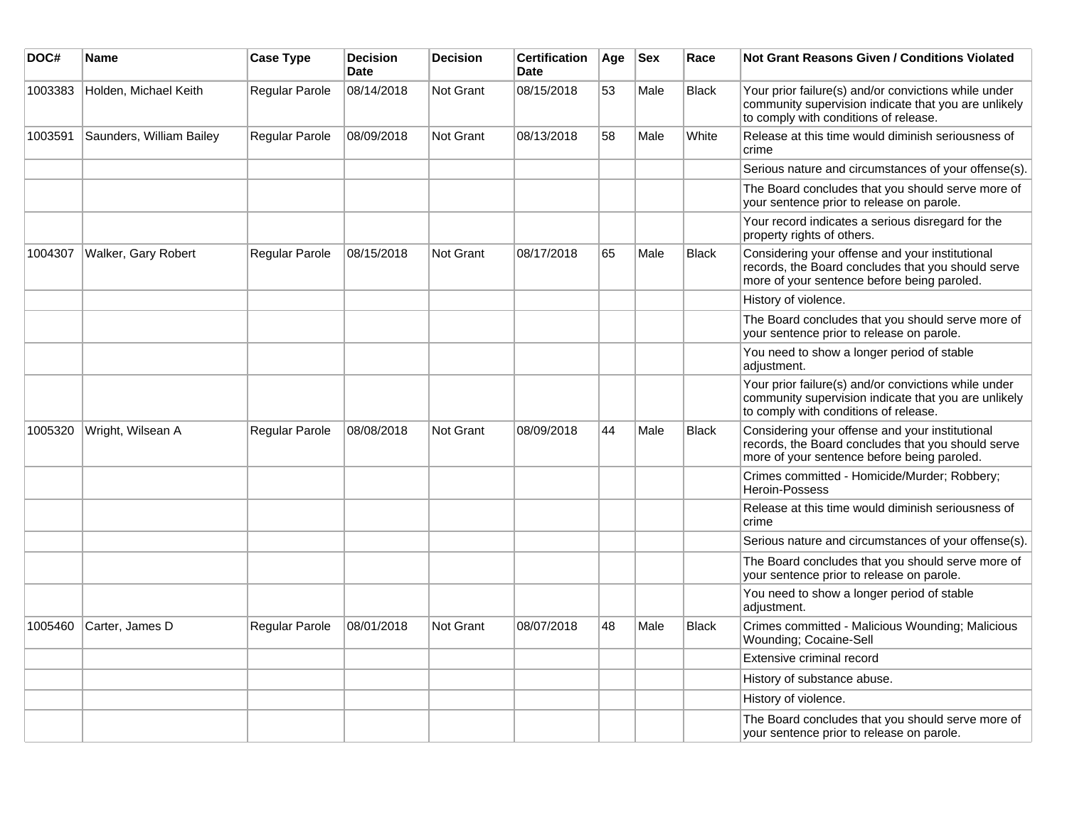| DOC#    | Name                     | <b>Case Type</b> | <b>Decision</b><br><b>Date</b> | <b>Decision</b> | <b>Certification</b><br><b>Date</b> | Age | <b>Sex</b> | Race         | Not Grant Reasons Given / Conditions Violated                                                                                                         |
|---------|--------------------------|------------------|--------------------------------|-----------------|-------------------------------------|-----|------------|--------------|-------------------------------------------------------------------------------------------------------------------------------------------------------|
| 1003383 | Holden, Michael Keith    | Regular Parole   | 08/14/2018                     | Not Grant       | 08/15/2018                          | 53  | Male       | <b>Black</b> | Your prior failure(s) and/or convictions while under<br>community supervision indicate that you are unlikely<br>to comply with conditions of release. |
| 1003591 | Saunders, William Bailey | Regular Parole   | 08/09/2018                     | Not Grant       | 08/13/2018                          | 58  | Male       | White        | Release at this time would diminish seriousness of<br>crime                                                                                           |
|         |                          |                  |                                |                 |                                     |     |            |              | Serious nature and circumstances of your offense(s).                                                                                                  |
|         |                          |                  |                                |                 |                                     |     |            |              | The Board concludes that you should serve more of<br>your sentence prior to release on parole.                                                        |
|         |                          |                  |                                |                 |                                     |     |            |              | Your record indicates a serious disregard for the<br>property rights of others.                                                                       |
| 1004307 | Walker, Gary Robert      | Regular Parole   | 08/15/2018                     | Not Grant       | 08/17/2018                          | 65  | Male       | <b>Black</b> | Considering your offense and your institutional<br>records, the Board concludes that you should serve<br>more of your sentence before being paroled.  |
|         |                          |                  |                                |                 |                                     |     |            |              | History of violence.                                                                                                                                  |
|         |                          |                  |                                |                 |                                     |     |            |              | The Board concludes that you should serve more of<br>your sentence prior to release on parole.                                                        |
|         |                          |                  |                                |                 |                                     |     |            |              | You need to show a longer period of stable<br>adjustment.                                                                                             |
|         |                          |                  |                                |                 |                                     |     |            |              | Your prior failure(s) and/or convictions while under<br>community supervision indicate that you are unlikely<br>to comply with conditions of release. |
| 1005320 | Wright, Wilsean A        | Regular Parole   | 08/08/2018                     | Not Grant       | 08/09/2018                          | 44  | Male       | <b>Black</b> | Considering your offense and your institutional<br>records, the Board concludes that you should serve<br>more of your sentence before being paroled.  |
|         |                          |                  |                                |                 |                                     |     |            |              | Crimes committed - Homicide/Murder; Robbery;<br><b>Heroin-Possess</b>                                                                                 |
|         |                          |                  |                                |                 |                                     |     |            |              | Release at this time would diminish seriousness of<br>crime                                                                                           |
|         |                          |                  |                                |                 |                                     |     |            |              | Serious nature and circumstances of your offense(s).                                                                                                  |
|         |                          |                  |                                |                 |                                     |     |            |              | The Board concludes that you should serve more of<br>your sentence prior to release on parole.                                                        |
|         |                          |                  |                                |                 |                                     |     |            |              | You need to show a longer period of stable<br>adjustment.                                                                                             |
| 1005460 | Carter, James D          | Regular Parole   | 08/01/2018                     | Not Grant       | 08/07/2018                          | 48  | Male       | Black        | Crimes committed - Malicious Wounding; Malicious<br>Wounding; Cocaine-Sell                                                                            |
|         |                          |                  |                                |                 |                                     |     |            |              | Extensive criminal record                                                                                                                             |
|         |                          |                  |                                |                 |                                     |     |            |              | History of substance abuse.                                                                                                                           |
|         |                          |                  |                                |                 |                                     |     |            |              | History of violence.                                                                                                                                  |
|         |                          |                  |                                |                 |                                     |     |            |              | The Board concludes that you should serve more of<br>your sentence prior to release on parole.                                                        |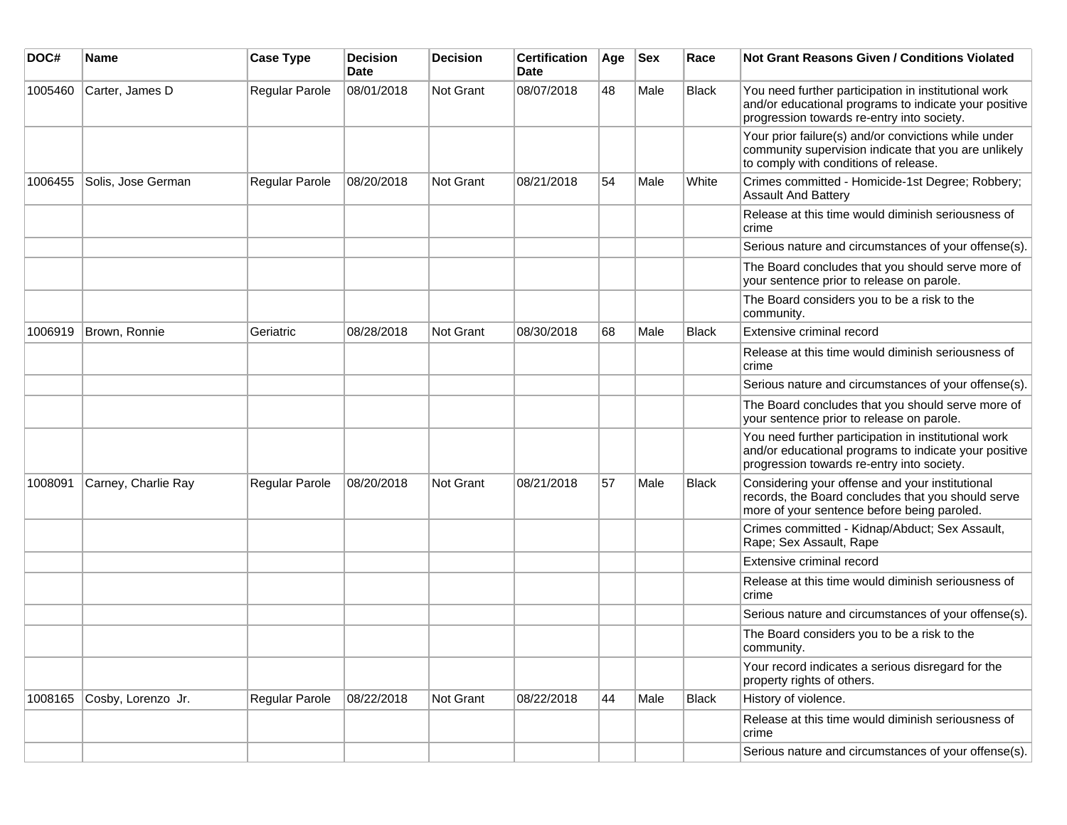| DOC#    | Name                | <b>Case Type</b> | <b>Decision</b><br><b>Date</b> | <b>Decision</b> | <b>Certification</b><br>Date | Age | <b>Sex</b> | Race         | Not Grant Reasons Given / Conditions Violated                                                                                                               |
|---------|---------------------|------------------|--------------------------------|-----------------|------------------------------|-----|------------|--------------|-------------------------------------------------------------------------------------------------------------------------------------------------------------|
| 1005460 | Carter, James D     | Regular Parole   | 08/01/2018                     | Not Grant       | 08/07/2018                   | 48  | Male       | <b>Black</b> | You need further participation in institutional work<br>and/or educational programs to indicate your positive<br>progression towards re-entry into society. |
|         |                     |                  |                                |                 |                              |     |            |              | Your prior failure(s) and/or convictions while under<br>community supervision indicate that you are unlikely<br>to comply with conditions of release.       |
| 1006455 | Solis, Jose German  | Regular Parole   | 08/20/2018                     | Not Grant       | 08/21/2018                   | 54  | Male       | White        | Crimes committed - Homicide-1st Degree; Robbery;<br><b>Assault And Battery</b>                                                                              |
|         |                     |                  |                                |                 |                              |     |            |              | Release at this time would diminish seriousness of<br>crime                                                                                                 |
|         |                     |                  |                                |                 |                              |     |            |              | Serious nature and circumstances of your offense(s).                                                                                                        |
|         |                     |                  |                                |                 |                              |     |            |              | The Board concludes that you should serve more of<br>your sentence prior to release on parole.                                                              |
|         |                     |                  |                                |                 |                              |     |            |              | The Board considers you to be a risk to the<br>community.                                                                                                   |
| 1006919 | Brown, Ronnie       | Geriatric        | 08/28/2018                     | Not Grant       | 08/30/2018                   | 68  | Male       | <b>Black</b> | Extensive criminal record                                                                                                                                   |
|         |                     |                  |                                |                 |                              |     |            |              | Release at this time would diminish seriousness of<br>crime                                                                                                 |
|         |                     |                  |                                |                 |                              |     |            |              | Serious nature and circumstances of your offense(s).                                                                                                        |
|         |                     |                  |                                |                 |                              |     |            |              | The Board concludes that you should serve more of<br>your sentence prior to release on parole.                                                              |
|         |                     |                  |                                |                 |                              |     |            |              | You need further participation in institutional work<br>and/or educational programs to indicate your positive<br>progression towards re-entry into society. |
| 1008091 | Carney, Charlie Ray | Regular Parole   | 08/20/2018                     | Not Grant       | 08/21/2018                   | 57  | Male       | Black        | Considering your offense and your institutional<br>records, the Board concludes that you should serve<br>more of your sentence before being paroled.        |
|         |                     |                  |                                |                 |                              |     |            |              | Crimes committed - Kidnap/Abduct; Sex Assault,<br>Rape; Sex Assault, Rape                                                                                   |
|         |                     |                  |                                |                 |                              |     |            |              | Extensive criminal record                                                                                                                                   |
|         |                     |                  |                                |                 |                              |     |            |              | Release at this time would diminish seriousness of<br>crime                                                                                                 |
|         |                     |                  |                                |                 |                              |     |            |              | Serious nature and circumstances of your offense(s).                                                                                                        |
|         |                     |                  |                                |                 |                              |     |            |              | The Board considers you to be a risk to the<br>community.                                                                                                   |
|         |                     |                  |                                |                 |                              |     |            |              | Your record indicates a serious disregard for the<br>property rights of others.                                                                             |
| 1008165 | Cosby, Lorenzo Jr.  | Regular Parole   | 08/22/2018                     | Not Grant       | 08/22/2018                   | 44  | Male       | <b>Black</b> | History of violence.                                                                                                                                        |
|         |                     |                  |                                |                 |                              |     |            |              | Release at this time would diminish seriousness of<br>crime                                                                                                 |
|         |                     |                  |                                |                 |                              |     |            |              | Serious nature and circumstances of your offense(s).                                                                                                        |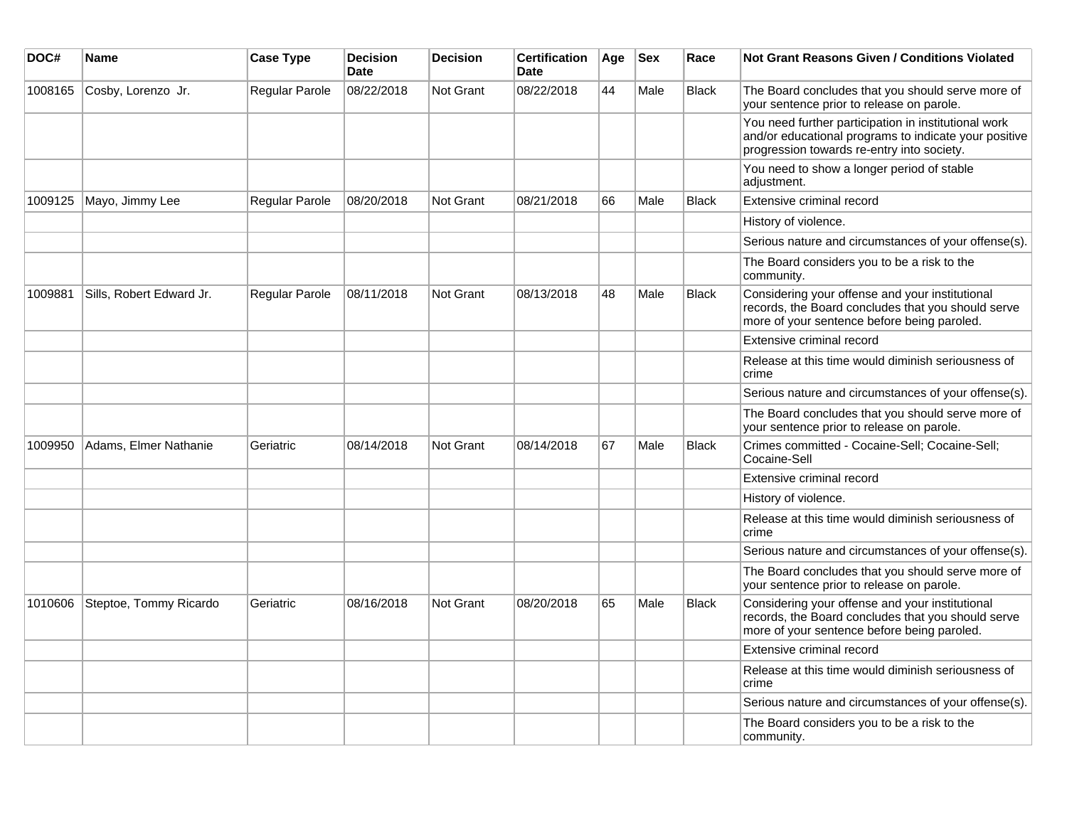| DOC#    | Name                     | <b>Case Type</b>      | <b>Decision</b><br><b>Date</b> | <b>Decision</b>  | <b>Certification</b><br><b>Date</b> | Age | <b>Sex</b> | Race         | Not Grant Reasons Given / Conditions Violated                                                                                                               |
|---------|--------------------------|-----------------------|--------------------------------|------------------|-------------------------------------|-----|------------|--------------|-------------------------------------------------------------------------------------------------------------------------------------------------------------|
| 1008165 | Cosby, Lorenzo Jr.       | Regular Parole        | 08/22/2018                     | Not Grant        | 08/22/2018                          | 44  | Male       | Black        | The Board concludes that you should serve more of<br>your sentence prior to release on parole.                                                              |
|         |                          |                       |                                |                  |                                     |     |            |              | You need further participation in institutional work<br>and/or educational programs to indicate your positive<br>progression towards re-entry into society. |
|         |                          |                       |                                |                  |                                     |     |            |              | You need to show a longer period of stable<br>adjustment.                                                                                                   |
| 1009125 | Mayo, Jimmy Lee          | <b>Regular Parole</b> | 08/20/2018                     | <b>Not Grant</b> | 08/21/2018                          | 66  | Male       | <b>Black</b> | Extensive criminal record                                                                                                                                   |
|         |                          |                       |                                |                  |                                     |     |            |              | History of violence.                                                                                                                                        |
|         |                          |                       |                                |                  |                                     |     |            |              | Serious nature and circumstances of your offense(s).                                                                                                        |
|         |                          |                       |                                |                  |                                     |     |            |              | The Board considers you to be a risk to the<br>community.                                                                                                   |
| 1009881 | Sills, Robert Edward Jr. | Regular Parole        | 08/11/2018                     | <b>Not Grant</b> | 08/13/2018                          | 48  | Male       | <b>Black</b> | Considering your offense and your institutional<br>records, the Board concludes that you should serve<br>more of your sentence before being paroled.        |
|         |                          |                       |                                |                  |                                     |     |            |              | Extensive criminal record                                                                                                                                   |
|         |                          |                       |                                |                  |                                     |     |            |              | Release at this time would diminish seriousness of<br>crime                                                                                                 |
|         |                          |                       |                                |                  |                                     |     |            |              | Serious nature and circumstances of your offense(s).                                                                                                        |
|         |                          |                       |                                |                  |                                     |     |            |              | The Board concludes that you should serve more of<br>your sentence prior to release on parole.                                                              |
| 1009950 | Adams, Elmer Nathanie    | Geriatric             | 08/14/2018                     | Not Grant        | 08/14/2018                          | 67  | Male       | <b>Black</b> | Crimes committed - Cocaine-Sell; Cocaine-Sell;<br>Cocaine-Sell                                                                                              |
|         |                          |                       |                                |                  |                                     |     |            |              | Extensive criminal record                                                                                                                                   |
|         |                          |                       |                                |                  |                                     |     |            |              | History of violence.                                                                                                                                        |
|         |                          |                       |                                |                  |                                     |     |            |              | Release at this time would diminish seriousness of<br>crime                                                                                                 |
|         |                          |                       |                                |                  |                                     |     |            |              | Serious nature and circumstances of your offense(s).                                                                                                        |
|         |                          |                       |                                |                  |                                     |     |            |              | The Board concludes that you should serve more of<br>your sentence prior to release on parole.                                                              |
| 1010606 | Steptoe, Tommy Ricardo   | Geriatric             | 08/16/2018                     | <b>Not Grant</b> | 08/20/2018                          | 65  | Male       | <b>Black</b> | Considering your offense and your institutional<br>records, the Board concludes that you should serve<br>more of your sentence before being paroled.        |
|         |                          |                       |                                |                  |                                     |     |            |              | Extensive criminal record                                                                                                                                   |
|         |                          |                       |                                |                  |                                     |     |            |              | Release at this time would diminish seriousness of<br>crime                                                                                                 |
|         |                          |                       |                                |                  |                                     |     |            |              | Serious nature and circumstances of your offense(s).                                                                                                        |
|         |                          |                       |                                |                  |                                     |     |            |              | The Board considers you to be a risk to the<br>community.                                                                                                   |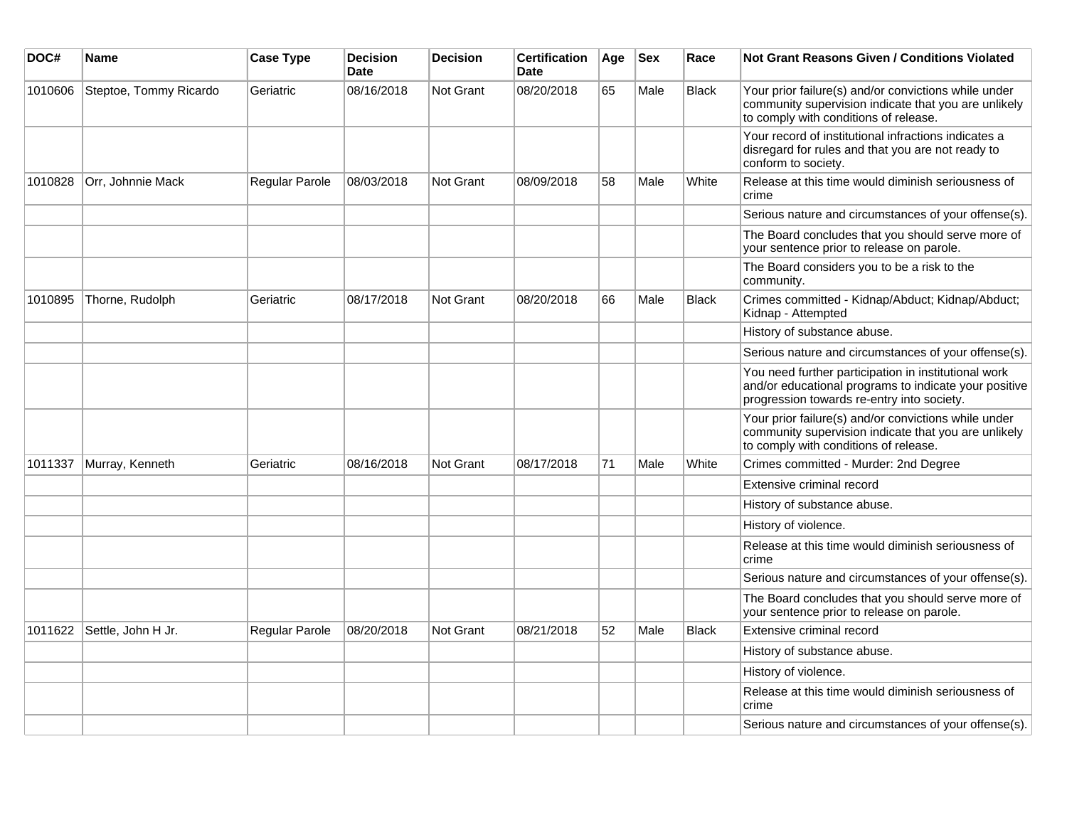| DOC#    | <b>Name</b>            | <b>Case Type</b> | <b>Decision</b><br><b>Date</b> | <b>Decision</b> | <b>Certification</b><br><b>Date</b> | Age | <b>Sex</b> | Race         | <b>Not Grant Reasons Given / Conditions Violated</b>                                                                                                        |
|---------|------------------------|------------------|--------------------------------|-----------------|-------------------------------------|-----|------------|--------------|-------------------------------------------------------------------------------------------------------------------------------------------------------------|
| 1010606 | Steptoe, Tommy Ricardo | Geriatric        | 08/16/2018                     | Not Grant       | 08/20/2018                          | 65  | Male       | <b>Black</b> | Your prior failure(s) and/or convictions while under<br>community supervision indicate that you are unlikely<br>to comply with conditions of release.       |
|         |                        |                  |                                |                 |                                     |     |            |              | Your record of institutional infractions indicates a<br>disregard for rules and that you are not ready to<br>conform to society.                            |
| 1010828 | Orr, Johnnie Mack      | Regular Parole   | 08/03/2018                     | Not Grant       | 08/09/2018                          | 58  | Male       | White        | Release at this time would diminish seriousness of<br>crime                                                                                                 |
|         |                        |                  |                                |                 |                                     |     |            |              | Serious nature and circumstances of your offense(s).                                                                                                        |
|         |                        |                  |                                |                 |                                     |     |            |              | The Board concludes that you should serve more of<br>your sentence prior to release on parole.                                                              |
|         |                        |                  |                                |                 |                                     |     |            |              | The Board considers you to be a risk to the<br>community.                                                                                                   |
| 1010895 | Thorne, Rudolph        | Geriatric        | 08/17/2018                     | Not Grant       | 08/20/2018                          | 66  | Male       | <b>Black</b> | Crimes committed - Kidnap/Abduct; Kidnap/Abduct;<br>Kidnap - Attempted                                                                                      |
|         |                        |                  |                                |                 |                                     |     |            |              | History of substance abuse.                                                                                                                                 |
|         |                        |                  |                                |                 |                                     |     |            |              | Serious nature and circumstances of your offense(s).                                                                                                        |
|         |                        |                  |                                |                 |                                     |     |            |              | You need further participation in institutional work<br>and/or educational programs to indicate your positive<br>progression towards re-entry into society. |
|         |                        |                  |                                |                 |                                     |     |            |              | Your prior failure(s) and/or convictions while under<br>community supervision indicate that you are unlikely<br>to comply with conditions of release.       |
| 1011337 | Murray, Kenneth        | Geriatric        | 08/16/2018                     | Not Grant       | 08/17/2018                          | 71  | Male       | White        | Crimes committed - Murder: 2nd Degree                                                                                                                       |
|         |                        |                  |                                |                 |                                     |     |            |              | Extensive criminal record                                                                                                                                   |
|         |                        |                  |                                |                 |                                     |     |            |              | History of substance abuse.                                                                                                                                 |
|         |                        |                  |                                |                 |                                     |     |            |              | History of violence.                                                                                                                                        |
|         |                        |                  |                                |                 |                                     |     |            |              | Release at this time would diminish seriousness of<br>crime                                                                                                 |
|         |                        |                  |                                |                 |                                     |     |            |              | Serious nature and circumstances of your offense(s).                                                                                                        |
|         |                        |                  |                                |                 |                                     |     |            |              | The Board concludes that you should serve more of<br>your sentence prior to release on parole.                                                              |
| 1011622 | Settle, John H Jr.     | Regular Parole   | 08/20/2018                     | Not Grant       | 08/21/2018                          | 52  | Male       | <b>Black</b> | Extensive criminal record                                                                                                                                   |
|         |                        |                  |                                |                 |                                     |     |            |              | History of substance abuse.                                                                                                                                 |
|         |                        |                  |                                |                 |                                     |     |            |              | History of violence.                                                                                                                                        |
|         |                        |                  |                                |                 |                                     |     |            |              | Release at this time would diminish seriousness of<br>crime                                                                                                 |
|         |                        |                  |                                |                 |                                     |     |            |              | Serious nature and circumstances of your offense(s).                                                                                                        |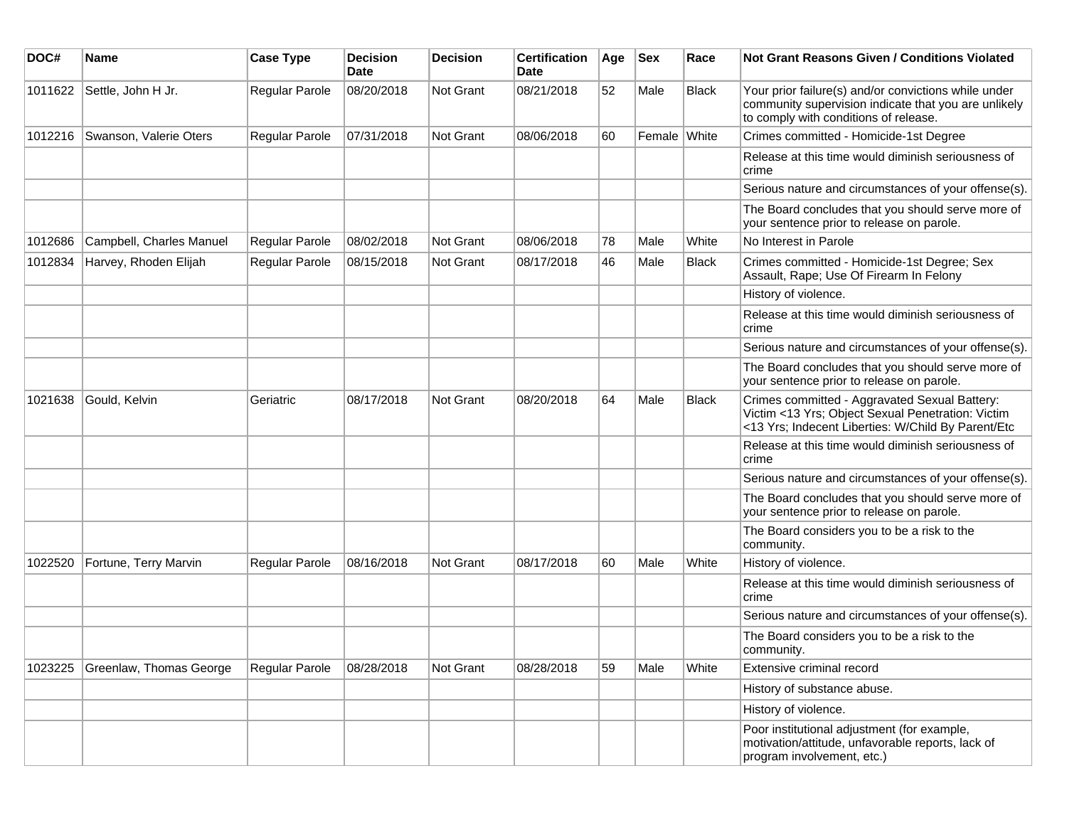| DOC#    | <b>Name</b>              | <b>Case Type</b>      | <b>Decision</b><br><b>Date</b> | <b>Decision</b>  | <b>Certification</b><br><b>Date</b> | Age | <b>Sex</b>   | Race         | Not Grant Reasons Given / Conditions Violated                                                                                                            |
|---------|--------------------------|-----------------------|--------------------------------|------------------|-------------------------------------|-----|--------------|--------------|----------------------------------------------------------------------------------------------------------------------------------------------------------|
| 1011622 | Settle, John H Jr.       | Regular Parole        | 08/20/2018                     | <b>Not Grant</b> | 08/21/2018                          | 52  | Male         | <b>Black</b> | Your prior failure(s) and/or convictions while under<br>community supervision indicate that you are unlikely<br>to comply with conditions of release.    |
| 1012216 | Swanson, Valerie Oters   | Regular Parole        | 07/31/2018                     | Not Grant        | 08/06/2018                          | 60  | Female White |              | Crimes committed - Homicide-1st Degree                                                                                                                   |
|         |                          |                       |                                |                  |                                     |     |              |              | Release at this time would diminish seriousness of<br>crime                                                                                              |
|         |                          |                       |                                |                  |                                     |     |              |              | Serious nature and circumstances of your offense(s).                                                                                                     |
|         |                          |                       |                                |                  |                                     |     |              |              | The Board concludes that you should serve more of<br>your sentence prior to release on parole.                                                           |
| 1012686 | Campbell, Charles Manuel | Regular Parole        | 08/02/2018                     | <b>Not Grant</b> | 08/06/2018                          | 78  | Male         | White        | No Interest in Parole                                                                                                                                    |
| 1012834 | Harvey, Rhoden Elijah    | Regular Parole        | 08/15/2018                     | <b>Not Grant</b> | 08/17/2018                          | 46  | Male         | <b>Black</b> | Crimes committed - Homicide-1st Degree; Sex<br>Assault, Rape; Use Of Firearm In Felony                                                                   |
|         |                          |                       |                                |                  |                                     |     |              |              | History of violence.                                                                                                                                     |
|         |                          |                       |                                |                  |                                     |     |              |              | Release at this time would diminish seriousness of<br>crime                                                                                              |
|         |                          |                       |                                |                  |                                     |     |              |              | Serious nature and circumstances of your offense(s).                                                                                                     |
|         |                          |                       |                                |                  |                                     |     |              |              | The Board concludes that you should serve more of<br>your sentence prior to release on parole.                                                           |
| 1021638 | Gould, Kelvin            | Geriatric             | 08/17/2018                     | <b>Not Grant</b> | 08/20/2018                          | 64  | Male         | <b>Black</b> | Crimes committed - Aggravated Sexual Battery:<br>Victim <13 Yrs; Object Sexual Penetration: Victim<br><13 Yrs; Indecent Liberties: W/Child By Parent/Etc |
|         |                          |                       |                                |                  |                                     |     |              |              | Release at this time would diminish seriousness of<br>crime                                                                                              |
|         |                          |                       |                                |                  |                                     |     |              |              | Serious nature and circumstances of your offense(s).                                                                                                     |
|         |                          |                       |                                |                  |                                     |     |              |              | The Board concludes that you should serve more of<br>your sentence prior to release on parole.                                                           |
|         |                          |                       |                                |                  |                                     |     |              |              | The Board considers you to be a risk to the<br>community.                                                                                                |
| 1022520 | Fortune, Terry Marvin    | <b>Regular Parole</b> | 08/16/2018                     | <b>Not Grant</b> | 08/17/2018                          | 60  | Male         | White        | History of violence.                                                                                                                                     |
|         |                          |                       |                                |                  |                                     |     |              |              | Release at this time would diminish seriousness of<br>crime                                                                                              |
|         |                          |                       |                                |                  |                                     |     |              |              | Serious nature and circumstances of your offense(s).                                                                                                     |
|         |                          |                       |                                |                  |                                     |     |              |              | The Board considers you to be a risk to the<br>community.                                                                                                |
| 1023225 | Greenlaw, Thomas George  | Regular Parole        | 08/28/2018                     | Not Grant        | 08/28/2018                          | 59  | Male         | White        | Extensive criminal record                                                                                                                                |
|         |                          |                       |                                |                  |                                     |     |              |              | History of substance abuse.                                                                                                                              |
|         |                          |                       |                                |                  |                                     |     |              |              | History of violence.                                                                                                                                     |
|         |                          |                       |                                |                  |                                     |     |              |              | Poor institutional adjustment (for example,<br>motivation/attitude, unfavorable reports, lack of<br>program involvement, etc.)                           |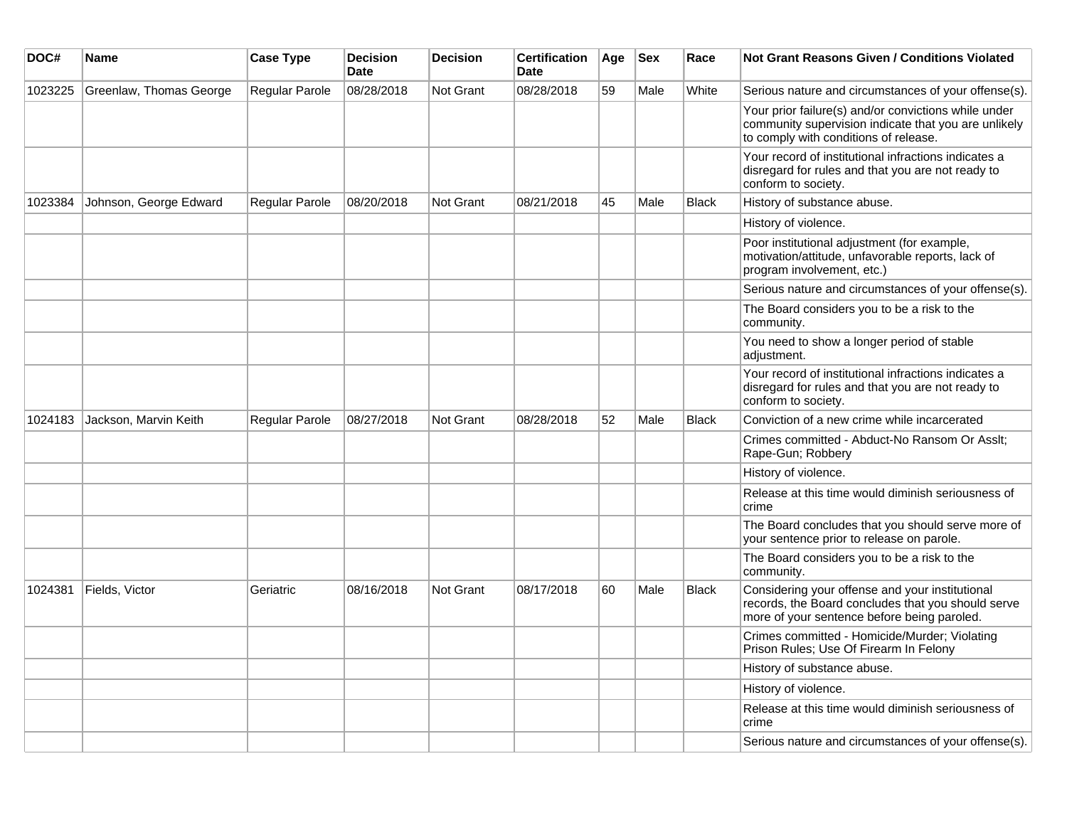| DOC#    | <b>Name</b>             | <b>Case Type</b>      | <b>Decision</b><br><b>Date</b> | <b>Decision</b>  | <b>Certification</b><br><b>Date</b> | Age | <b>Sex</b> | Race         | <b>Not Grant Reasons Given / Conditions Violated</b>                                                                                                  |
|---------|-------------------------|-----------------------|--------------------------------|------------------|-------------------------------------|-----|------------|--------------|-------------------------------------------------------------------------------------------------------------------------------------------------------|
| 1023225 | Greenlaw, Thomas George | Regular Parole        | 08/28/2018                     | <b>Not Grant</b> | 08/28/2018                          | 59  | Male       | White        | Serious nature and circumstances of your offense(s).                                                                                                  |
|         |                         |                       |                                |                  |                                     |     |            |              | Your prior failure(s) and/or convictions while under<br>community supervision indicate that you are unlikely<br>to comply with conditions of release. |
|         |                         |                       |                                |                  |                                     |     |            |              | Your record of institutional infractions indicates a<br>disregard for rules and that you are not ready to<br>conform to society.                      |
| 1023384 | Johnson, George Edward  | <b>Regular Parole</b> | 08/20/2018                     | <b>Not Grant</b> | 08/21/2018                          | 45  | Male       | <b>Black</b> | History of substance abuse.                                                                                                                           |
|         |                         |                       |                                |                  |                                     |     |            |              | History of violence.                                                                                                                                  |
|         |                         |                       |                                |                  |                                     |     |            |              | Poor institutional adjustment (for example,<br>motivation/attitude, unfavorable reports, lack of<br>program involvement, etc.)                        |
|         |                         |                       |                                |                  |                                     |     |            |              | Serious nature and circumstances of your offense(s).                                                                                                  |
|         |                         |                       |                                |                  |                                     |     |            |              | The Board considers you to be a risk to the<br>community.                                                                                             |
|         |                         |                       |                                |                  |                                     |     |            |              | You need to show a longer period of stable<br>adjustment.                                                                                             |
|         |                         |                       |                                |                  |                                     |     |            |              | Your record of institutional infractions indicates a<br>disregard for rules and that you are not ready to<br>conform to society.                      |
| 1024183 | Jackson, Marvin Keith   | Regular Parole        | 08/27/2018                     | Not Grant        | 08/28/2018                          | 52  | Male       | <b>Black</b> | Conviction of a new crime while incarcerated                                                                                                          |
|         |                         |                       |                                |                  |                                     |     |            |              | Crimes committed - Abduct-No Ransom Or Asslt;<br>Rape-Gun; Robbery                                                                                    |
|         |                         |                       |                                |                  |                                     |     |            |              | History of violence.                                                                                                                                  |
|         |                         |                       |                                |                  |                                     |     |            |              | Release at this time would diminish seriousness of<br>crime                                                                                           |
|         |                         |                       |                                |                  |                                     |     |            |              | The Board concludes that you should serve more of<br>your sentence prior to release on parole.                                                        |
|         |                         |                       |                                |                  |                                     |     |            |              | The Board considers you to be a risk to the<br>community.                                                                                             |
| 1024381 | Fields, Victor          | Geriatric             | 08/16/2018                     | Not Grant        | 08/17/2018                          | 60  | Male       | <b>Black</b> | Considering your offense and your institutional<br>records, the Board concludes that you should serve<br>more of your sentence before being paroled.  |
|         |                         |                       |                                |                  |                                     |     |            |              | Crimes committed - Homicide/Murder; Violating<br>Prison Rules; Use Of Firearm In Felony                                                               |
|         |                         |                       |                                |                  |                                     |     |            |              | History of substance abuse.                                                                                                                           |
|         |                         |                       |                                |                  |                                     |     |            |              | History of violence.                                                                                                                                  |
|         |                         |                       |                                |                  |                                     |     |            |              | Release at this time would diminish seriousness of<br>crime                                                                                           |
|         |                         |                       |                                |                  |                                     |     |            |              | Serious nature and circumstances of your offense(s).                                                                                                  |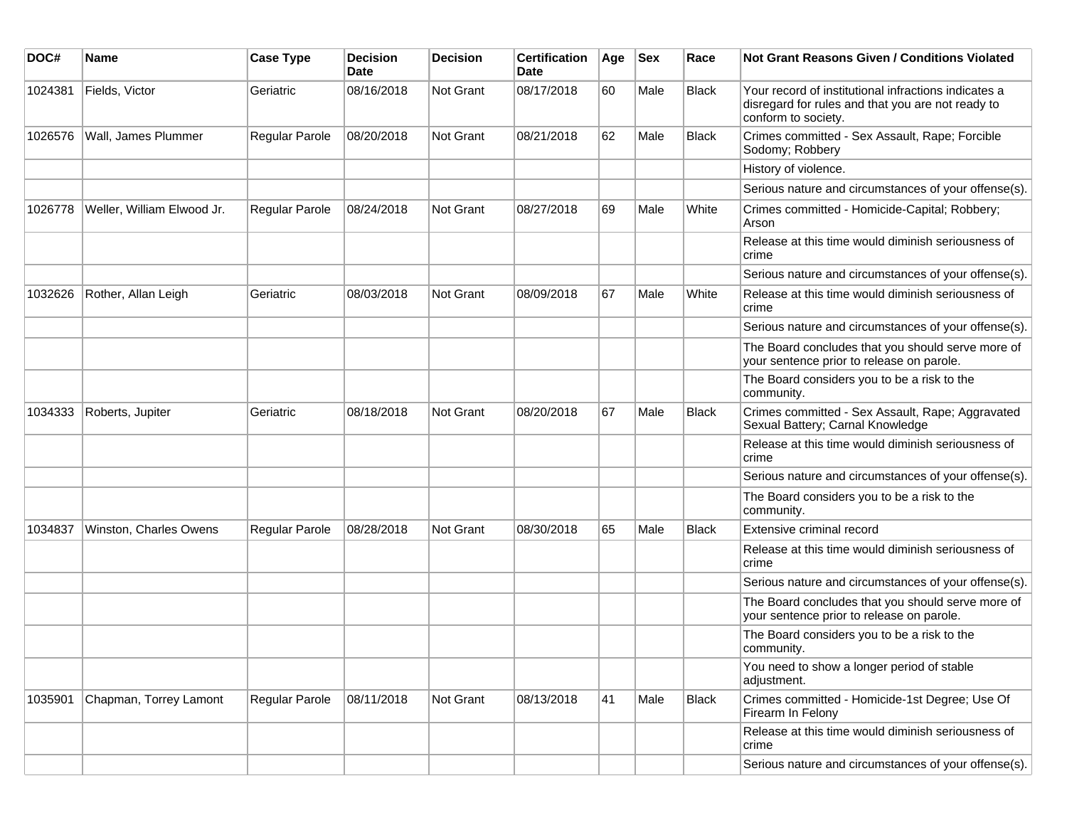| DOC#    | Name                       | <b>Case Type</b> | <b>Decision</b><br>Date | <b>Decision</b>  | <b>Certification</b><br>Date | Age | <b>Sex</b> | Race         | <b>Not Grant Reasons Given / Conditions Violated</b>                                                                             |
|---------|----------------------------|------------------|-------------------------|------------------|------------------------------|-----|------------|--------------|----------------------------------------------------------------------------------------------------------------------------------|
| 1024381 | Fields, Victor             | Geriatric        | 08/16/2018              | Not Grant        | 08/17/2018                   | 60  | Male       | <b>Black</b> | Your record of institutional infractions indicates a<br>disregard for rules and that you are not ready to<br>conform to society. |
| 1026576 | Wall, James Plummer        | Regular Parole   | 08/20/2018              | <b>Not Grant</b> | 08/21/2018                   | 62  | Male       | Black        | Crimes committed - Sex Assault, Rape; Forcible<br>Sodomy; Robbery                                                                |
|         |                            |                  |                         |                  |                              |     |            |              | History of violence.                                                                                                             |
|         |                            |                  |                         |                  |                              |     |            |              | Serious nature and circumstances of your offense(s).                                                                             |
| 1026778 | Weller, William Elwood Jr. | Regular Parole   | 08/24/2018              | <b>Not Grant</b> | 08/27/2018                   | 69  | Male       | White        | Crimes committed - Homicide-Capital; Robbery;<br>Arson                                                                           |
|         |                            |                  |                         |                  |                              |     |            |              | Release at this time would diminish seriousness of<br>crime                                                                      |
|         |                            |                  |                         |                  |                              |     |            |              | Serious nature and circumstances of your offense(s).                                                                             |
| 1032626 | Rother, Allan Leigh        | Geriatric        | 08/03/2018              | <b>Not Grant</b> | 08/09/2018                   | 67  | Male       | White        | Release at this time would diminish seriousness of<br>crime                                                                      |
|         |                            |                  |                         |                  |                              |     |            |              | Serious nature and circumstances of your offense(s).                                                                             |
|         |                            |                  |                         |                  |                              |     |            |              | The Board concludes that you should serve more of<br>your sentence prior to release on parole.                                   |
|         |                            |                  |                         |                  |                              |     |            |              | The Board considers you to be a risk to the<br>community.                                                                        |
| 1034333 | Roberts, Jupiter           | Geriatric        | 08/18/2018              | <b>Not Grant</b> | 08/20/2018                   | 67  | Male       | <b>Black</b> | Crimes committed - Sex Assault, Rape; Aggravated<br>Sexual Battery; Carnal Knowledge                                             |
|         |                            |                  |                         |                  |                              |     |            |              | Release at this time would diminish seriousness of<br>crime                                                                      |
|         |                            |                  |                         |                  |                              |     |            |              | Serious nature and circumstances of your offense(s).                                                                             |
|         |                            |                  |                         |                  |                              |     |            |              | The Board considers you to be a risk to the<br>community.                                                                        |
| 1034837 | Winston, Charles Owens     | Regular Parole   | 08/28/2018              | Not Grant        | 08/30/2018                   | 65  | Male       | <b>Black</b> | Extensive criminal record                                                                                                        |
|         |                            |                  |                         |                  |                              |     |            |              | Release at this time would diminish seriousness of<br>crime                                                                      |
|         |                            |                  |                         |                  |                              |     |            |              | Serious nature and circumstances of your offense(s).                                                                             |
|         |                            |                  |                         |                  |                              |     |            |              | The Board concludes that you should serve more of<br>your sentence prior to release on parole.                                   |
|         |                            |                  |                         |                  |                              |     |            |              | The Board considers you to be a risk to the<br>community.                                                                        |
|         |                            |                  |                         |                  |                              |     |            |              | You need to show a longer period of stable<br>adjustment.                                                                        |
| 1035901 | Chapman, Torrey Lamont     | Regular Parole   | 08/11/2018              | Not Grant        | 08/13/2018                   | 41  | Male       | Black        | Crimes committed - Homicide-1st Degree; Use Of<br>Firearm In Felony                                                              |
|         |                            |                  |                         |                  |                              |     |            |              | Release at this time would diminish seriousness of<br>crime                                                                      |
|         |                            |                  |                         |                  |                              |     |            |              | Serious nature and circumstances of your offense(s).                                                                             |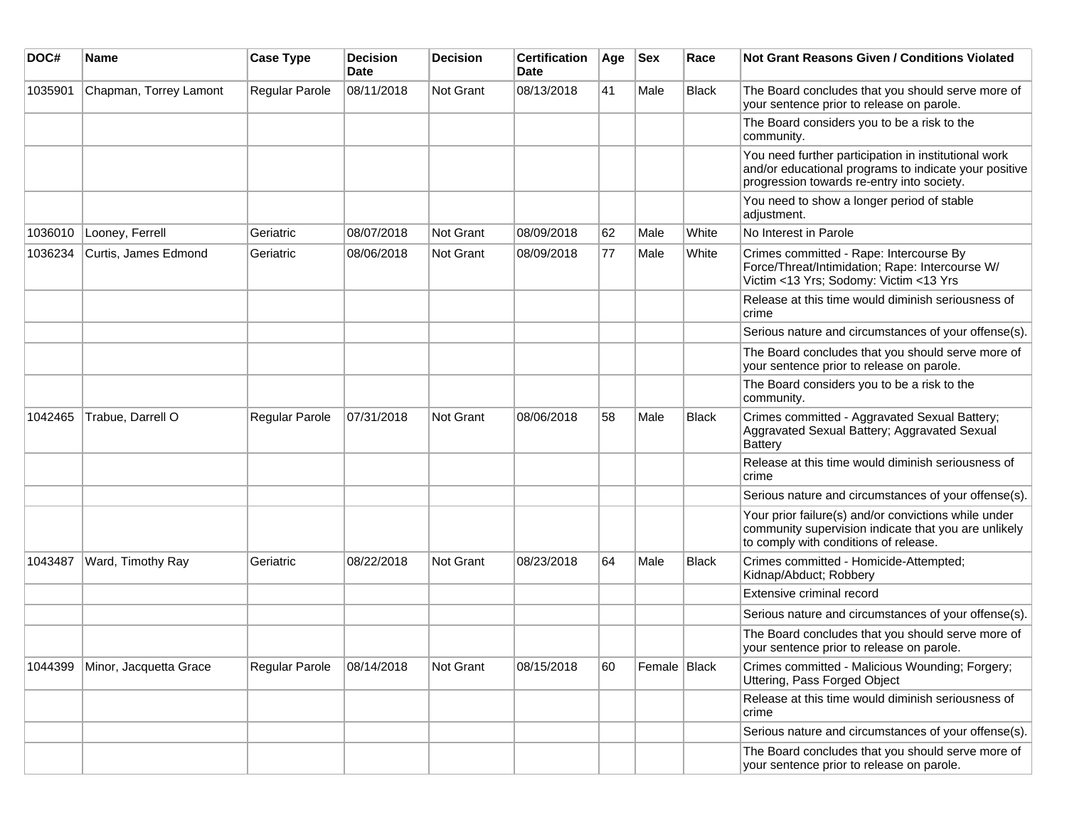| DOC#    | <b>Name</b>            | <b>Case Type</b> | <b>Decision</b><br><b>Date</b> | <b>Decision</b>  | <b>Certification</b><br>Date | Age | <b>Sex</b>     | Race         | <b>Not Grant Reasons Given / Conditions Violated</b>                                                                                                        |
|---------|------------------------|------------------|--------------------------------|------------------|------------------------------|-----|----------------|--------------|-------------------------------------------------------------------------------------------------------------------------------------------------------------|
| 1035901 | Chapman, Torrey Lamont | Regular Parole   | 08/11/2018                     | <b>Not Grant</b> | 08/13/2018                   | 41  | Male           | <b>Black</b> | The Board concludes that you should serve more of<br>your sentence prior to release on parole.                                                              |
|         |                        |                  |                                |                  |                              |     |                |              | The Board considers you to be a risk to the<br>community.                                                                                                   |
|         |                        |                  |                                |                  |                              |     |                |              | You need further participation in institutional work<br>and/or educational programs to indicate your positive<br>progression towards re-entry into society. |
|         |                        |                  |                                |                  |                              |     |                |              | You need to show a longer period of stable<br>adjustment.                                                                                                   |
| 1036010 | Looney, Ferrell        | Geriatric        | 08/07/2018                     | <b>Not Grant</b> | 08/09/2018                   | 62  | Male           | White        | No Interest in Parole                                                                                                                                       |
| 1036234 | Curtis, James Edmond   | Geriatric        | 08/06/2018                     | <b>Not Grant</b> | 08/09/2018                   | 77  | Male           | White        | Crimes committed - Rape: Intercourse By<br>Force/Threat/Intimidation; Rape: Intercourse W/<br>Victim <13 Yrs; Sodomy: Victim <13 Yrs                        |
|         |                        |                  |                                |                  |                              |     |                |              | Release at this time would diminish seriousness of<br>crime                                                                                                 |
|         |                        |                  |                                |                  |                              |     |                |              | Serious nature and circumstances of your offense(s).                                                                                                        |
|         |                        |                  |                                |                  |                              |     |                |              | The Board concludes that you should serve more of<br>your sentence prior to release on parole.                                                              |
|         |                        |                  |                                |                  |                              |     |                |              | The Board considers you to be a risk to the<br>community.                                                                                                   |
| 1042465 | Trabue, Darrell O      | Regular Parole   | 07/31/2018                     | <b>Not Grant</b> | 08/06/2018                   | 58  | Male           | Black        | Crimes committed - Aggravated Sexual Battery;<br>Aggravated Sexual Battery; Aggravated Sexual<br>Battery                                                    |
|         |                        |                  |                                |                  |                              |     |                |              | Release at this time would diminish seriousness of<br>crime                                                                                                 |
|         |                        |                  |                                |                  |                              |     |                |              | Serious nature and circumstances of your offense(s).                                                                                                        |
|         |                        |                  |                                |                  |                              |     |                |              | Your prior failure(s) and/or convictions while under<br>community supervision indicate that you are unlikely<br>to comply with conditions of release.       |
| 1043487 | Ward, Timothy Ray      | Geriatric        | 08/22/2018                     | <b>Not Grant</b> | 08/23/2018                   | 64  | Male           | <b>Black</b> | Crimes committed - Homicide-Attempted;<br>Kidnap/Abduct; Robbery                                                                                            |
|         |                        |                  |                                |                  |                              |     |                |              | Extensive criminal record                                                                                                                                   |
|         |                        |                  |                                |                  |                              |     |                |              | Serious nature and circumstances of your offense(s).                                                                                                        |
|         |                        |                  |                                |                  |                              |     |                |              | The Board concludes that you should serve more of<br>your sentence prior to release on parole.                                                              |
| 1044399 | Minor, Jacquetta Grace | Regular Parole   | 08/14/2018                     | <b>Not Grant</b> | 08/15/2018                   | 60  | Female   Black |              | Crimes committed - Malicious Wounding; Forgery;<br>Uttering, Pass Forged Object                                                                             |
|         |                        |                  |                                |                  |                              |     |                |              | Release at this time would diminish seriousness of<br>crime                                                                                                 |
|         |                        |                  |                                |                  |                              |     |                |              | Serious nature and circumstances of your offense(s).                                                                                                        |
|         |                        |                  |                                |                  |                              |     |                |              | The Board concludes that you should serve more of<br>your sentence prior to release on parole.                                                              |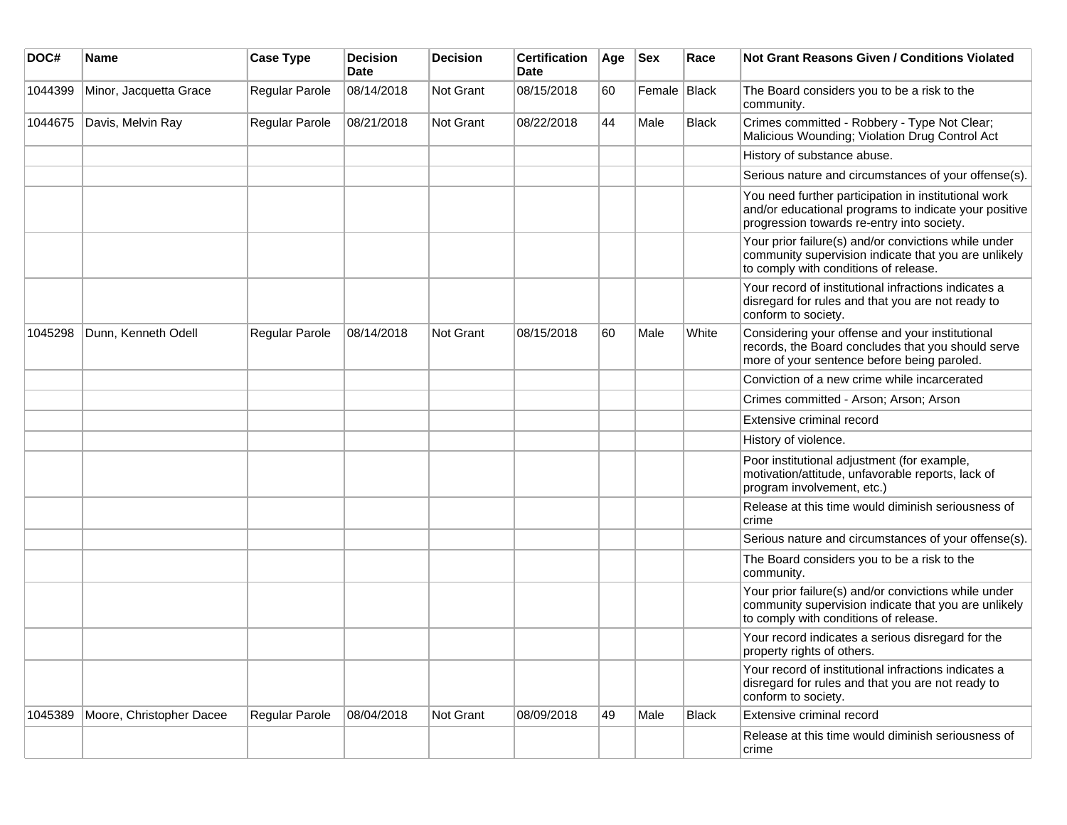| DOC#    | Name                     | <b>Case Type</b>      | <b>Decision</b><br><b>Date</b> | <b>Decision</b> | <b>Certification</b><br><b>Date</b> | Age | <b>Sex</b>   | Race  | <b>Not Grant Reasons Given / Conditions Violated</b>                                                                                                        |
|---------|--------------------------|-----------------------|--------------------------------|-----------------|-------------------------------------|-----|--------------|-------|-------------------------------------------------------------------------------------------------------------------------------------------------------------|
| 1044399 | Minor, Jacquetta Grace   | Regular Parole        | 08/14/2018                     | Not Grant       | 08/15/2018                          | 60  | Female Black |       | The Board considers you to be a risk to the<br>community.                                                                                                   |
| 1044675 | Davis, Melvin Ray        | Regular Parole        | 08/21/2018                     | Not Grant       | 08/22/2018                          | 44  | Male         | Black | Crimes committed - Robbery - Type Not Clear;<br>Malicious Wounding; Violation Drug Control Act                                                              |
|         |                          |                       |                                |                 |                                     |     |              |       | History of substance abuse.                                                                                                                                 |
|         |                          |                       |                                |                 |                                     |     |              |       | Serious nature and circumstances of your offense(s).                                                                                                        |
|         |                          |                       |                                |                 |                                     |     |              |       | You need further participation in institutional work<br>and/or educational programs to indicate your positive<br>progression towards re-entry into society. |
|         |                          |                       |                                |                 |                                     |     |              |       | Your prior failure(s) and/or convictions while under<br>community supervision indicate that you are unlikely<br>to comply with conditions of release.       |
|         |                          |                       |                                |                 |                                     |     |              |       | Your record of institutional infractions indicates a<br>disregard for rules and that you are not ready to<br>conform to society.                            |
| 1045298 | Dunn, Kenneth Odell      | <b>Regular Parole</b> | 08/14/2018                     | Not Grant       | 08/15/2018                          | 60  | Male         | White | Considering your offense and your institutional<br>records, the Board concludes that you should serve<br>more of your sentence before being paroled.        |
|         |                          |                       |                                |                 |                                     |     |              |       | Conviction of a new crime while incarcerated                                                                                                                |
|         |                          |                       |                                |                 |                                     |     |              |       | Crimes committed - Arson; Arson; Arson                                                                                                                      |
|         |                          |                       |                                |                 |                                     |     |              |       | Extensive criminal record                                                                                                                                   |
|         |                          |                       |                                |                 |                                     |     |              |       | History of violence.                                                                                                                                        |
|         |                          |                       |                                |                 |                                     |     |              |       | Poor institutional adjustment (for example,<br>motivation/attitude, unfavorable reports, lack of<br>program involvement, etc.)                              |
|         |                          |                       |                                |                 |                                     |     |              |       | Release at this time would diminish seriousness of<br>crime                                                                                                 |
|         |                          |                       |                                |                 |                                     |     |              |       | Serious nature and circumstances of your offense(s).                                                                                                        |
|         |                          |                       |                                |                 |                                     |     |              |       | The Board considers you to be a risk to the<br>community.                                                                                                   |
|         |                          |                       |                                |                 |                                     |     |              |       | Your prior failure(s) and/or convictions while under<br>community supervision indicate that you are unlikely<br>to comply with conditions of release.       |
|         |                          |                       |                                |                 |                                     |     |              |       | Your record indicates a serious disregard for the<br>property rights of others.                                                                             |
|         |                          |                       |                                |                 |                                     |     |              |       | Your record of institutional infractions indicates a<br>disregard for rules and that you are not ready to<br>conform to society.                            |
| 1045389 | Moore, Christopher Dacee | Regular Parole        | 08/04/2018                     | Not Grant       | 08/09/2018                          | 49  | Male         | Black | Extensive criminal record                                                                                                                                   |
|         |                          |                       |                                |                 |                                     |     |              |       | Release at this time would diminish seriousness of<br>crime                                                                                                 |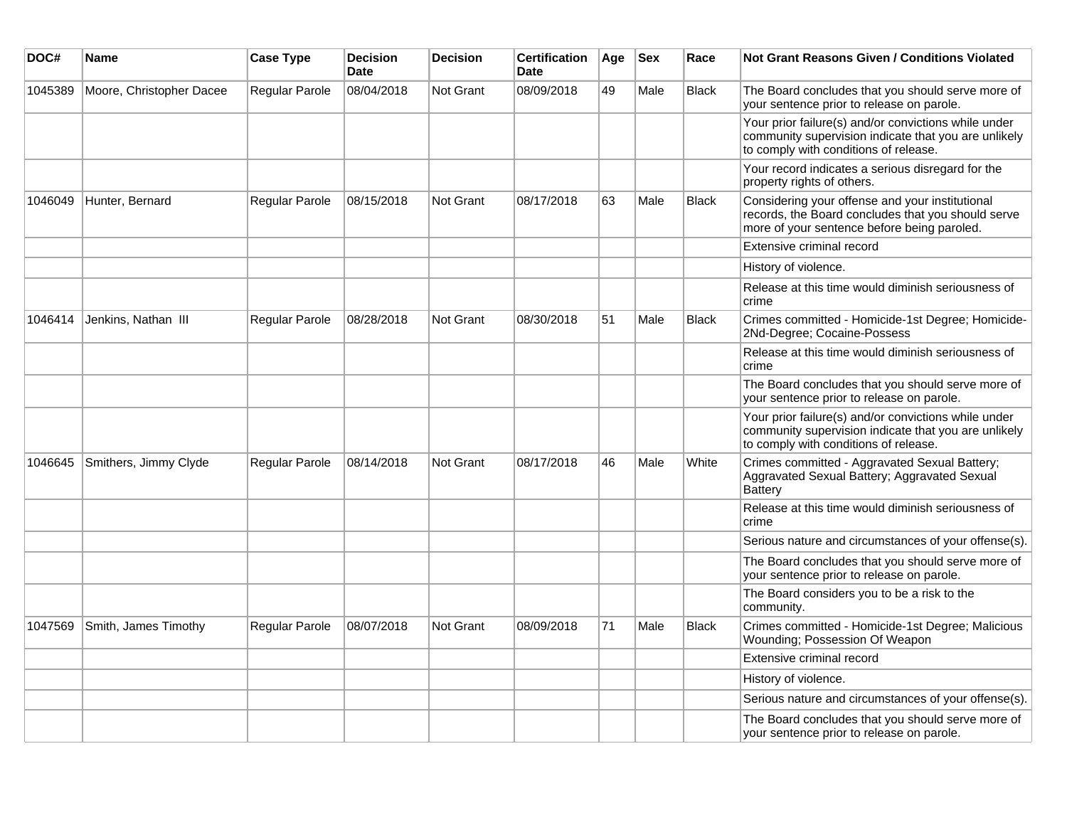| DOC#    | <b>Name</b>              | <b>Case Type</b> | <b>Decision</b><br><b>Date</b> | <b>Decision</b> | <b>Certification</b><br><b>Date</b> | Age | <b>Sex</b> | Race         | Not Grant Reasons Given / Conditions Violated                                                                                                         |
|---------|--------------------------|------------------|--------------------------------|-----------------|-------------------------------------|-----|------------|--------------|-------------------------------------------------------------------------------------------------------------------------------------------------------|
| 1045389 | Moore, Christopher Dacee | Regular Parole   | 08/04/2018                     | Not Grant       | 08/09/2018                          | 49  | Male       | <b>Black</b> | The Board concludes that you should serve more of<br>your sentence prior to release on parole.                                                        |
|         |                          |                  |                                |                 |                                     |     |            |              | Your prior failure(s) and/or convictions while under<br>community supervision indicate that you are unlikely<br>to comply with conditions of release. |
|         |                          |                  |                                |                 |                                     |     |            |              | Your record indicates a serious disregard for the<br>property rights of others.                                                                       |
| 1046049 | Hunter, Bernard          | Regular Parole   | 08/15/2018                     | Not Grant       | 08/17/2018                          | 63  | Male       | <b>Black</b> | Considering your offense and your institutional<br>records, the Board concludes that you should serve<br>more of your sentence before being paroled.  |
|         |                          |                  |                                |                 |                                     |     |            |              | Extensive criminal record                                                                                                                             |
|         |                          |                  |                                |                 |                                     |     |            |              | History of violence.                                                                                                                                  |
|         |                          |                  |                                |                 |                                     |     |            |              | Release at this time would diminish seriousness of<br>crime                                                                                           |
| 1046414 | Jenkins, Nathan III      | Regular Parole   | 08/28/2018                     | Not Grant       | 08/30/2018                          | 51  | Male       | <b>Black</b> | Crimes committed - Homicide-1st Degree; Homicide-<br>2Nd-Degree; Cocaine-Possess                                                                      |
|         |                          |                  |                                |                 |                                     |     |            |              | Release at this time would diminish seriousness of<br>crime                                                                                           |
|         |                          |                  |                                |                 |                                     |     |            |              | The Board concludes that you should serve more of<br>your sentence prior to release on parole.                                                        |
|         |                          |                  |                                |                 |                                     |     |            |              | Your prior failure(s) and/or convictions while under<br>community supervision indicate that you are unlikely<br>to comply with conditions of release. |
| 1046645 | Smithers, Jimmy Clyde    | Regular Parole   | 08/14/2018                     | Not Grant       | 08/17/2018                          | 46  | Male       | White        | Crimes committed - Aggravated Sexual Battery;<br>Aggravated Sexual Battery; Aggravated Sexual<br><b>Battery</b>                                       |
|         |                          |                  |                                |                 |                                     |     |            |              | Release at this time would diminish seriousness of<br>crime                                                                                           |
|         |                          |                  |                                |                 |                                     |     |            |              | Serious nature and circumstances of your offense(s).                                                                                                  |
|         |                          |                  |                                |                 |                                     |     |            |              | The Board concludes that you should serve more of<br>your sentence prior to release on parole.                                                        |
|         |                          |                  |                                |                 |                                     |     |            |              | The Board considers you to be a risk to the<br>community.                                                                                             |
| 1047569 | Smith, James Timothy     | Regular Parole   | 08/07/2018                     | Not Grant       | 08/09/2018                          | 71  | Male       | <b>Black</b> | Crimes committed - Homicide-1st Degree; Malicious<br>Wounding; Possession Of Weapon                                                                   |
|         |                          |                  |                                |                 |                                     |     |            |              | Extensive criminal record                                                                                                                             |
|         |                          |                  |                                |                 |                                     |     |            |              | History of violence.                                                                                                                                  |
|         |                          |                  |                                |                 |                                     |     |            |              | Serious nature and circumstances of your offense(s).                                                                                                  |
|         |                          |                  |                                |                 |                                     |     |            |              | The Board concludes that you should serve more of<br>your sentence prior to release on parole.                                                        |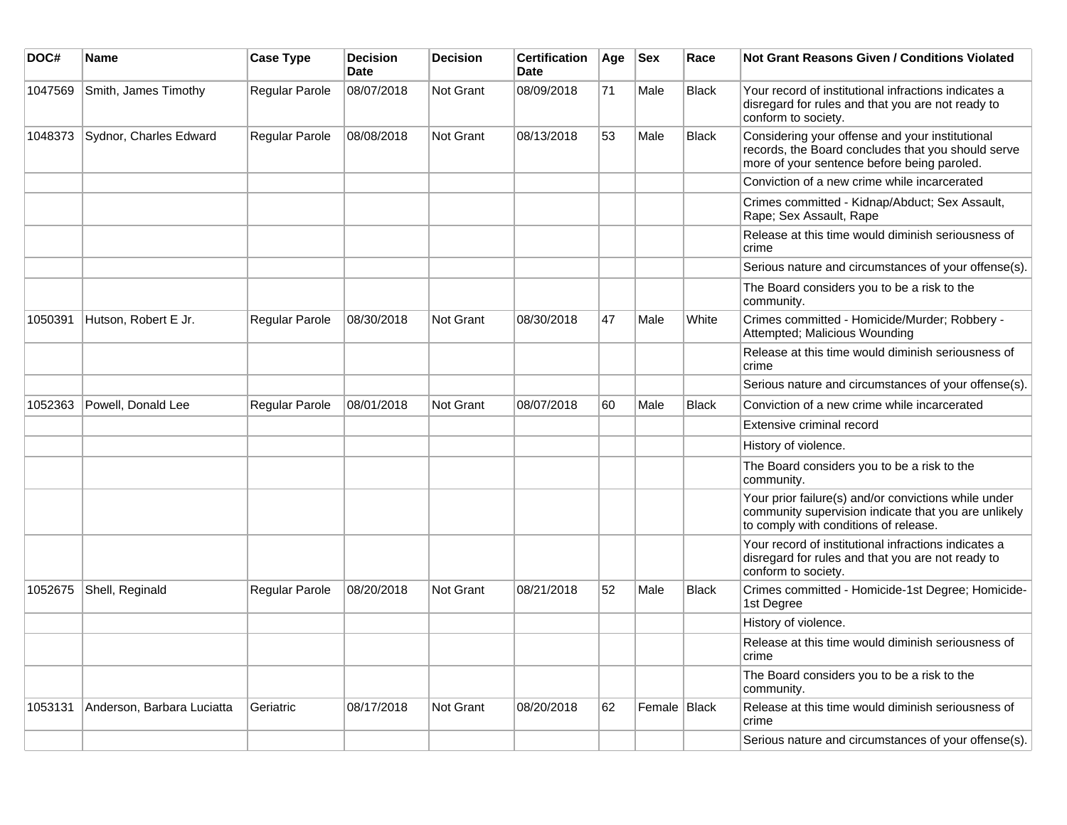| DOC#    | Name                       | <b>Case Type</b>      | <b>Decision</b><br><b>Date</b> | <b>Decision</b>  | <b>Certification</b><br><b>Date</b> | Age | <b>Sex</b>     | Race         | <b>Not Grant Reasons Given / Conditions Violated</b>                                                                                                  |
|---------|----------------------------|-----------------------|--------------------------------|------------------|-------------------------------------|-----|----------------|--------------|-------------------------------------------------------------------------------------------------------------------------------------------------------|
| 1047569 | Smith, James Timothy       | Regular Parole        | 08/07/2018                     | <b>Not Grant</b> | 08/09/2018                          | 71  | Male           | <b>Black</b> | Your record of institutional infractions indicates a<br>disregard for rules and that you are not ready to<br>conform to society.                      |
| 1048373 | Sydnor, Charles Edward     | <b>Regular Parole</b> | 08/08/2018                     | Not Grant        | 08/13/2018                          | 53  | Male           | <b>Black</b> | Considering your offense and your institutional<br>records, the Board concludes that you should serve<br>more of your sentence before being paroled.  |
|         |                            |                       |                                |                  |                                     |     |                |              | Conviction of a new crime while incarcerated                                                                                                          |
|         |                            |                       |                                |                  |                                     |     |                |              | Crimes committed - Kidnap/Abduct; Sex Assault,<br>Rape; Sex Assault, Rape                                                                             |
|         |                            |                       |                                |                  |                                     |     |                |              | Release at this time would diminish seriousness of<br>crime                                                                                           |
|         |                            |                       |                                |                  |                                     |     |                |              | Serious nature and circumstances of your offense(s).                                                                                                  |
|         |                            |                       |                                |                  |                                     |     |                |              | The Board considers you to be a risk to the<br>community.                                                                                             |
| 1050391 | Hutson, Robert E Jr.       | Regular Parole        | 08/30/2018                     | <b>Not Grant</b> | 08/30/2018                          | 47  | Male           | White        | Crimes committed - Homicide/Murder; Robbery -<br>Attempted; Malicious Wounding                                                                        |
|         |                            |                       |                                |                  |                                     |     |                |              | Release at this time would diminish seriousness of<br>crime                                                                                           |
|         |                            |                       |                                |                  |                                     |     |                |              | Serious nature and circumstances of your offense(s).                                                                                                  |
| 1052363 | Powell, Donald Lee         | <b>Regular Parole</b> | 08/01/2018                     | Not Grant        | 08/07/2018                          | 60  | Male           | <b>Black</b> | Conviction of a new crime while incarcerated                                                                                                          |
|         |                            |                       |                                |                  |                                     |     |                |              | Extensive criminal record                                                                                                                             |
|         |                            |                       |                                |                  |                                     |     |                |              | History of violence.                                                                                                                                  |
|         |                            |                       |                                |                  |                                     |     |                |              | The Board considers you to be a risk to the<br>community.                                                                                             |
|         |                            |                       |                                |                  |                                     |     |                |              | Your prior failure(s) and/or convictions while under<br>community supervision indicate that you are unlikely<br>to comply with conditions of release. |
|         |                            |                       |                                |                  |                                     |     |                |              | Your record of institutional infractions indicates a<br>disregard for rules and that you are not ready to<br>conform to society.                      |
| 1052675 | Shell, Reginald            | Regular Parole        | 08/20/2018                     | <b>Not Grant</b> | 08/21/2018                          | 52  | Male           | Black        | Crimes committed - Homicide-1st Degree; Homicide-<br>1st Degree                                                                                       |
|         |                            |                       |                                |                  |                                     |     |                |              | History of violence.                                                                                                                                  |
|         |                            |                       |                                |                  |                                     |     |                |              | Release at this time would diminish seriousness of<br>crime                                                                                           |
|         |                            |                       |                                |                  |                                     |     |                |              | The Board considers you to be a risk to the<br>community.                                                                                             |
| 1053131 | Anderson, Barbara Luciatta | Geriatric             | 08/17/2018                     | <b>Not Grant</b> | 08/20/2018                          | 62  | Female   Black |              | Release at this time would diminish seriousness of<br>crime                                                                                           |
|         |                            |                       |                                |                  |                                     |     |                |              | Serious nature and circumstances of your offense(s).                                                                                                  |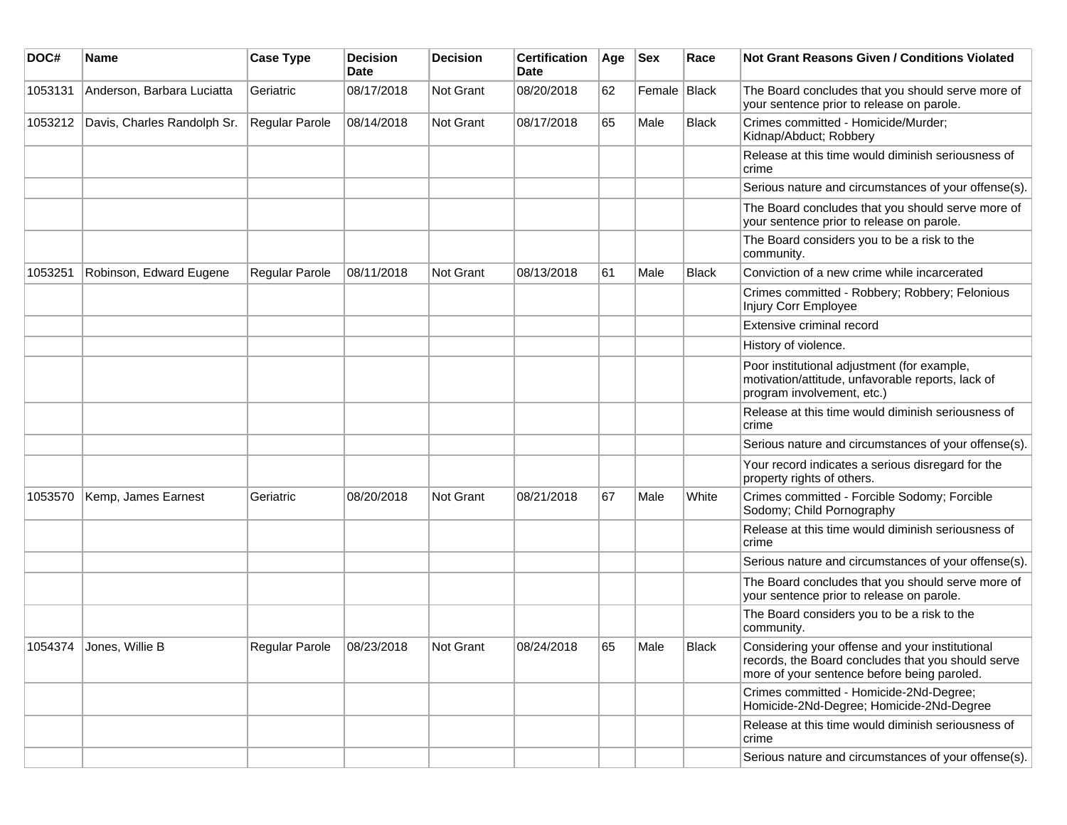| DOC#    | Name                        | <b>Case Type</b>      | <b>Decision</b><br><b>Date</b> | <b>Decision</b>  | <b>Certification</b><br>Date | Age | <b>Sex</b>     | Race         | <b>Not Grant Reasons Given / Conditions Violated</b>                                                                                                 |
|---------|-----------------------------|-----------------------|--------------------------------|------------------|------------------------------|-----|----------------|--------------|------------------------------------------------------------------------------------------------------------------------------------------------------|
| 1053131 | Anderson, Barbara Luciatta  | Geriatric             | 08/17/2018                     | Not Grant        | 08/20/2018                   | 62  | Female   Black |              | The Board concludes that you should serve more of<br>your sentence prior to release on parole.                                                       |
| 1053212 | Davis, Charles Randolph Sr. | Regular Parole        | 08/14/2018                     | Not Grant        | 08/17/2018                   | 65  | Male           | Black        | Crimes committed - Homicide/Murder;<br>Kidnap/Abduct; Robbery                                                                                        |
|         |                             |                       |                                |                  |                              |     |                |              | Release at this time would diminish seriousness of<br>crime                                                                                          |
|         |                             |                       |                                |                  |                              |     |                |              | Serious nature and circumstances of your offense(s).                                                                                                 |
|         |                             |                       |                                |                  |                              |     |                |              | The Board concludes that you should serve more of<br>your sentence prior to release on parole.                                                       |
|         |                             |                       |                                |                  |                              |     |                |              | The Board considers you to be a risk to the<br>community.                                                                                            |
| 1053251 | Robinson, Edward Eugene     | <b>Regular Parole</b> | 08/11/2018                     | <b>Not Grant</b> | 08/13/2018                   | 61  | Male           | <b>Black</b> | Conviction of a new crime while incarcerated                                                                                                         |
|         |                             |                       |                                |                  |                              |     |                |              | Crimes committed - Robbery; Robbery; Felonious<br>Injury Corr Employee                                                                               |
|         |                             |                       |                                |                  |                              |     |                |              | Extensive criminal record                                                                                                                            |
|         |                             |                       |                                |                  |                              |     |                |              | History of violence.                                                                                                                                 |
|         |                             |                       |                                |                  |                              |     |                |              | Poor institutional adjustment (for example,<br>motivation/attitude, unfavorable reports, lack of<br>program involvement, etc.)                       |
|         |                             |                       |                                |                  |                              |     |                |              | Release at this time would diminish seriousness of<br>crime                                                                                          |
|         |                             |                       |                                |                  |                              |     |                |              | Serious nature and circumstances of your offense(s).                                                                                                 |
|         |                             |                       |                                |                  |                              |     |                |              | Your record indicates a serious disregard for the<br>property rights of others.                                                                      |
| 1053570 | Kemp, James Earnest         | Geriatric             | 08/20/2018                     | <b>Not Grant</b> | 08/21/2018                   | 67  | Male           | White        | Crimes committed - Forcible Sodomy; Forcible<br>Sodomy; Child Pornography                                                                            |
|         |                             |                       |                                |                  |                              |     |                |              | Release at this time would diminish seriousness of<br>crime                                                                                          |
|         |                             |                       |                                |                  |                              |     |                |              | Serious nature and circumstances of your offense(s).                                                                                                 |
|         |                             |                       |                                |                  |                              |     |                |              | The Board concludes that you should serve more of<br>your sentence prior to release on parole.                                                       |
|         |                             |                       |                                |                  |                              |     |                |              | The Board considers you to be a risk to the<br>community.                                                                                            |
| 1054374 | Jones, Willie B             | <b>Regular Parole</b> | 08/23/2018                     | <b>Not Grant</b> | 08/24/2018                   | 65  | Male           | Black        | Considering your offense and your institutional<br>records, the Board concludes that you should serve<br>more of your sentence before being paroled. |
|         |                             |                       |                                |                  |                              |     |                |              | Crimes committed - Homicide-2Nd-Degree;<br>Homicide-2Nd-Degree; Homicide-2Nd-Degree                                                                  |
|         |                             |                       |                                |                  |                              |     |                |              | Release at this time would diminish seriousness of<br>crime                                                                                          |
|         |                             |                       |                                |                  |                              |     |                |              | Serious nature and circumstances of your offense(s).                                                                                                 |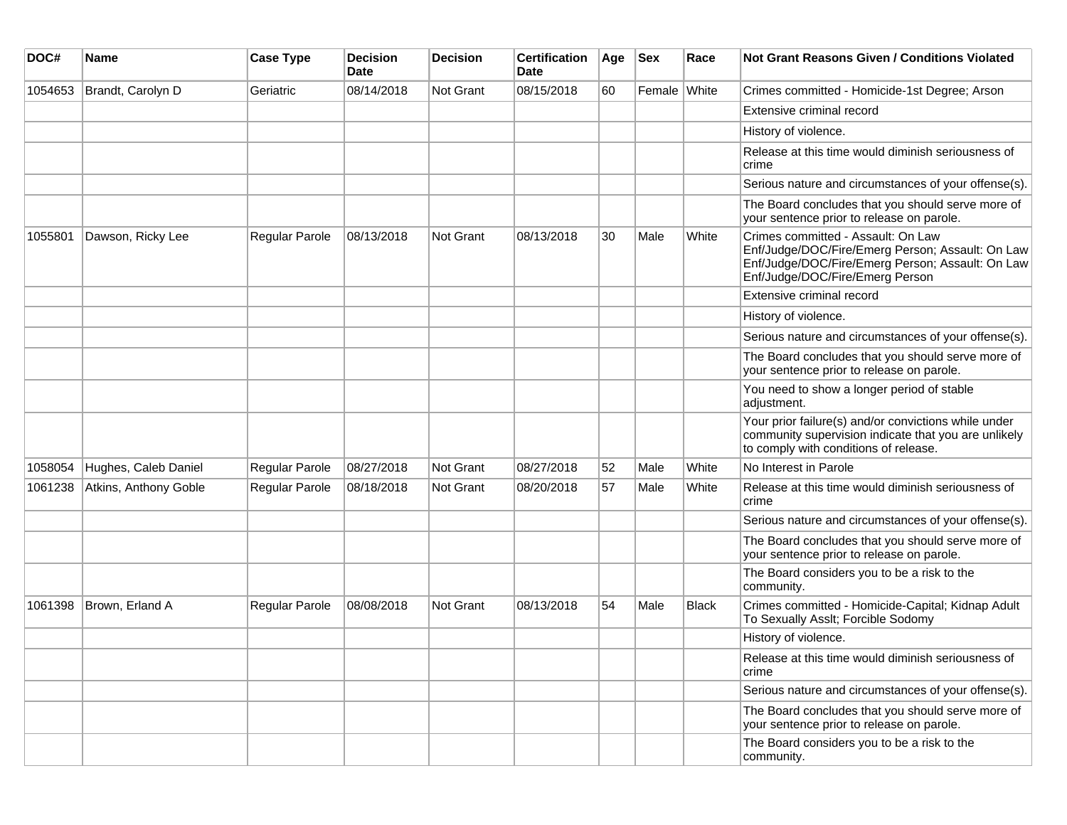| DOC#    | Name                  | <b>Case Type</b> | <b>Decision</b><br><b>Date</b> | <b>Decision</b>  | <b>Certification</b><br>Date | Age | <b>Sex</b>   | Race  | Not Grant Reasons Given / Conditions Violated                                                                                                                                 |
|---------|-----------------------|------------------|--------------------------------|------------------|------------------------------|-----|--------------|-------|-------------------------------------------------------------------------------------------------------------------------------------------------------------------------------|
| 1054653 | Brandt, Carolyn D     | Geriatric        | 08/14/2018                     | Not Grant        | 08/15/2018                   | 60  | Female White |       | Crimes committed - Homicide-1st Degree; Arson                                                                                                                                 |
|         |                       |                  |                                |                  |                              |     |              |       | Extensive criminal record                                                                                                                                                     |
|         |                       |                  |                                |                  |                              |     |              |       | History of violence.                                                                                                                                                          |
|         |                       |                  |                                |                  |                              |     |              |       | Release at this time would diminish seriousness of<br>crime                                                                                                                   |
|         |                       |                  |                                |                  |                              |     |              |       | Serious nature and circumstances of your offense(s).                                                                                                                          |
|         |                       |                  |                                |                  |                              |     |              |       | The Board concludes that you should serve more of<br>your sentence prior to release on parole.                                                                                |
| 1055801 | Dawson, Ricky Lee     | Regular Parole   | 08/13/2018                     | Not Grant        | 08/13/2018                   | 30  | Male         | White | Crimes committed - Assault: On Law<br>Enf/Judge/DOC/Fire/Emerg Person; Assault: On Law<br>Enf/Judge/DOC/Fire/Emerg Person; Assault: On Law<br>Enf/Judge/DOC/Fire/Emerg Person |
|         |                       |                  |                                |                  |                              |     |              |       | Extensive criminal record                                                                                                                                                     |
|         |                       |                  |                                |                  |                              |     |              |       | History of violence.                                                                                                                                                          |
|         |                       |                  |                                |                  |                              |     |              |       | Serious nature and circumstances of your offense(s).                                                                                                                          |
|         |                       |                  |                                |                  |                              |     |              |       | The Board concludes that you should serve more of<br>your sentence prior to release on parole.                                                                                |
|         |                       |                  |                                |                  |                              |     |              |       | You need to show a longer period of stable<br>adjustment.                                                                                                                     |
|         |                       |                  |                                |                  |                              |     |              |       | Your prior failure(s) and/or convictions while under<br>community supervision indicate that you are unlikely<br>to comply with conditions of release.                         |
| 1058054 | Hughes, Caleb Daniel  | Regular Parole   | 08/27/2018                     | Not Grant        | 08/27/2018                   | 52  | Male         | White | No Interest in Parole                                                                                                                                                         |
| 1061238 | Atkins, Anthony Goble | Regular Parole   | 08/18/2018                     | <b>Not Grant</b> | 08/20/2018                   | 57  | Male         | White | Release at this time would diminish seriousness of<br>crime                                                                                                                   |
|         |                       |                  |                                |                  |                              |     |              |       | Serious nature and circumstances of your offense(s).                                                                                                                          |
|         |                       |                  |                                |                  |                              |     |              |       | The Board concludes that you should serve more of<br>your sentence prior to release on parole.                                                                                |
|         |                       |                  |                                |                  |                              |     |              |       | The Board considers you to be a risk to the<br>community.                                                                                                                     |
| 1061398 | Brown, Erland A       | Regular Parole   | 08/08/2018                     | Not Grant        | 08/13/2018                   | 54  | Male         | Black | Crimes committed - Homicide-Capital; Kidnap Adult<br>To Sexually Asslt; Forcible Sodomy                                                                                       |
|         |                       |                  |                                |                  |                              |     |              |       | History of violence.                                                                                                                                                          |
|         |                       |                  |                                |                  |                              |     |              |       | Release at this time would diminish seriousness of<br>crime                                                                                                                   |
|         |                       |                  |                                |                  |                              |     |              |       | Serious nature and circumstances of your offense(s).                                                                                                                          |
|         |                       |                  |                                |                  |                              |     |              |       | The Board concludes that you should serve more of<br>your sentence prior to release on parole.                                                                                |
|         |                       |                  |                                |                  |                              |     |              |       | The Board considers you to be a risk to the<br>community.                                                                                                                     |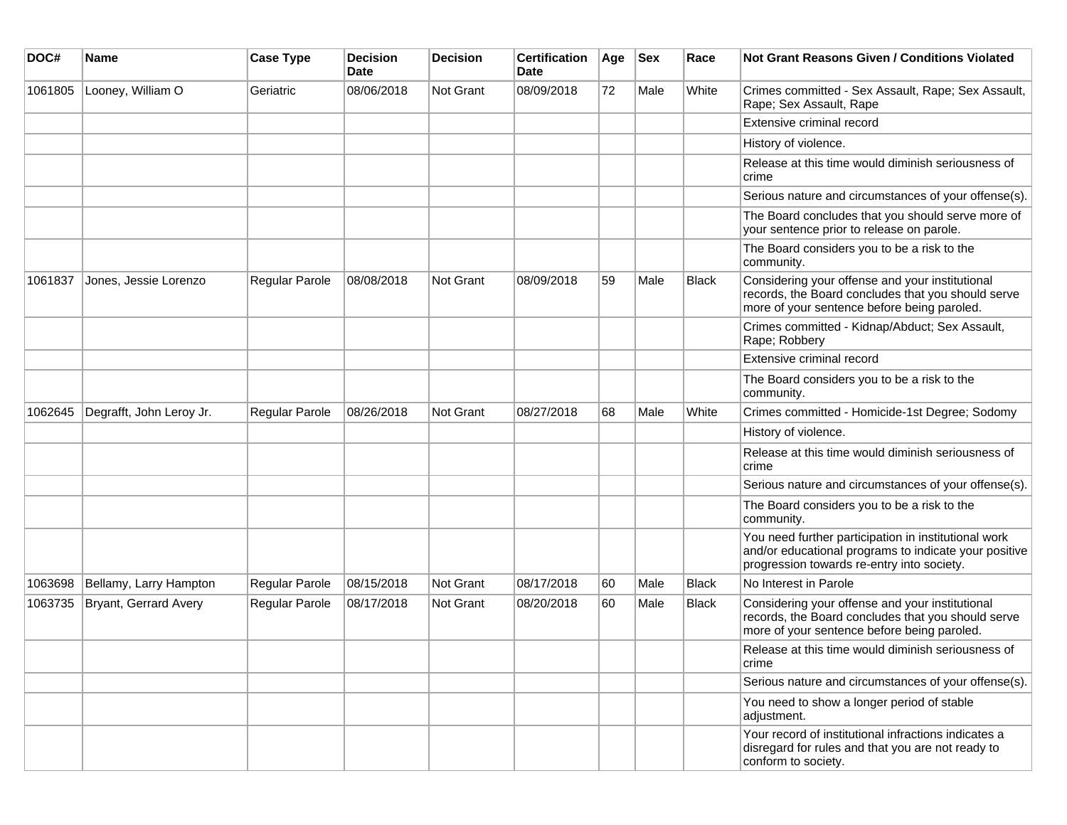| DOC#    | <b>Name</b>              | <b>Case Type</b> | <b>Decision</b><br>Date | <b>Decision</b>  | <b>Certification</b><br>Date | Age | <b>Sex</b> | Race         | <b>Not Grant Reasons Given / Conditions Violated</b>                                                                                                        |
|---------|--------------------------|------------------|-------------------------|------------------|------------------------------|-----|------------|--------------|-------------------------------------------------------------------------------------------------------------------------------------------------------------|
| 1061805 | Looney, William O        | Geriatric        | 08/06/2018              | Not Grant        | 08/09/2018                   | 72  | Male       | White        | Crimes committed - Sex Assault, Rape; Sex Assault,<br>Rape; Sex Assault, Rape                                                                               |
|         |                          |                  |                         |                  |                              |     |            |              | Extensive criminal record                                                                                                                                   |
|         |                          |                  |                         |                  |                              |     |            |              | History of violence.                                                                                                                                        |
|         |                          |                  |                         |                  |                              |     |            |              | Release at this time would diminish seriousness of<br>crime                                                                                                 |
|         |                          |                  |                         |                  |                              |     |            |              | Serious nature and circumstances of your offense(s).                                                                                                        |
|         |                          |                  |                         |                  |                              |     |            |              | The Board concludes that you should serve more of<br>your sentence prior to release on parole.                                                              |
|         |                          |                  |                         |                  |                              |     |            |              | The Board considers you to be a risk to the<br>community.                                                                                                   |
| 1061837 | Jones, Jessie Lorenzo    | Regular Parole   | 08/08/2018              | <b>Not Grant</b> | 08/09/2018                   | 59  | Male       | <b>Black</b> | Considering your offense and your institutional<br>records, the Board concludes that you should serve<br>more of your sentence before being paroled.        |
|         |                          |                  |                         |                  |                              |     |            |              | Crimes committed - Kidnap/Abduct; Sex Assault,<br>Rape; Robbery                                                                                             |
|         |                          |                  |                         |                  |                              |     |            |              | Extensive criminal record                                                                                                                                   |
|         |                          |                  |                         |                  |                              |     |            |              | The Board considers you to be a risk to the<br>community.                                                                                                   |
| 1062645 | Degrafft, John Leroy Jr. | Regular Parole   | 08/26/2018              | <b>Not Grant</b> | 08/27/2018                   | 68  | Male       | White        | Crimes committed - Homicide-1st Degree; Sodomy                                                                                                              |
|         |                          |                  |                         |                  |                              |     |            |              | History of violence.                                                                                                                                        |
|         |                          |                  |                         |                  |                              |     |            |              | Release at this time would diminish seriousness of<br>crime                                                                                                 |
|         |                          |                  |                         |                  |                              |     |            |              | Serious nature and circumstances of your offense(s).                                                                                                        |
|         |                          |                  |                         |                  |                              |     |            |              | The Board considers you to be a risk to the<br>community.                                                                                                   |
|         |                          |                  |                         |                  |                              |     |            |              | You need further participation in institutional work<br>and/or educational programs to indicate your positive<br>progression towards re-entry into society. |
| 1063698 | Bellamy, Larry Hampton   | Regular Parole   | 08/15/2018              | <b>Not Grant</b> | 08/17/2018                   | 60  | Male       | Black        | No Interest in Parole                                                                                                                                       |
| 1063735 | Bryant, Gerrard Avery    | Regular Parole   | 08/17/2018              | <b>Not Grant</b> | 08/20/2018                   | 60  | Male       | <b>Black</b> | Considering your offense and your institutional<br>records, the Board concludes that you should serve<br>more of your sentence before being paroled.        |
|         |                          |                  |                         |                  |                              |     |            |              | Release at this time would diminish seriousness of<br>crime                                                                                                 |
|         |                          |                  |                         |                  |                              |     |            |              | Serious nature and circumstances of your offense(s).                                                                                                        |
|         |                          |                  |                         |                  |                              |     |            |              | You need to show a longer period of stable<br>adjustment.                                                                                                   |
|         |                          |                  |                         |                  |                              |     |            |              | Your record of institutional infractions indicates a<br>disregard for rules and that you are not ready to<br>conform to society.                            |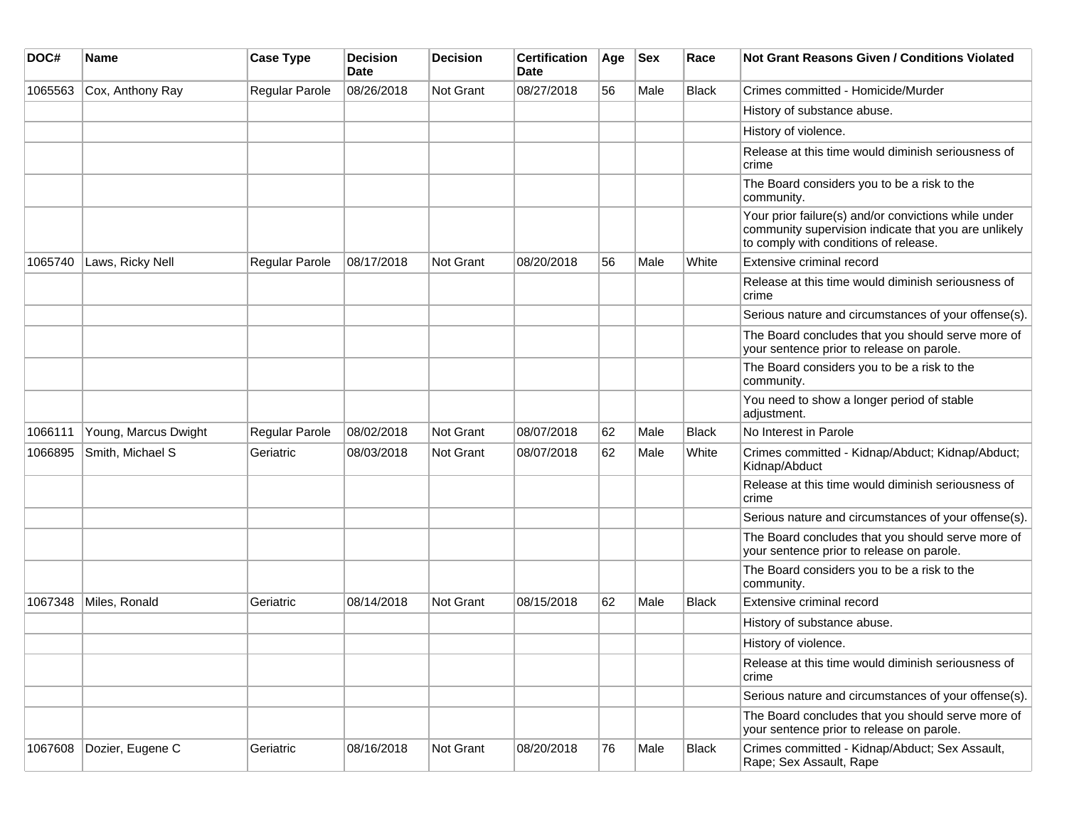| DOC#    | <b>Name</b>          | <b>Case Type</b> | <b>Decision</b><br><b>Date</b> | <b>Decision</b>  | <b>Certification</b><br><b>Date</b> | Age | <b>Sex</b> | Race         | Not Grant Reasons Given / Conditions Violated                                                                                                         |
|---------|----------------------|------------------|--------------------------------|------------------|-------------------------------------|-----|------------|--------------|-------------------------------------------------------------------------------------------------------------------------------------------------------|
| 1065563 | Cox, Anthony Ray     | Regular Parole   | 08/26/2018                     | <b>Not Grant</b> | 08/27/2018                          | 56  | Male       | Black        | Crimes committed - Homicide/Murder                                                                                                                    |
|         |                      |                  |                                |                  |                                     |     |            |              | History of substance abuse.                                                                                                                           |
|         |                      |                  |                                |                  |                                     |     |            |              | History of violence.                                                                                                                                  |
|         |                      |                  |                                |                  |                                     |     |            |              | Release at this time would diminish seriousness of<br>crime                                                                                           |
|         |                      |                  |                                |                  |                                     |     |            |              | The Board considers you to be a risk to the<br>community.                                                                                             |
|         |                      |                  |                                |                  |                                     |     |            |              | Your prior failure(s) and/or convictions while under<br>community supervision indicate that you are unlikely<br>to comply with conditions of release. |
| 1065740 | Laws, Ricky Nell     | Regular Parole   | 08/17/2018                     | <b>Not Grant</b> | 08/20/2018                          | 56  | Male       | White        | Extensive criminal record                                                                                                                             |
|         |                      |                  |                                |                  |                                     |     |            |              | Release at this time would diminish seriousness of<br>crime                                                                                           |
|         |                      |                  |                                |                  |                                     |     |            |              | Serious nature and circumstances of your offense(s).                                                                                                  |
|         |                      |                  |                                |                  |                                     |     |            |              | The Board concludes that you should serve more of<br>your sentence prior to release on parole.                                                        |
|         |                      |                  |                                |                  |                                     |     |            |              | The Board considers you to be a risk to the<br>community.                                                                                             |
|         |                      |                  |                                |                  |                                     |     |            |              | You need to show a longer period of stable<br>adjustment.                                                                                             |
| 1066111 | Young, Marcus Dwight | Regular Parole   | 08/02/2018                     | <b>Not Grant</b> | 08/07/2018                          | 62  | Male       | <b>Black</b> | No Interest in Parole                                                                                                                                 |
| 1066895 | Smith, Michael S     | Geriatric        | 08/03/2018                     | <b>Not Grant</b> | 08/07/2018                          | 62  | Male       | White        | Crimes committed - Kidnap/Abduct; Kidnap/Abduct;<br>Kidnap/Abduct                                                                                     |
|         |                      |                  |                                |                  |                                     |     |            |              | Release at this time would diminish seriousness of<br>crime                                                                                           |
|         |                      |                  |                                |                  |                                     |     |            |              | Serious nature and circumstances of your offense(s).                                                                                                  |
|         |                      |                  |                                |                  |                                     |     |            |              | The Board concludes that you should serve more of<br>your sentence prior to release on parole.                                                        |
|         |                      |                  |                                |                  |                                     |     |            |              | The Board considers you to be a risk to the<br>community.                                                                                             |
| 1067348 | Miles, Ronald        | Geriatric        | 08/14/2018                     | Not Grant        | 08/15/2018                          | 62  | Male       | <b>Black</b> | Extensive criminal record                                                                                                                             |
|         |                      |                  |                                |                  |                                     |     |            |              | History of substance abuse.                                                                                                                           |
|         |                      |                  |                                |                  |                                     |     |            |              | History of violence.                                                                                                                                  |
|         |                      |                  |                                |                  |                                     |     |            |              | Release at this time would diminish seriousness of<br>crime                                                                                           |
|         |                      |                  |                                |                  |                                     |     |            |              | Serious nature and circumstances of your offense(s).                                                                                                  |
|         |                      |                  |                                |                  |                                     |     |            |              | The Board concludes that you should serve more of<br>your sentence prior to release on parole.                                                        |
| 1067608 | Dozier, Eugene C     | Geriatric        | 08/16/2018                     | Not Grant        | 08/20/2018                          | 76  | Male       | Black        | Crimes committed - Kidnap/Abduct; Sex Assault,<br>Rape; Sex Assault, Rape                                                                             |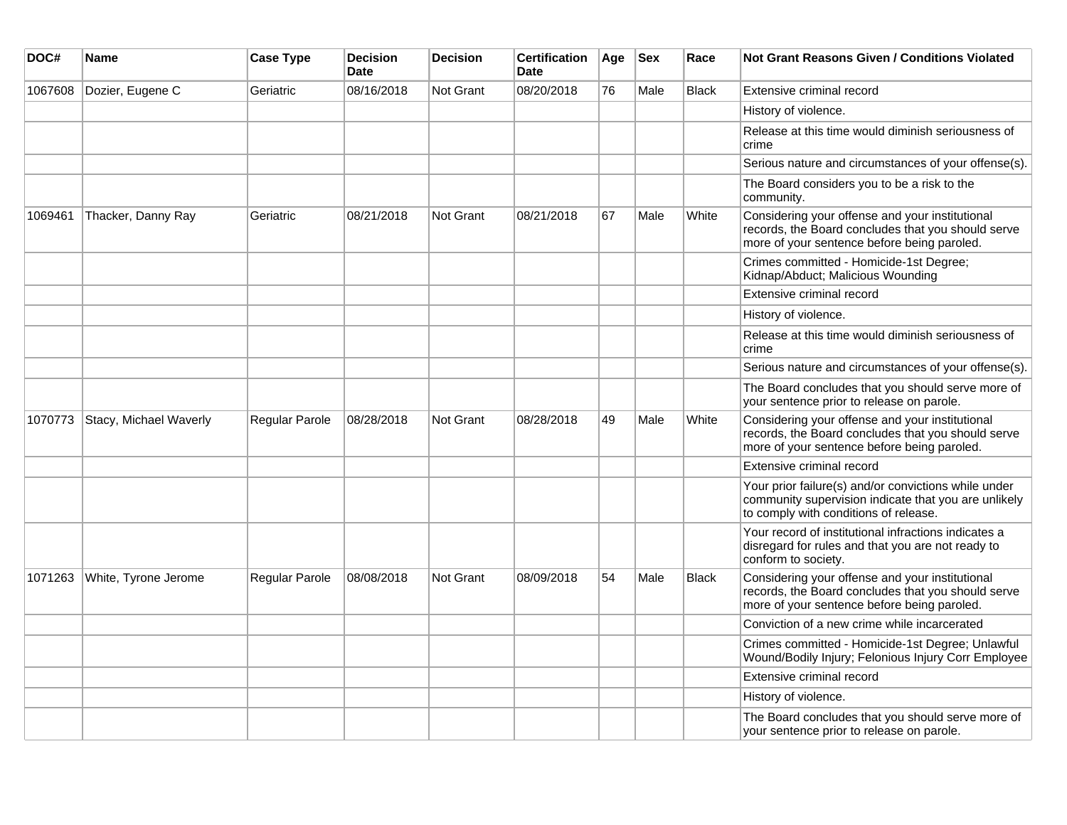| DOC#    | <b>Name</b>            | <b>Case Type</b> | <b>Decision</b><br><b>Date</b> | <b>Decision</b> | <b>Certification</b><br><b>Date</b> | Age | <b>Sex</b> | Race         | <b>Not Grant Reasons Given / Conditions Violated</b>                                                                                                  |
|---------|------------------------|------------------|--------------------------------|-----------------|-------------------------------------|-----|------------|--------------|-------------------------------------------------------------------------------------------------------------------------------------------------------|
| 1067608 | Dozier, Eugene C       | Geriatric        | 08/16/2018                     | Not Grant       | 08/20/2018                          | 76  | Male       | <b>Black</b> | Extensive criminal record                                                                                                                             |
|         |                        |                  |                                |                 |                                     |     |            |              | History of violence.                                                                                                                                  |
|         |                        |                  |                                |                 |                                     |     |            |              | Release at this time would diminish seriousness of<br>crime                                                                                           |
|         |                        |                  |                                |                 |                                     |     |            |              | Serious nature and circumstances of your offense(s).                                                                                                  |
|         |                        |                  |                                |                 |                                     |     |            |              | The Board considers you to be a risk to the<br>community.                                                                                             |
| 1069461 | Thacker, Danny Ray     | Geriatric        | 08/21/2018                     | Not Grant       | 08/21/2018                          | 67  | Male       | White        | Considering your offense and your institutional<br>records, the Board concludes that you should serve<br>more of your sentence before being paroled.  |
|         |                        |                  |                                |                 |                                     |     |            |              | Crimes committed - Homicide-1st Degree;<br>Kidnap/Abduct; Malicious Wounding                                                                          |
|         |                        |                  |                                |                 |                                     |     |            |              | Extensive criminal record                                                                                                                             |
|         |                        |                  |                                |                 |                                     |     |            |              | History of violence.                                                                                                                                  |
|         |                        |                  |                                |                 |                                     |     |            |              | Release at this time would diminish seriousness of<br>crime                                                                                           |
|         |                        |                  |                                |                 |                                     |     |            |              | Serious nature and circumstances of your offense(s).                                                                                                  |
|         |                        |                  |                                |                 |                                     |     |            |              | The Board concludes that you should serve more of<br>your sentence prior to release on parole.                                                        |
| 1070773 | Stacy, Michael Waverly | Regular Parole   | 08/28/2018                     | Not Grant       | 08/28/2018                          | 49  | Male       | White        | Considering your offense and your institutional<br>records, the Board concludes that you should serve<br>more of your sentence before being paroled.  |
|         |                        |                  |                                |                 |                                     |     |            |              | Extensive criminal record                                                                                                                             |
|         |                        |                  |                                |                 |                                     |     |            |              | Your prior failure(s) and/or convictions while under<br>community supervision indicate that you are unlikely<br>to comply with conditions of release. |
|         |                        |                  |                                |                 |                                     |     |            |              | Your record of institutional infractions indicates a<br>disregard for rules and that you are not ready to<br>conform to society.                      |
| 1071263 | White, Tyrone Jerome   | Regular Parole   | 08/08/2018                     | Not Grant       | 08/09/2018                          | 54  | Male       | Black        | Considering your offense and your institutional<br>records, the Board concludes that you should serve<br>more of your sentence before being paroled.  |
|         |                        |                  |                                |                 |                                     |     |            |              | Conviction of a new crime while incarcerated                                                                                                          |
|         |                        |                  |                                |                 |                                     |     |            |              | Crimes committed - Homicide-1st Degree; Unlawful<br>Wound/Bodily Injury; Felonious Injury Corr Employee                                               |
|         |                        |                  |                                |                 |                                     |     |            |              | Extensive criminal record                                                                                                                             |
|         |                        |                  |                                |                 |                                     |     |            |              | History of violence.                                                                                                                                  |
|         |                        |                  |                                |                 |                                     |     |            |              | The Board concludes that you should serve more of<br>your sentence prior to release on parole.                                                        |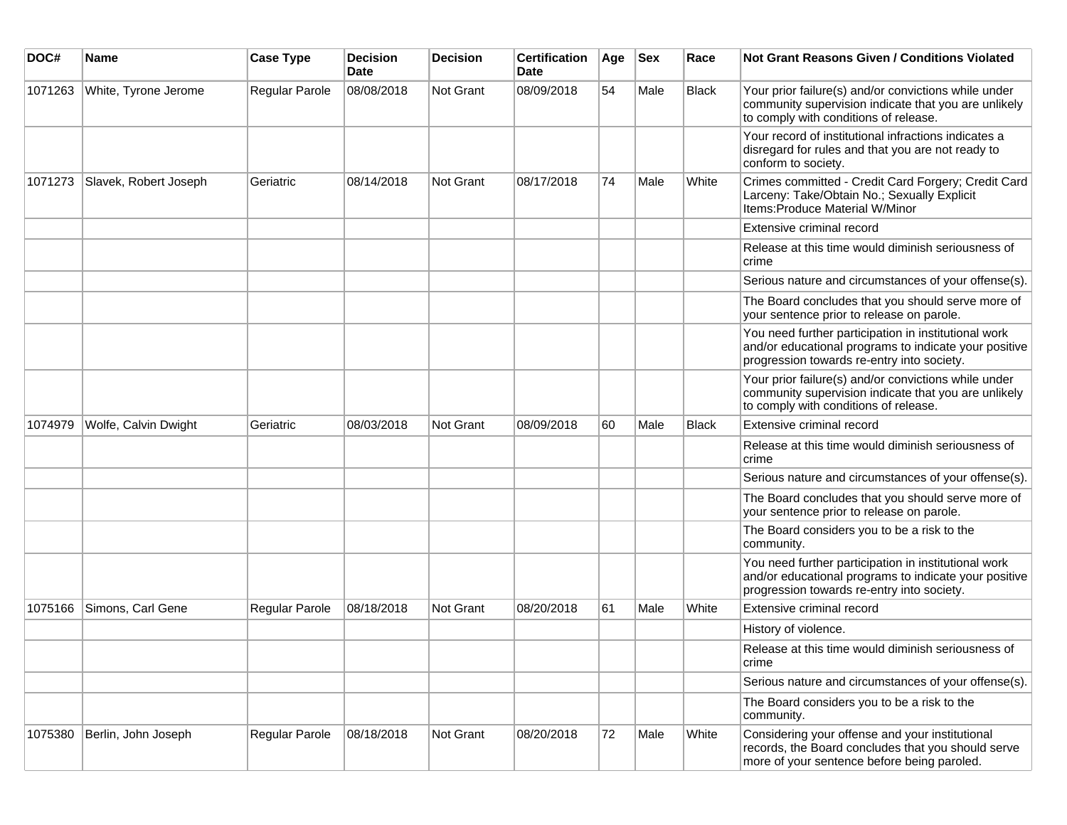| DOC#    | <b>Name</b>           | <b>Case Type</b> | <b>Decision</b><br><b>Date</b> | <b>Decision</b> | <b>Certification</b><br>Date | Age | <b>Sex</b> | Race         | <b>Not Grant Reasons Given / Conditions Violated</b>                                                                                                        |
|---------|-----------------------|------------------|--------------------------------|-----------------|------------------------------|-----|------------|--------------|-------------------------------------------------------------------------------------------------------------------------------------------------------------|
| 1071263 | White, Tyrone Jerome  | Regular Parole   | 08/08/2018                     | Not Grant       | 08/09/2018                   | 54  | Male       | <b>Black</b> | Your prior failure(s) and/or convictions while under<br>community supervision indicate that you are unlikely<br>to comply with conditions of release.       |
|         |                       |                  |                                |                 |                              |     |            |              | Your record of institutional infractions indicates a<br>disregard for rules and that you are not ready to<br>conform to society.                            |
| 1071273 | Slavek, Robert Joseph | Geriatric        | 08/14/2018                     | Not Grant       | 08/17/2018                   | 74  | Male       | White        | Crimes committed - Credit Card Forgery; Credit Card<br>Larceny: Take/Obtain No.; Sexually Explicit<br>Items: Produce Material W/Minor                       |
|         |                       |                  |                                |                 |                              |     |            |              | Extensive criminal record                                                                                                                                   |
|         |                       |                  |                                |                 |                              |     |            |              | Release at this time would diminish seriousness of<br>crime                                                                                                 |
|         |                       |                  |                                |                 |                              |     |            |              | Serious nature and circumstances of your offense(s).                                                                                                        |
|         |                       |                  |                                |                 |                              |     |            |              | The Board concludes that you should serve more of<br>your sentence prior to release on parole.                                                              |
|         |                       |                  |                                |                 |                              |     |            |              | You need further participation in institutional work<br>and/or educational programs to indicate your positive<br>progression towards re-entry into society. |
|         |                       |                  |                                |                 |                              |     |            |              | Your prior failure(s) and/or convictions while under<br>community supervision indicate that you are unlikely<br>to comply with conditions of release.       |
| 1074979 | Wolfe, Calvin Dwight  | Geriatric        | 08/03/2018                     | Not Grant       | 08/09/2018                   | 60  | Male       | <b>Black</b> | Extensive criminal record                                                                                                                                   |
|         |                       |                  |                                |                 |                              |     |            |              | Release at this time would diminish seriousness of<br>crime                                                                                                 |
|         |                       |                  |                                |                 |                              |     |            |              | Serious nature and circumstances of your offense(s).                                                                                                        |
|         |                       |                  |                                |                 |                              |     |            |              | The Board concludes that you should serve more of<br>your sentence prior to release on parole.                                                              |
|         |                       |                  |                                |                 |                              |     |            |              | The Board considers you to be a risk to the<br>community.                                                                                                   |
|         |                       |                  |                                |                 |                              |     |            |              | You need further participation in institutional work<br>and/or educational programs to indicate your positive<br>progression towards re-entry into society. |
| 1075166 | Simons, Carl Gene     | Regular Parole   | 08/18/2018                     | Not Grant       | 08/20/2018                   | 61  | Male       | White        | Extensive criminal record                                                                                                                                   |
|         |                       |                  |                                |                 |                              |     |            |              | History of violence.                                                                                                                                        |
|         |                       |                  |                                |                 |                              |     |            |              | Release at this time would diminish seriousness of<br>crime                                                                                                 |
|         |                       |                  |                                |                 |                              |     |            |              | Serious nature and circumstances of your offense(s).                                                                                                        |
|         |                       |                  |                                |                 |                              |     |            |              | The Board considers you to be a risk to the<br>community.                                                                                                   |
| 1075380 | Berlin, John Joseph   | Regular Parole   | 08/18/2018                     | Not Grant       | 08/20/2018                   | 72  | Male       | White        | Considering your offense and your institutional<br>records, the Board concludes that you should serve<br>more of your sentence before being paroled.        |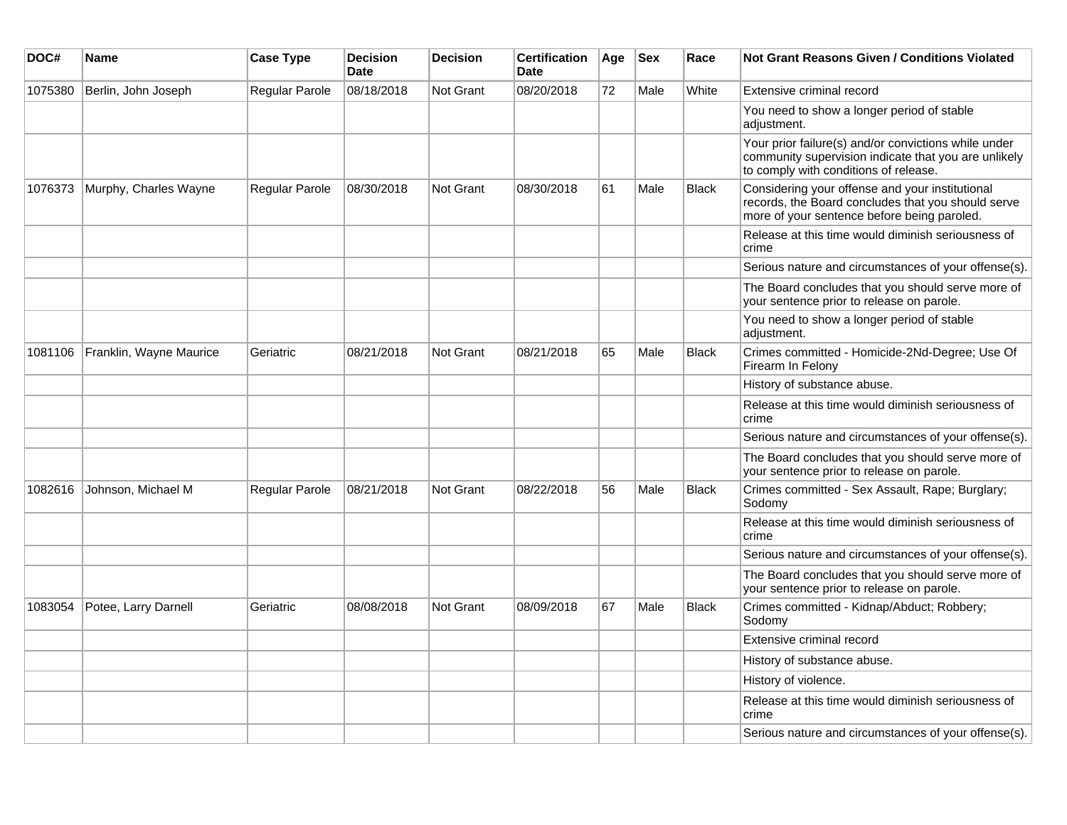| DOC#    | Name                    | <b>Case Type</b> | <b>Decision</b><br><b>Date</b> | <b>Decision</b> | <b>Certification</b><br><b>Date</b> | Age | <b>Sex</b> | Race         | <b>Not Grant Reasons Given / Conditions Violated</b>                                                                                                  |
|---------|-------------------------|------------------|--------------------------------|-----------------|-------------------------------------|-----|------------|--------------|-------------------------------------------------------------------------------------------------------------------------------------------------------|
| 1075380 | Berlin, John Joseph     | Regular Parole   | 08/18/2018                     | Not Grant       | 08/20/2018                          | 72  | Male       | White        | Extensive criminal record                                                                                                                             |
|         |                         |                  |                                |                 |                                     |     |            |              | You need to show a longer period of stable<br>adjustment.                                                                                             |
|         |                         |                  |                                |                 |                                     |     |            |              | Your prior failure(s) and/or convictions while under<br>community supervision indicate that you are unlikely<br>to comply with conditions of release. |
| 1076373 | Murphy, Charles Wayne   | Regular Parole   | 08/30/2018                     | Not Grant       | 08/30/2018                          | 61  | Male       | <b>Black</b> | Considering your offense and your institutional<br>records, the Board concludes that you should serve<br>more of your sentence before being paroled.  |
|         |                         |                  |                                |                 |                                     |     |            |              | Release at this time would diminish seriousness of<br>crime                                                                                           |
|         |                         |                  |                                |                 |                                     |     |            |              | Serious nature and circumstances of your offense(s).                                                                                                  |
|         |                         |                  |                                |                 |                                     |     |            |              | The Board concludes that you should serve more of<br>your sentence prior to release on parole.                                                        |
|         |                         |                  |                                |                 |                                     |     |            |              | You need to show a longer period of stable<br>adjustment.                                                                                             |
| 1081106 | Franklin, Wayne Maurice | Geriatric        | 08/21/2018                     | Not Grant       | 08/21/2018                          | 65  | Male       | <b>Black</b> | Crimes committed - Homicide-2Nd-Degree; Use Of<br>Firearm In Felony                                                                                   |
|         |                         |                  |                                |                 |                                     |     |            |              | History of substance abuse.                                                                                                                           |
|         |                         |                  |                                |                 |                                     |     |            |              | Release at this time would diminish seriousness of<br>crime                                                                                           |
|         |                         |                  |                                |                 |                                     |     |            |              | Serious nature and circumstances of your offense(s).                                                                                                  |
|         |                         |                  |                                |                 |                                     |     |            |              | The Board concludes that you should serve more of<br>your sentence prior to release on parole.                                                        |
| 1082616 | Johnson, Michael M      | Regular Parole   | 08/21/2018                     | Not Grant       | 08/22/2018                          | 56  | Male       | <b>Black</b> | Crimes committed - Sex Assault, Rape; Burglary;<br>Sodomy                                                                                             |
|         |                         |                  |                                |                 |                                     |     |            |              | Release at this time would diminish seriousness of<br>crime                                                                                           |
|         |                         |                  |                                |                 |                                     |     |            |              | Serious nature and circumstances of your offense(s).                                                                                                  |
|         |                         |                  |                                |                 |                                     |     |            |              | The Board concludes that you should serve more of<br>your sentence prior to release on parole.                                                        |
| 1083054 | Potee, Larry Darnell    | Geriatric        | 08/08/2018                     | Not Grant       | 08/09/2018                          | 67  | Male       | <b>Black</b> | Crimes committed - Kidnap/Abduct; Robbery;<br>Sodomy                                                                                                  |
|         |                         |                  |                                |                 |                                     |     |            |              | Extensive criminal record                                                                                                                             |
|         |                         |                  |                                |                 |                                     |     |            |              | History of substance abuse.                                                                                                                           |
|         |                         |                  |                                |                 |                                     |     |            |              | History of violence.                                                                                                                                  |
|         |                         |                  |                                |                 |                                     |     |            |              | Release at this time would diminish seriousness of<br>crime                                                                                           |
|         |                         |                  |                                |                 |                                     |     |            |              | Serious nature and circumstances of your offense(s).                                                                                                  |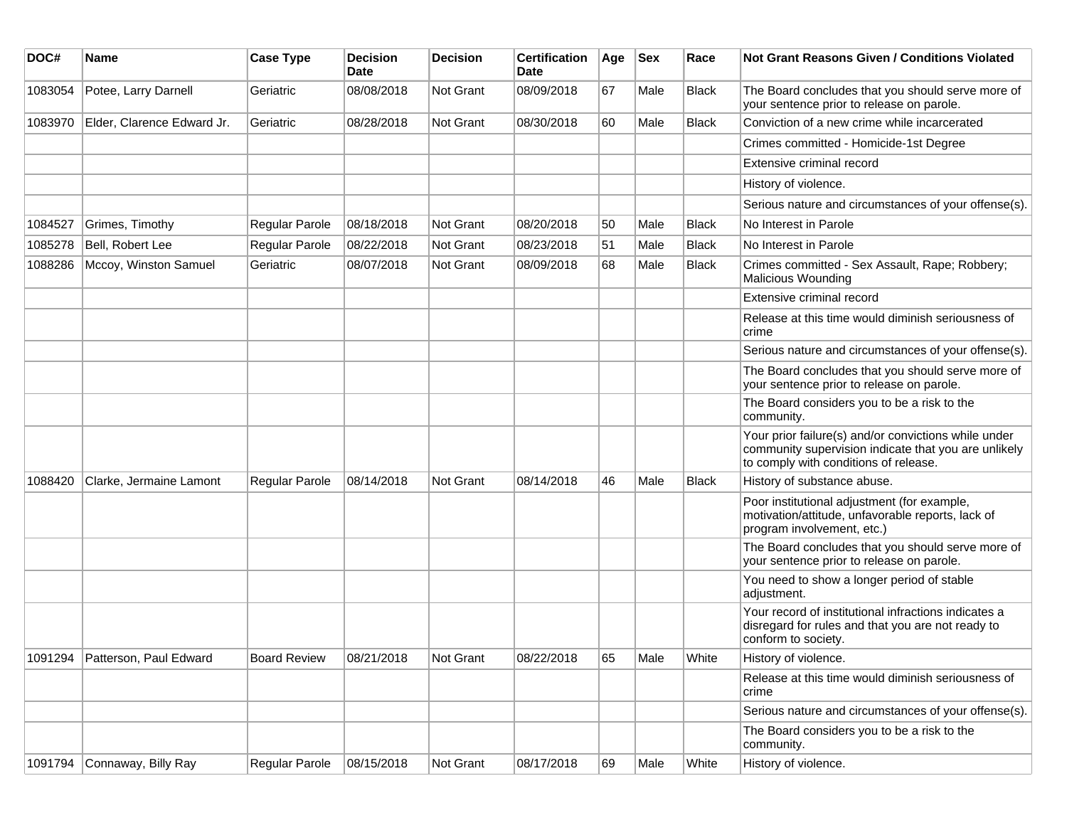| DOC#    | <b>Name</b>                      | <b>Case Type</b>    | <b>Decision</b><br><b>Date</b> | <b>Decision</b> | <b>Certification</b><br>Date | Age | <b>Sex</b> | Race         | Not Grant Reasons Given / Conditions Violated                                                                                                         |
|---------|----------------------------------|---------------------|--------------------------------|-----------------|------------------------------|-----|------------|--------------|-------------------------------------------------------------------------------------------------------------------------------------------------------|
| 1083054 | Potee, Larry Darnell             | Geriatric           | 08/08/2018                     | Not Grant       | 08/09/2018                   | 67  | Male       | <b>Black</b> | The Board concludes that you should serve more of<br>your sentence prior to release on parole.                                                        |
| 1083970 | Elder, Clarence Edward Jr.       | Geriatric           | 08/28/2018                     | Not Grant       | 08/30/2018                   | 60  | Male       | <b>Black</b> | Conviction of a new crime while incarcerated                                                                                                          |
|         |                                  |                     |                                |                 |                              |     |            |              | Crimes committed - Homicide-1st Degree                                                                                                                |
|         |                                  |                     |                                |                 |                              |     |            |              | Extensive criminal record                                                                                                                             |
|         |                                  |                     |                                |                 |                              |     |            |              | History of violence.                                                                                                                                  |
|         |                                  |                     |                                |                 |                              |     |            |              | Serious nature and circumstances of your offense(s).                                                                                                  |
| 1084527 | Grimes, Timothy                  | Regular Parole      | 08/18/2018                     | Not Grant       | 08/20/2018                   | 50  | Male       | <b>Black</b> | No Interest in Parole                                                                                                                                 |
| 1085278 | Bell, Robert Lee                 | Regular Parole      | 08/22/2018                     | Not Grant       | 08/23/2018                   | 51  | Male       | <b>Black</b> | No Interest in Parole                                                                                                                                 |
| 1088286 | Mccoy, Winston Samuel            | Geriatric           | 08/07/2018                     | Not Grant       | 08/09/2018                   | 68  | Male       | <b>Black</b> | Crimes committed - Sex Assault, Rape; Robbery;<br>Malicious Wounding                                                                                  |
|         |                                  |                     |                                |                 |                              |     |            |              | Extensive criminal record                                                                                                                             |
|         |                                  |                     |                                |                 |                              |     |            |              | Release at this time would diminish seriousness of<br>crime                                                                                           |
|         |                                  |                     |                                |                 |                              |     |            |              | Serious nature and circumstances of your offense(s).                                                                                                  |
|         |                                  |                     |                                |                 |                              |     |            |              | The Board concludes that you should serve more of<br>your sentence prior to release on parole.                                                        |
|         |                                  |                     |                                |                 |                              |     |            |              | The Board considers you to be a risk to the<br>community.                                                                                             |
|         |                                  |                     |                                |                 |                              |     |            |              | Your prior failure(s) and/or convictions while under<br>community supervision indicate that you are unlikely<br>to comply with conditions of release. |
| 1088420 | Clarke, Jermaine Lamont          | Regular Parole      | 08/14/2018                     | Not Grant       | 08/14/2018                   | 46  | Male       | <b>Black</b> | History of substance abuse.                                                                                                                           |
|         |                                  |                     |                                |                 |                              |     |            |              | Poor institutional adjustment (for example,<br>motivation/attitude, unfavorable reports, lack of<br>program involvement, etc.)                        |
|         |                                  |                     |                                |                 |                              |     |            |              | The Board concludes that you should serve more of<br>your sentence prior to release on parole.                                                        |
|         |                                  |                     |                                |                 |                              |     |            |              | You need to show a longer period of stable<br>adjustment.                                                                                             |
|         |                                  |                     |                                |                 |                              |     |            |              | Your record of institutional infractions indicates a<br>disregard for rules and that you are not ready to<br>conform to society.                      |
|         | 1091294   Patterson, Paul Edward | <b>Board Review</b> | 08/21/2018                     | Not Grant       | 08/22/2018                   | 65  | Male       | White        | History of violence.                                                                                                                                  |
|         |                                  |                     |                                |                 |                              |     |            |              | Release at this time would diminish seriousness of<br>crime                                                                                           |
|         |                                  |                     |                                |                 |                              |     |            |              | Serious nature and circumstances of your offense(s).                                                                                                  |
|         |                                  |                     |                                |                 |                              |     |            |              | The Board considers you to be a risk to the<br>community.                                                                                             |
| 1091794 | Connaway, Billy Ray              | Regular Parole      | 08/15/2018                     | Not Grant       | 08/17/2018                   | 69  | Male       | White        | History of violence.                                                                                                                                  |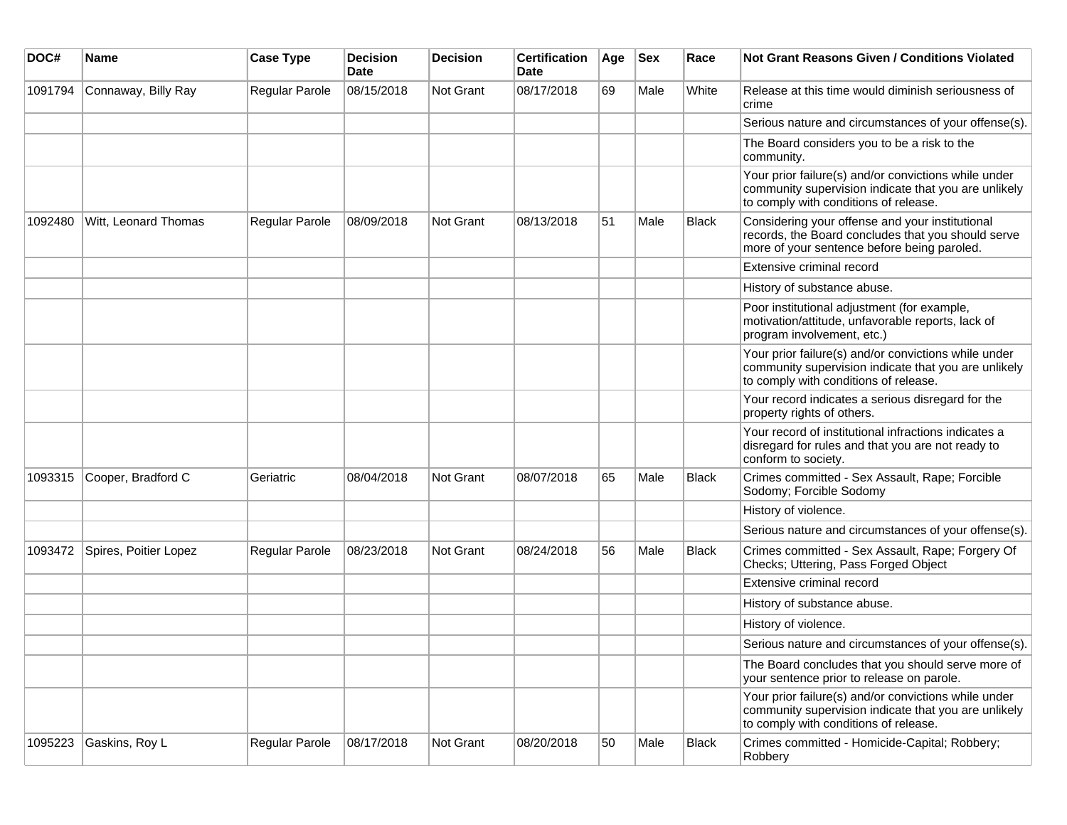| DOC#    | Name                  | <b>Case Type</b> | <b>Decision</b><br><b>Date</b> | <b>Decision</b>  | <b>Certification</b><br>Date | Age | <b>Sex</b> | Race         | Not Grant Reasons Given / Conditions Violated                                                                                                         |
|---------|-----------------------|------------------|--------------------------------|------------------|------------------------------|-----|------------|--------------|-------------------------------------------------------------------------------------------------------------------------------------------------------|
| 1091794 | Connaway, Billy Ray   | Regular Parole   | 08/15/2018                     | Not Grant        | 08/17/2018                   | 69  | Male       | White        | Release at this time would diminish seriousness of<br>crime                                                                                           |
|         |                       |                  |                                |                  |                              |     |            |              | Serious nature and circumstances of your offense(s).                                                                                                  |
|         |                       |                  |                                |                  |                              |     |            |              | The Board considers you to be a risk to the<br>community.                                                                                             |
|         |                       |                  |                                |                  |                              |     |            |              | Your prior failure(s) and/or convictions while under<br>community supervision indicate that you are unlikely<br>to comply with conditions of release. |
| 1092480 | Witt, Leonard Thomas  | Regular Parole   | 08/09/2018                     | Not Grant        | 08/13/2018                   | 51  | Male       | Black        | Considering your offense and your institutional<br>records, the Board concludes that you should serve<br>more of your sentence before being paroled.  |
|         |                       |                  |                                |                  |                              |     |            |              | Extensive criminal record                                                                                                                             |
|         |                       |                  |                                |                  |                              |     |            |              | History of substance abuse.                                                                                                                           |
|         |                       |                  |                                |                  |                              |     |            |              | Poor institutional adjustment (for example,<br>motivation/attitude, unfavorable reports, lack of<br>program involvement, etc.)                        |
|         |                       |                  |                                |                  |                              |     |            |              | Your prior failure(s) and/or convictions while under<br>community supervision indicate that you are unlikely<br>to comply with conditions of release. |
|         |                       |                  |                                |                  |                              |     |            |              | Your record indicates a serious disregard for the<br>property rights of others.                                                                       |
|         |                       |                  |                                |                  |                              |     |            |              | Your record of institutional infractions indicates a<br>disregard for rules and that you are not ready to<br>conform to society.                      |
| 1093315 | Cooper, Bradford C    | Geriatric        | 08/04/2018                     | <b>Not Grant</b> | 08/07/2018                   | 65  | Male       | <b>Black</b> | Crimes committed - Sex Assault, Rape; Forcible<br>Sodomy; Forcible Sodomy                                                                             |
|         |                       |                  |                                |                  |                              |     |            |              | History of violence.                                                                                                                                  |
|         |                       |                  |                                |                  |                              |     |            |              | Serious nature and circumstances of your offense(s).                                                                                                  |
| 1093472 | Spires, Poitier Lopez | Regular Parole   | 08/23/2018                     | Not Grant        | 08/24/2018                   | 56  | Male       | <b>Black</b> | Crimes committed - Sex Assault, Rape; Forgery Of<br>Checks; Uttering, Pass Forged Object                                                              |
|         |                       |                  |                                |                  |                              |     |            |              | Extensive criminal record                                                                                                                             |
|         |                       |                  |                                |                  |                              |     |            |              | History of substance abuse.                                                                                                                           |
|         |                       |                  |                                |                  |                              |     |            |              | History of violence.                                                                                                                                  |
|         |                       |                  |                                |                  |                              |     |            |              | Serious nature and circumstances of your offense(s).                                                                                                  |
|         |                       |                  |                                |                  |                              |     |            |              | The Board concludes that you should serve more of<br>your sentence prior to release on parole.                                                        |
|         |                       |                  |                                |                  |                              |     |            |              | Your prior failure(s) and/or convictions while under<br>community supervision indicate that you are unlikely<br>to comply with conditions of release. |
| 1095223 | Gaskins, Roy L        | Regular Parole   | 08/17/2018                     | Not Grant        | 08/20/2018                   | 50  | Male       | <b>Black</b> | Crimes committed - Homicide-Capital; Robbery;<br>Robbery                                                                                              |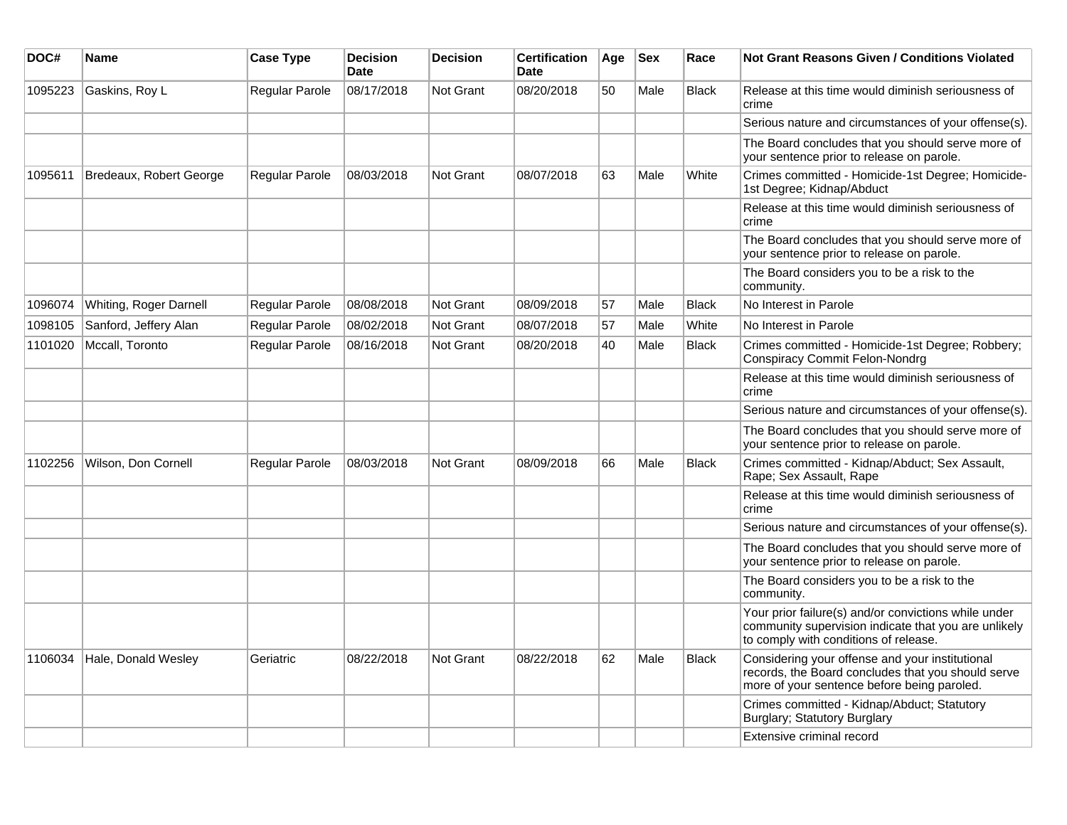| DOC#    | Name                    | <b>Case Type</b>      | <b>Decision</b><br><b>Date</b> | <b>Decision</b>  | <b>Certification</b><br><b>Date</b> | Age | <b>Sex</b> | Race         | Not Grant Reasons Given / Conditions Violated                                                                                                         |
|---------|-------------------------|-----------------------|--------------------------------|------------------|-------------------------------------|-----|------------|--------------|-------------------------------------------------------------------------------------------------------------------------------------------------------|
| 1095223 | Gaskins, Roy L          | <b>Regular Parole</b> | 08/17/2018                     | Not Grant        | 08/20/2018                          | 50  | Male       | <b>Black</b> | Release at this time would diminish seriousness of<br>crime                                                                                           |
|         |                         |                       |                                |                  |                                     |     |            |              | Serious nature and circumstances of your offense(s).                                                                                                  |
|         |                         |                       |                                |                  |                                     |     |            |              | The Board concludes that you should serve more of<br>your sentence prior to release on parole.                                                        |
| 1095611 | Bredeaux, Robert George | <b>Regular Parole</b> | 08/03/2018                     | Not Grant        | 08/07/2018                          | 63  | Male       | White        | Crimes committed - Homicide-1st Degree; Homicide-<br>1st Degree; Kidnap/Abduct                                                                        |
|         |                         |                       |                                |                  |                                     |     |            |              | Release at this time would diminish seriousness of<br>crime                                                                                           |
|         |                         |                       |                                |                  |                                     |     |            |              | The Board concludes that you should serve more of<br>your sentence prior to release on parole.                                                        |
|         |                         |                       |                                |                  |                                     |     |            |              | The Board considers you to be a risk to the<br>community.                                                                                             |
| 1096074 | Whiting, Roger Darnell  | Regular Parole        | 08/08/2018                     | Not Grant        | 08/09/2018                          | 57  | Male       | <b>Black</b> | No Interest in Parole                                                                                                                                 |
| 1098105 | Sanford, Jeffery Alan   | Regular Parole        | 08/02/2018                     | <b>Not Grant</b> | 08/07/2018                          | 57  | Male       | White        | No Interest in Parole                                                                                                                                 |
| 1101020 | Mccall, Toronto         | Regular Parole        | 08/16/2018                     | <b>Not Grant</b> | 08/20/2018                          | 40  | Male       | <b>Black</b> | Crimes committed - Homicide-1st Degree; Robbery;<br><b>Conspiracy Commit Felon-Nondrg</b>                                                             |
|         |                         |                       |                                |                  |                                     |     |            |              | Release at this time would diminish seriousness of<br>crime                                                                                           |
|         |                         |                       |                                |                  |                                     |     |            |              | Serious nature and circumstances of your offense(s).                                                                                                  |
|         |                         |                       |                                |                  |                                     |     |            |              | The Board concludes that you should serve more of<br>your sentence prior to release on parole.                                                        |
| 1102256 | Wilson, Don Cornell     | Regular Parole        | 08/03/2018                     | Not Grant        | 08/09/2018                          | 66  | Male       | <b>Black</b> | Crimes committed - Kidnap/Abduct; Sex Assault,<br>Rape; Sex Assault, Rape                                                                             |
|         |                         |                       |                                |                  |                                     |     |            |              | Release at this time would diminish seriousness of<br>crime                                                                                           |
|         |                         |                       |                                |                  |                                     |     |            |              | Serious nature and circumstances of your offense(s).                                                                                                  |
|         |                         |                       |                                |                  |                                     |     |            |              | The Board concludes that you should serve more of<br>your sentence prior to release on parole.                                                        |
|         |                         |                       |                                |                  |                                     |     |            |              | The Board considers you to be a risk to the<br>community.                                                                                             |
|         |                         |                       |                                |                  |                                     |     |            |              | Your prior failure(s) and/or convictions while under<br>community supervision indicate that you are unlikely<br>to comply with conditions of release. |
| 1106034 | Hale, Donald Wesley     | Geriatric             | 08/22/2018                     | Not Grant        | 08/22/2018                          | 62  | Male       | <b>Black</b> | Considering your offense and your institutional<br>records, the Board concludes that you should serve<br>more of your sentence before being paroled.  |
|         |                         |                       |                                |                  |                                     |     |            |              | Crimes committed - Kidnap/Abduct; Statutory<br>Burglary; Statutory Burglary                                                                           |
|         |                         |                       |                                |                  |                                     |     |            |              | Extensive criminal record                                                                                                                             |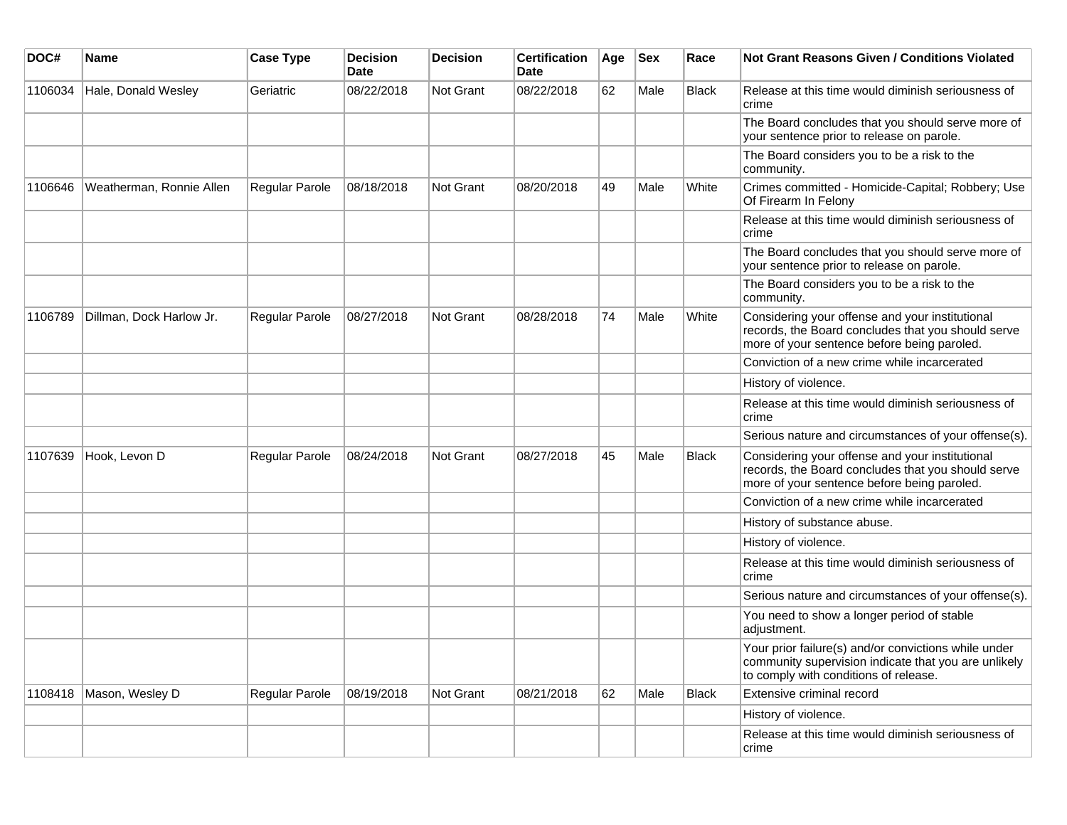| DOC#    | <b>Name</b>               | <b>Case Type</b> | <b>Decision</b><br><b>Date</b> | <b>Decision</b> | <b>Certification</b><br>Date | Age | <b>Sex</b> | Race         | Not Grant Reasons Given / Conditions Violated                                                                                                         |
|---------|---------------------------|------------------|--------------------------------|-----------------|------------------------------|-----|------------|--------------|-------------------------------------------------------------------------------------------------------------------------------------------------------|
| 1106034 | Hale, Donald Wesley       | Geriatric        | 08/22/2018                     | Not Grant       | 08/22/2018                   | 62  | Male       | Black        | Release at this time would diminish seriousness of<br>crime                                                                                           |
|         |                           |                  |                                |                 |                              |     |            |              | The Board concludes that you should serve more of<br>your sentence prior to release on parole.                                                        |
|         |                           |                  |                                |                 |                              |     |            |              | The Board considers you to be a risk to the<br>community.                                                                                             |
| 1106646 | Weatherman, Ronnie Allen  | Regular Parole   | 08/18/2018                     | Not Grant       | 08/20/2018                   | 49  | Male       | White        | Crimes committed - Homicide-Capital; Robbery; Use<br>Of Firearm In Felony                                                                             |
|         |                           |                  |                                |                 |                              |     |            |              | Release at this time would diminish seriousness of<br>crime                                                                                           |
|         |                           |                  |                                |                 |                              |     |            |              | The Board concludes that you should serve more of<br>your sentence prior to release on parole.                                                        |
|         |                           |                  |                                |                 |                              |     |            |              | The Board considers you to be a risk to the<br>community.                                                                                             |
| 1106789 | Dillman, Dock Harlow Jr.  | Regular Parole   | 08/27/2018                     | Not Grant       | 08/28/2018                   | 74  | Male       | White        | Considering your offense and your institutional<br>records, the Board concludes that you should serve<br>more of your sentence before being paroled.  |
|         |                           |                  |                                |                 |                              |     |            |              | Conviction of a new crime while incarcerated                                                                                                          |
|         |                           |                  |                                |                 |                              |     |            |              | History of violence.                                                                                                                                  |
|         |                           |                  |                                |                 |                              |     |            |              | Release at this time would diminish seriousness of<br>crime                                                                                           |
|         |                           |                  |                                |                 |                              |     |            |              | Serious nature and circumstances of your offense(s).                                                                                                  |
| 1107639 | Hook, Levon D             | Regular Parole   | 08/24/2018                     | Not Grant       | 08/27/2018                   | 45  | Male       | <b>Black</b> | Considering your offense and your institutional<br>records, the Board concludes that you should serve<br>more of your sentence before being paroled.  |
|         |                           |                  |                                |                 |                              |     |            |              | Conviction of a new crime while incarcerated                                                                                                          |
|         |                           |                  |                                |                 |                              |     |            |              | History of substance abuse.                                                                                                                           |
|         |                           |                  |                                |                 |                              |     |            |              | History of violence.                                                                                                                                  |
|         |                           |                  |                                |                 |                              |     |            |              | Release at this time would diminish seriousness of<br>crime                                                                                           |
|         |                           |                  |                                |                 |                              |     |            |              | Serious nature and circumstances of your offense(s).                                                                                                  |
|         |                           |                  |                                |                 |                              |     |            |              | You need to show a longer period of stable<br>adjustment.                                                                                             |
|         |                           |                  |                                |                 |                              |     |            |              | Your prior failure(s) and/or convictions while under<br>community supervision indicate that you are unlikely<br>to comply with conditions of release. |
|         | 1108418   Mason, Wesley D | Regular Parole   | 08/19/2018                     | Not Grant       | 08/21/2018                   | 62  | Male       | Black        | Extensive criminal record                                                                                                                             |
|         |                           |                  |                                |                 |                              |     |            |              | History of violence.                                                                                                                                  |
|         |                           |                  |                                |                 |                              |     |            |              | Release at this time would diminish seriousness of<br>crime                                                                                           |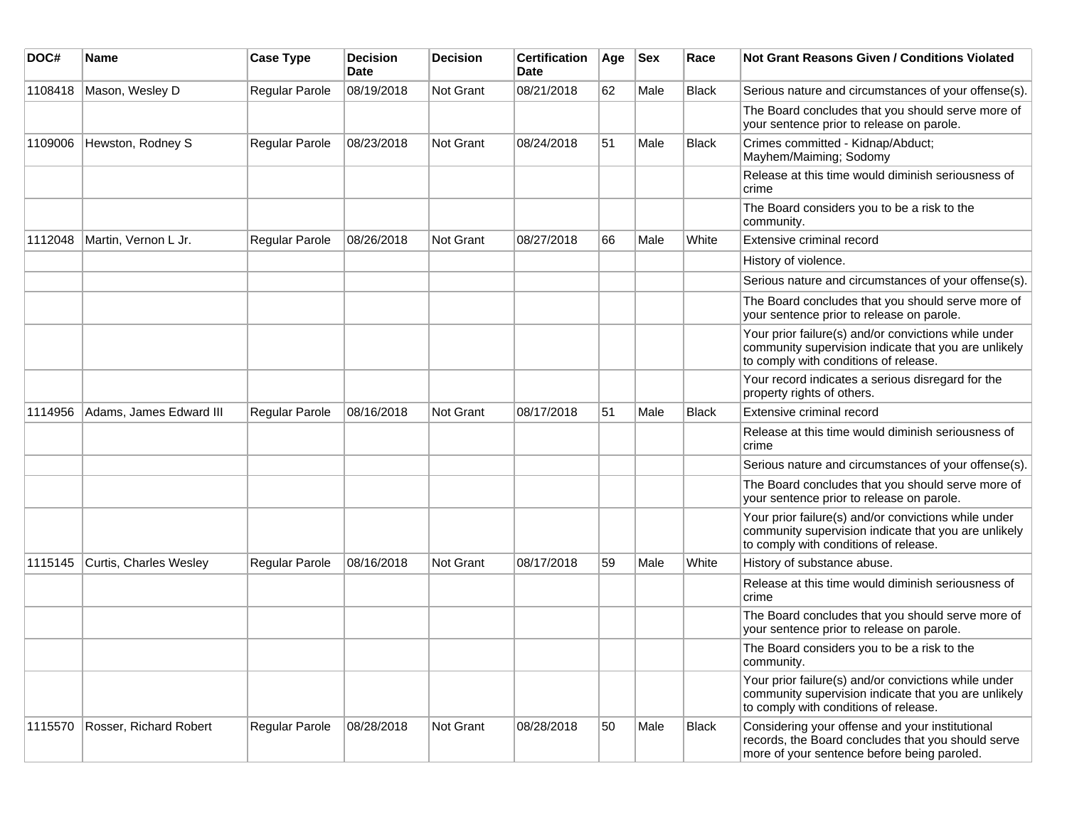| DOC#    | <b>Name</b>             | <b>Case Type</b> | <b>Decision</b><br><b>Date</b> | <b>Decision</b>  | <b>Certification</b><br>Date | Age | <b>Sex</b> | Race         | Not Grant Reasons Given / Conditions Violated                                                                                                         |
|---------|-------------------------|------------------|--------------------------------|------------------|------------------------------|-----|------------|--------------|-------------------------------------------------------------------------------------------------------------------------------------------------------|
| 1108418 | Mason, Wesley D         | Regular Parole   | 08/19/2018                     | Not Grant        | 08/21/2018                   | 62  | Male       | <b>Black</b> | Serious nature and circumstances of your offense(s).                                                                                                  |
|         |                         |                  |                                |                  |                              |     |            |              | The Board concludes that you should serve more of<br>your sentence prior to release on parole.                                                        |
| 1109006 | Hewston, Rodney S       | Regular Parole   | 08/23/2018                     | Not Grant        | 08/24/2018                   | 51  | Male       | <b>Black</b> | Crimes committed - Kidnap/Abduct;<br>Mayhem/Maiming; Sodomy                                                                                           |
|         |                         |                  |                                |                  |                              |     |            |              | Release at this time would diminish seriousness of<br>crime                                                                                           |
|         |                         |                  |                                |                  |                              |     |            |              | The Board considers you to be a risk to the<br>community.                                                                                             |
| 1112048 | Martin, Vernon L Jr.    | Regular Parole   | 08/26/2018                     | <b>Not Grant</b> | 08/27/2018                   | 66  | Male       | White        | Extensive criminal record                                                                                                                             |
|         |                         |                  |                                |                  |                              |     |            |              | History of violence.                                                                                                                                  |
|         |                         |                  |                                |                  |                              |     |            |              | Serious nature and circumstances of your offense(s).                                                                                                  |
|         |                         |                  |                                |                  |                              |     |            |              | The Board concludes that you should serve more of<br>your sentence prior to release on parole.                                                        |
|         |                         |                  |                                |                  |                              |     |            |              | Your prior failure(s) and/or convictions while under<br>community supervision indicate that you are unlikely<br>to comply with conditions of release. |
|         |                         |                  |                                |                  |                              |     |            |              | Your record indicates a serious disregard for the<br>property rights of others.                                                                       |
| 1114956 | Adams, James Edward III | Regular Parole   | 08/16/2018                     | Not Grant        | 08/17/2018                   | 51  | Male       | Black        | Extensive criminal record                                                                                                                             |
|         |                         |                  |                                |                  |                              |     |            |              | Release at this time would diminish seriousness of<br>crime                                                                                           |
|         |                         |                  |                                |                  |                              |     |            |              | Serious nature and circumstances of your offense(s).                                                                                                  |
|         |                         |                  |                                |                  |                              |     |            |              | The Board concludes that you should serve more of<br>your sentence prior to release on parole.                                                        |
|         |                         |                  |                                |                  |                              |     |            |              | Your prior failure(s) and/or convictions while under<br>community supervision indicate that you are unlikely<br>to comply with conditions of release. |
| 1115145 | Curtis, Charles Wesley  | Regular Parole   | 08/16/2018                     | <b>Not Grant</b> | 08/17/2018                   | 59  | Male       | White        | History of substance abuse.                                                                                                                           |
|         |                         |                  |                                |                  |                              |     |            |              | Release at this time would diminish seriousness of<br>crime                                                                                           |
|         |                         |                  |                                |                  |                              |     |            |              | The Board concludes that you should serve more of<br>your sentence prior to release on parole.                                                        |
|         |                         |                  |                                |                  |                              |     |            |              | The Board considers you to be a risk to the<br>community.                                                                                             |
|         |                         |                  |                                |                  |                              |     |            |              | Your prior failure(s) and/or convictions while under<br>community supervision indicate that you are unlikely<br>to comply with conditions of release. |
| 1115570 | Rosser, Richard Robert  | Regular Parole   | 08/28/2018                     | Not Grant        | 08/28/2018                   | 50  | Male       | Black        | Considering your offense and your institutional<br>records, the Board concludes that you should serve<br>more of your sentence before being paroled.  |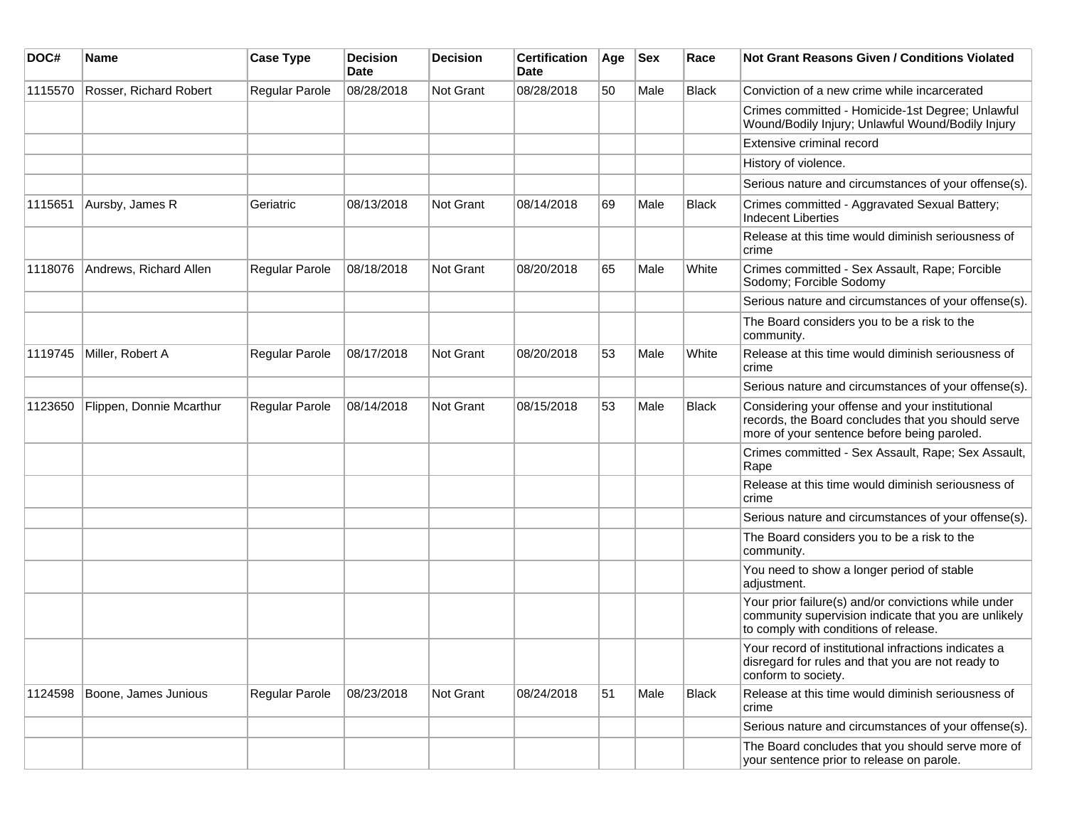| DOC#    | <b>Name</b>              | <b>Case Type</b>      | <b>Decision</b><br><b>Date</b> | <b>Decision</b>  | <b>Certification</b><br>Date | Age | <b>Sex</b> | Race         | <b>Not Grant Reasons Given / Conditions Violated</b>                                                                                                  |
|---------|--------------------------|-----------------------|--------------------------------|------------------|------------------------------|-----|------------|--------------|-------------------------------------------------------------------------------------------------------------------------------------------------------|
| 1115570 | Rosser, Richard Robert   | Regular Parole        | 08/28/2018                     | <b>Not Grant</b> | 08/28/2018                   | 50  | Male       | Black        | Conviction of a new crime while incarcerated                                                                                                          |
|         |                          |                       |                                |                  |                              |     |            |              | Crimes committed - Homicide-1st Degree; Unlawful<br>Wound/Bodily Injury; Unlawful Wound/Bodily Injury                                                 |
|         |                          |                       |                                |                  |                              |     |            |              | Extensive criminal record                                                                                                                             |
|         |                          |                       |                                |                  |                              |     |            |              | History of violence.                                                                                                                                  |
|         |                          |                       |                                |                  |                              |     |            |              | Serious nature and circumstances of your offense(s).                                                                                                  |
| 1115651 | Aursby, James R          | Geriatric             | 08/13/2018                     | Not Grant        | 08/14/2018                   | 69  | Male       | <b>Black</b> | Crimes committed - Aggravated Sexual Battery;<br><b>Indecent Liberties</b>                                                                            |
|         |                          |                       |                                |                  |                              |     |            |              | Release at this time would diminish seriousness of<br>crime                                                                                           |
| 1118076 | Andrews, Richard Allen   | Regular Parole        | 08/18/2018                     | Not Grant        | 08/20/2018                   | 65  | Male       | White        | Crimes committed - Sex Assault, Rape; Forcible<br>Sodomy; Forcible Sodomy                                                                             |
|         |                          |                       |                                |                  |                              |     |            |              | Serious nature and circumstances of your offense(s).                                                                                                  |
|         |                          |                       |                                |                  |                              |     |            |              | The Board considers you to be a risk to the<br>community.                                                                                             |
| 1119745 | Miller, Robert A         | <b>Regular Parole</b> | 08/17/2018                     | Not Grant        | 08/20/2018                   | 53  | Male       | White        | Release at this time would diminish seriousness of<br>crime                                                                                           |
|         |                          |                       |                                |                  |                              |     |            |              | Serious nature and circumstances of your offense(s).                                                                                                  |
| 1123650 | Flippen, Donnie Mcarthur | Regular Parole        | 08/14/2018                     | Not Grant        | 08/15/2018                   | 53  | Male       | <b>Black</b> | Considering your offense and your institutional<br>records, the Board concludes that you should serve<br>more of your sentence before being paroled.  |
|         |                          |                       |                                |                  |                              |     |            |              | Crimes committed - Sex Assault, Rape; Sex Assault,<br>Rape                                                                                            |
|         |                          |                       |                                |                  |                              |     |            |              | Release at this time would diminish seriousness of<br>crime                                                                                           |
|         |                          |                       |                                |                  |                              |     |            |              | Serious nature and circumstances of your offense(s).                                                                                                  |
|         |                          |                       |                                |                  |                              |     |            |              | The Board considers you to be a risk to the<br>community.                                                                                             |
|         |                          |                       |                                |                  |                              |     |            |              | You need to show a longer period of stable<br>adjustment.                                                                                             |
|         |                          |                       |                                |                  |                              |     |            |              | Your prior failure(s) and/or convictions while under<br>community supervision indicate that you are unlikely<br>to comply with conditions of release. |
|         |                          |                       |                                |                  |                              |     |            |              | Your record of institutional infractions indicates a<br>disregard for rules and that you are not ready to<br>conform to society.                      |
| 1124598 | Boone, James Junious     | Regular Parole        | 08/23/2018                     | Not Grant        | 08/24/2018                   | 51  | Male       | Black        | Release at this time would diminish seriousness of<br>crime                                                                                           |
|         |                          |                       |                                |                  |                              |     |            |              | Serious nature and circumstances of your offense(s).                                                                                                  |
|         |                          |                       |                                |                  |                              |     |            |              | The Board concludes that you should serve more of<br>your sentence prior to release on parole.                                                        |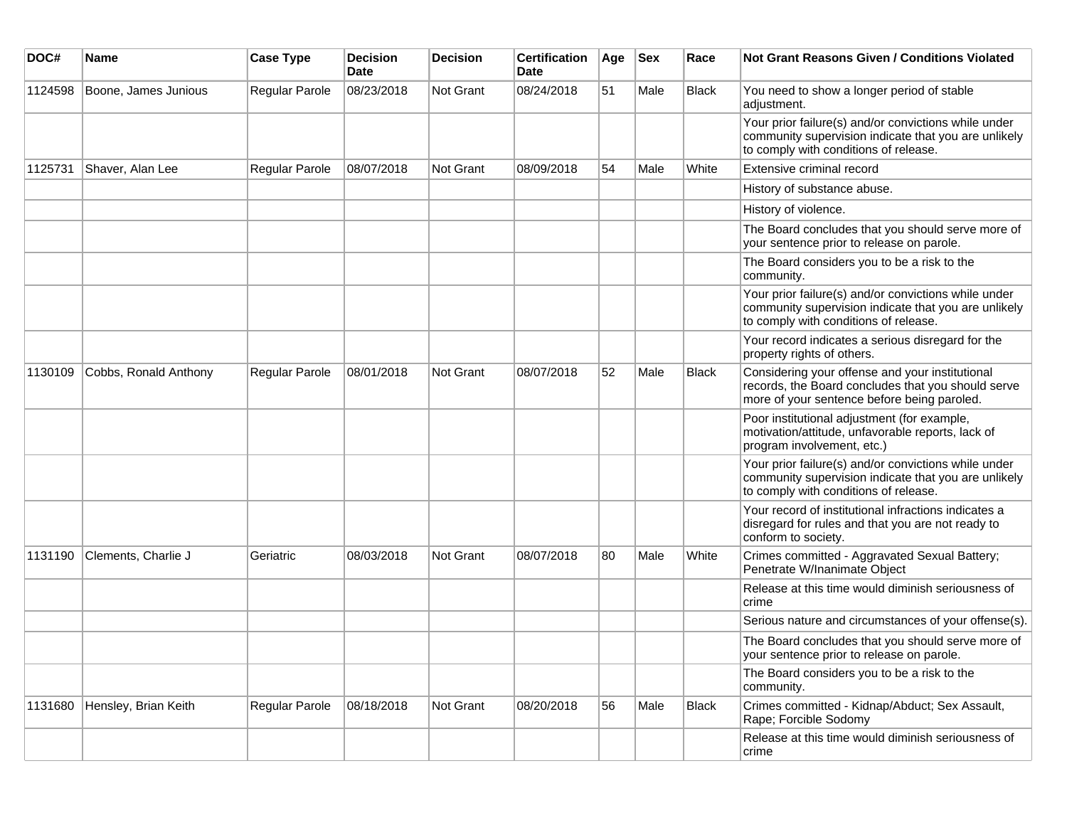| DOC#    | Name                  | <b>Case Type</b> | <b>Decision</b><br><b>Date</b> | <b>Decision</b> | <b>Certification</b><br>Date | Age | <b>Sex</b> | Race         | <b>Not Grant Reasons Given / Conditions Violated</b>                                                                                                  |
|---------|-----------------------|------------------|--------------------------------|-----------------|------------------------------|-----|------------|--------------|-------------------------------------------------------------------------------------------------------------------------------------------------------|
| 1124598 | Boone, James Junious  | Regular Parole   | 08/23/2018                     | Not Grant       | 08/24/2018                   | 51  | Male       | <b>Black</b> | You need to show a longer period of stable<br>adjustment.                                                                                             |
|         |                       |                  |                                |                 |                              |     |            |              | Your prior failure(s) and/or convictions while under<br>community supervision indicate that you are unlikely<br>to comply with conditions of release. |
| 1125731 | Shaver, Alan Lee      | Regular Parole   | 08/07/2018                     | Not Grant       | 08/09/2018                   | 54  | Male       | White        | Extensive criminal record                                                                                                                             |
|         |                       |                  |                                |                 |                              |     |            |              | History of substance abuse.                                                                                                                           |
|         |                       |                  |                                |                 |                              |     |            |              | History of violence.                                                                                                                                  |
|         |                       |                  |                                |                 |                              |     |            |              | The Board concludes that you should serve more of<br>your sentence prior to release on parole.                                                        |
|         |                       |                  |                                |                 |                              |     |            |              | The Board considers you to be a risk to the<br>community.                                                                                             |
|         |                       |                  |                                |                 |                              |     |            |              | Your prior failure(s) and/or convictions while under<br>community supervision indicate that you are unlikely<br>to comply with conditions of release. |
|         |                       |                  |                                |                 |                              |     |            |              | Your record indicates a serious disregard for the<br>property rights of others.                                                                       |
| 1130109 | Cobbs, Ronald Anthony | Regular Parole   | 08/01/2018                     | Not Grant       | 08/07/2018                   | 52  | Male       | Black        | Considering your offense and your institutional<br>records, the Board concludes that you should serve<br>more of your sentence before being paroled.  |
|         |                       |                  |                                |                 |                              |     |            |              | Poor institutional adjustment (for example,<br>motivation/attitude, unfavorable reports, lack of<br>program involvement, etc.)                        |
|         |                       |                  |                                |                 |                              |     |            |              | Your prior failure(s) and/or convictions while under<br>community supervision indicate that you are unlikely<br>to comply with conditions of release. |
|         |                       |                  |                                |                 |                              |     |            |              | Your record of institutional infractions indicates a<br>disregard for rules and that you are not ready to<br>conform to society.                      |
| 1131190 | Clements, Charlie J   | Geriatric        | 08/03/2018                     | Not Grant       | 08/07/2018                   | 80  | Male       | White        | Crimes committed - Aggravated Sexual Battery;<br>Penetrate W/Inanimate Object                                                                         |
|         |                       |                  |                                |                 |                              |     |            |              | Release at this time would diminish seriousness of<br>crime                                                                                           |
|         |                       |                  |                                |                 |                              |     |            |              | Serious nature and circumstances of your offense(s).                                                                                                  |
|         |                       |                  |                                |                 |                              |     |            |              | The Board concludes that you should serve more of<br>your sentence prior to release on parole.                                                        |
|         |                       |                  |                                |                 |                              |     |            |              | The Board considers you to be a risk to the<br>community.                                                                                             |
| 1131680 | Hensley, Brian Keith  | Regular Parole   | 08/18/2018                     | Not Grant       | 08/20/2018                   | 56  | Male       | Black        | Crimes committed - Kidnap/Abduct; Sex Assault,<br>Rape; Forcible Sodomy                                                                               |
|         |                       |                  |                                |                 |                              |     |            |              | Release at this time would diminish seriousness of<br>crime                                                                                           |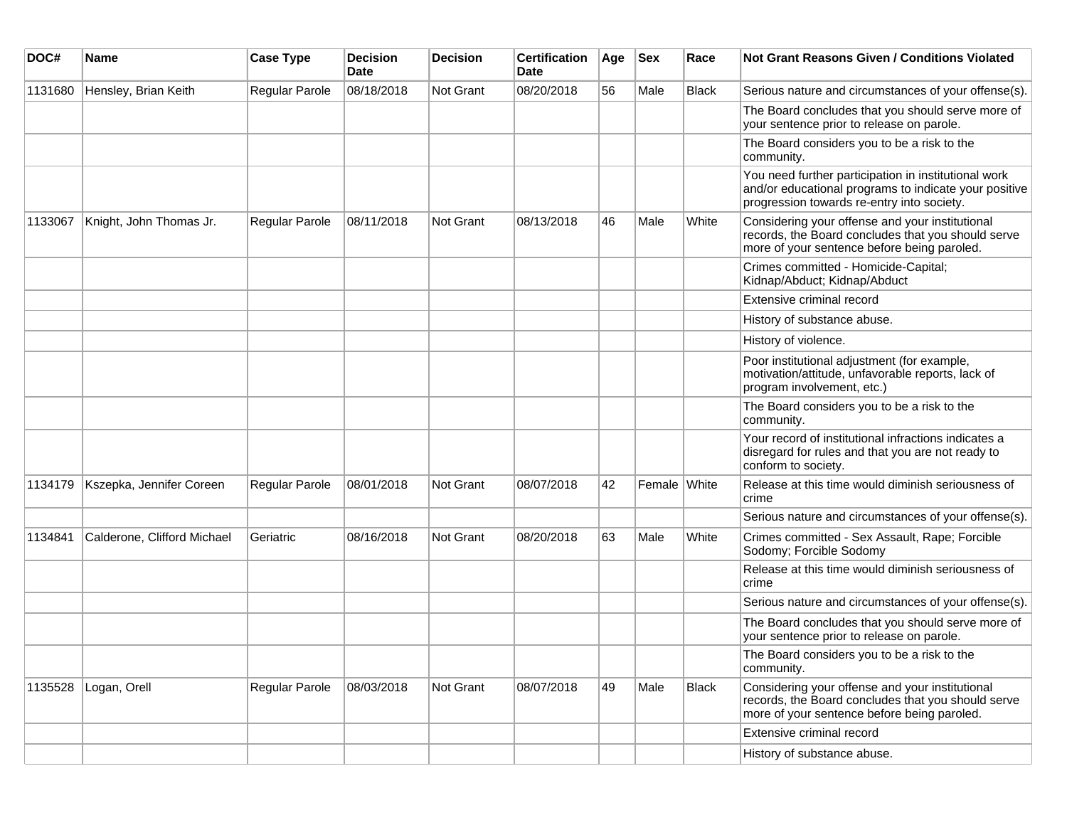| DOC#    | Name                        | <b>Case Type</b> | <b>Decision</b><br><b>Date</b> | <b>Decision</b> | <b>Certification</b><br>Date | Age | <b>Sex</b>   | Race         | Not Grant Reasons Given / Conditions Violated                                                                                                               |
|---------|-----------------------------|------------------|--------------------------------|-----------------|------------------------------|-----|--------------|--------------|-------------------------------------------------------------------------------------------------------------------------------------------------------------|
| 1131680 | Hensley, Brian Keith        | Regular Parole   | 08/18/2018                     | Not Grant       | 08/20/2018                   | 56  | Male         | Black        | Serious nature and circumstances of your offense(s).                                                                                                        |
|         |                             |                  |                                |                 |                              |     |              |              | The Board concludes that you should serve more of<br>your sentence prior to release on parole.                                                              |
|         |                             |                  |                                |                 |                              |     |              |              | The Board considers you to be a risk to the<br>community.                                                                                                   |
|         |                             |                  |                                |                 |                              |     |              |              | You need further participation in institutional work<br>and/or educational programs to indicate your positive<br>progression towards re-entry into society. |
| 1133067 | Knight, John Thomas Jr.     | Regular Parole   | 08/11/2018                     | Not Grant       | 08/13/2018                   | 46  | Male         | White        | Considering your offense and your institutional<br>records, the Board concludes that you should serve<br>more of your sentence before being paroled.        |
|         |                             |                  |                                |                 |                              |     |              |              | Crimes committed - Homicide-Capital;<br>Kidnap/Abduct; Kidnap/Abduct                                                                                        |
|         |                             |                  |                                |                 |                              |     |              |              | Extensive criminal record                                                                                                                                   |
|         |                             |                  |                                |                 |                              |     |              |              | History of substance abuse.                                                                                                                                 |
|         |                             |                  |                                |                 |                              |     |              |              | History of violence.                                                                                                                                        |
|         |                             |                  |                                |                 |                              |     |              |              | Poor institutional adjustment (for example,<br>motivation/attitude, unfavorable reports, lack of<br>program involvement, etc.)                              |
|         |                             |                  |                                |                 |                              |     |              |              | The Board considers you to be a risk to the<br>community.                                                                                                   |
|         |                             |                  |                                |                 |                              |     |              |              | Your record of institutional infractions indicates a<br>disregard for rules and that you are not ready to<br>conform to society.                            |
| 1134179 | Kszepka, Jennifer Coreen    | Regular Parole   | 08/01/2018                     | Not Grant       | 08/07/2018                   | 42  | Female White |              | Release at this time would diminish seriousness of<br>crime                                                                                                 |
|         |                             |                  |                                |                 |                              |     |              |              | Serious nature and circumstances of your offense(s).                                                                                                        |
| 1134841 | Calderone, Clifford Michael | Geriatric        | 08/16/2018                     | Not Grant       | 08/20/2018                   | 63  | Male         | White        | Crimes committed - Sex Assault, Rape; Forcible<br>Sodomy; Forcible Sodomy                                                                                   |
|         |                             |                  |                                |                 |                              |     |              |              | Release at this time would diminish seriousness of<br>crime                                                                                                 |
|         |                             |                  |                                |                 |                              |     |              |              | Serious nature and circumstances of your offense(s).                                                                                                        |
|         |                             |                  |                                |                 |                              |     |              |              | The Board concludes that you should serve more of<br>your sentence prior to release on parole.                                                              |
|         |                             |                  |                                |                 |                              |     |              |              | The Board considers you to be a risk to the<br>community.                                                                                                   |
| 1135528 | Logan, Orell                | Regular Parole   | 08/03/2018                     | Not Grant       | 08/07/2018                   | 49  | Male         | <b>Black</b> | Considering your offense and your institutional<br>records, the Board concludes that you should serve<br>more of your sentence before being paroled.        |
|         |                             |                  |                                |                 |                              |     |              |              | Extensive criminal record                                                                                                                                   |
|         |                             |                  |                                |                 |                              |     |              |              | History of substance abuse.                                                                                                                                 |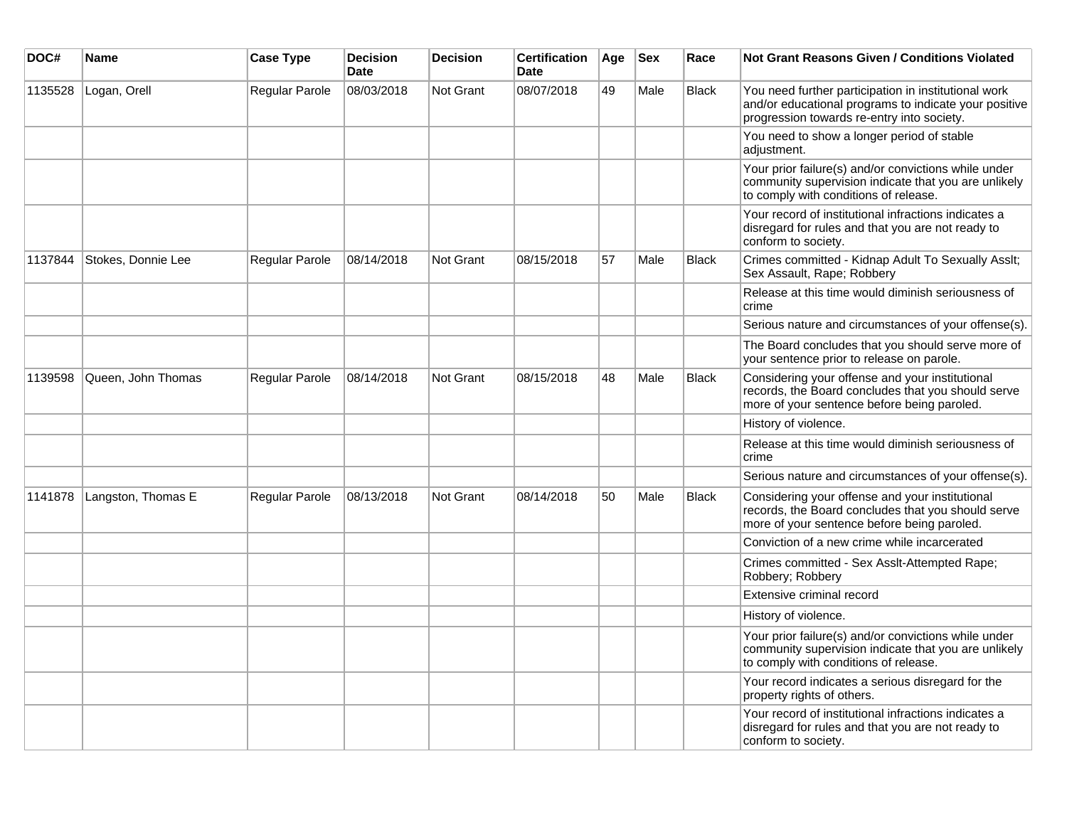| DOC#    | <b>Name</b>        | <b>Case Type</b> | <b>Decision</b><br><b>Date</b> | <b>Decision</b>  | <b>Certification</b><br><b>Date</b> | Age | <b>Sex</b> | Race         | <b>Not Grant Reasons Given / Conditions Violated</b>                                                                                                        |
|---------|--------------------|------------------|--------------------------------|------------------|-------------------------------------|-----|------------|--------------|-------------------------------------------------------------------------------------------------------------------------------------------------------------|
| 1135528 | Logan, Orell       | Regular Parole   | 08/03/2018                     | Not Grant        | 08/07/2018                          | 49  | Male       | <b>Black</b> | You need further participation in institutional work<br>and/or educational programs to indicate your positive<br>progression towards re-entry into society. |
|         |                    |                  |                                |                  |                                     |     |            |              | You need to show a longer period of stable<br>adjustment.                                                                                                   |
|         |                    |                  |                                |                  |                                     |     |            |              | Your prior failure(s) and/or convictions while under<br>community supervision indicate that you are unlikely<br>to comply with conditions of release.       |
|         |                    |                  |                                |                  |                                     |     |            |              | Your record of institutional infractions indicates a<br>disregard for rules and that you are not ready to<br>conform to society.                            |
| 1137844 | Stokes, Donnie Lee | Regular Parole   | 08/14/2018                     | Not Grant        | 08/15/2018                          | 57  | Male       | Black        | Crimes committed - Kidnap Adult To Sexually Asslt;<br>Sex Assault, Rape; Robbery                                                                            |
|         |                    |                  |                                |                  |                                     |     |            |              | Release at this time would diminish seriousness of<br>crime                                                                                                 |
|         |                    |                  |                                |                  |                                     |     |            |              | Serious nature and circumstances of your offense(s).                                                                                                        |
|         |                    |                  |                                |                  |                                     |     |            |              | The Board concludes that you should serve more of<br>your sentence prior to release on parole.                                                              |
| 1139598 | Queen, John Thomas | Regular Parole   | 08/14/2018                     | <b>Not Grant</b> | 08/15/2018                          | 48  | Male       | <b>Black</b> | Considering your offense and your institutional<br>records, the Board concludes that you should serve<br>more of your sentence before being paroled.        |
|         |                    |                  |                                |                  |                                     |     |            |              | History of violence.                                                                                                                                        |
|         |                    |                  |                                |                  |                                     |     |            |              | Release at this time would diminish seriousness of<br>crime                                                                                                 |
|         |                    |                  |                                |                  |                                     |     |            |              | Serious nature and circumstances of your offense(s).                                                                                                        |
| 1141878 | Langston, Thomas E | Regular Parole   | 08/13/2018                     | <b>Not Grant</b> | 08/14/2018                          | 50  | Male       | <b>Black</b> | Considering your offense and your institutional<br>records, the Board concludes that you should serve<br>more of your sentence before being paroled.        |
|         |                    |                  |                                |                  |                                     |     |            |              | Conviction of a new crime while incarcerated                                                                                                                |
|         |                    |                  |                                |                  |                                     |     |            |              | Crimes committed - Sex Asslt-Attempted Rape;<br>Robbery; Robbery                                                                                            |
|         |                    |                  |                                |                  |                                     |     |            |              | Extensive criminal record                                                                                                                                   |
|         |                    |                  |                                |                  |                                     |     |            |              | History of violence.                                                                                                                                        |
|         |                    |                  |                                |                  |                                     |     |            |              | Your prior failure(s) and/or convictions while under<br>community supervision indicate that you are unlikely<br>to comply with conditions of release.       |
|         |                    |                  |                                |                  |                                     |     |            |              | Your record indicates a serious disregard for the<br>property rights of others.                                                                             |
|         |                    |                  |                                |                  |                                     |     |            |              | Your record of institutional infractions indicates a<br>disregard for rules and that you are not ready to<br>conform to society.                            |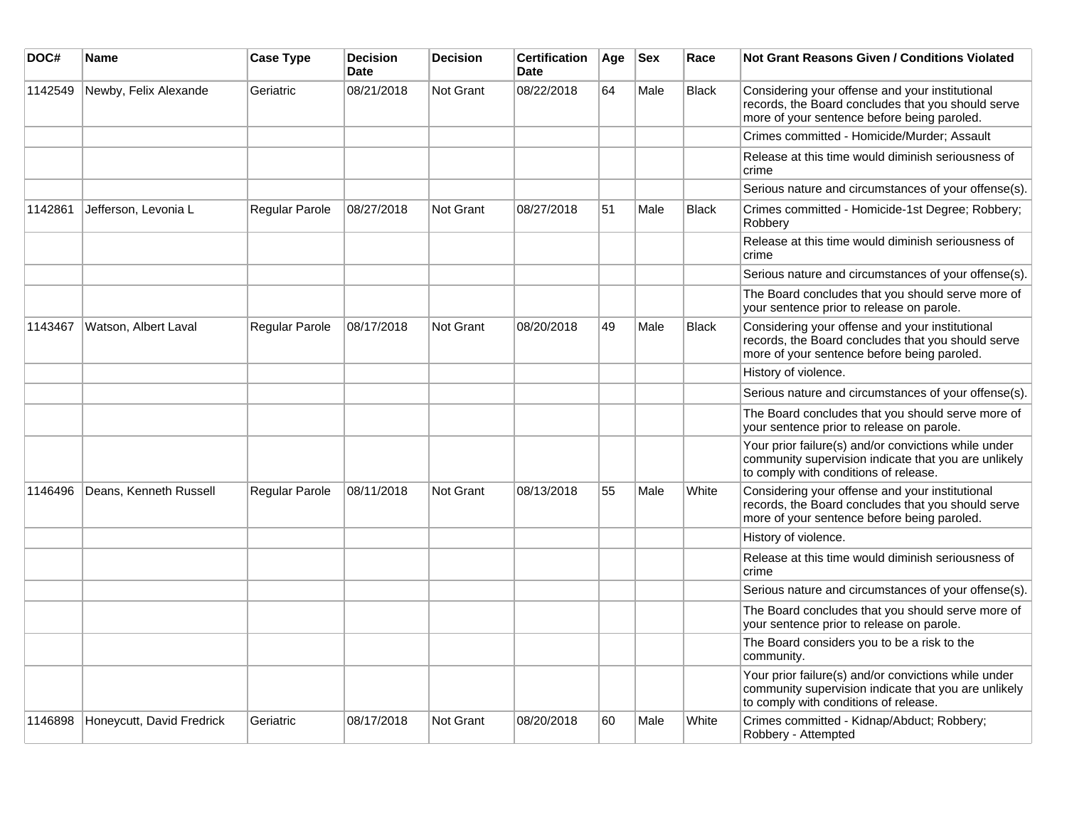| DOC#    | <b>Name</b>               | <b>Case Type</b>      | <b>Decision</b><br><b>Date</b> | <b>Decision</b>  | <b>Certification</b><br>Date | Age | <b>Sex</b> | Race         | Not Grant Reasons Given / Conditions Violated                                                                                                         |
|---------|---------------------------|-----------------------|--------------------------------|------------------|------------------------------|-----|------------|--------------|-------------------------------------------------------------------------------------------------------------------------------------------------------|
| 1142549 | Newby, Felix Alexande     | Geriatric             | 08/21/2018                     | <b>Not Grant</b> | 08/22/2018                   | 64  | Male       | <b>Black</b> | Considering your offense and your institutional<br>records, the Board concludes that you should serve<br>more of your sentence before being paroled.  |
|         |                           |                       |                                |                  |                              |     |            |              | Crimes committed - Homicide/Murder; Assault                                                                                                           |
|         |                           |                       |                                |                  |                              |     |            |              | Release at this time would diminish seriousness of<br>crime                                                                                           |
|         |                           |                       |                                |                  |                              |     |            |              | Serious nature and circumstances of your offense(s).                                                                                                  |
| 1142861 | Jefferson, Levonia L      | Regular Parole        | 08/27/2018                     | Not Grant        | 08/27/2018                   | 51  | Male       | <b>Black</b> | Crimes committed - Homicide-1st Degree; Robbery;<br>Robbery                                                                                           |
|         |                           |                       |                                |                  |                              |     |            |              | Release at this time would diminish seriousness of<br>crime                                                                                           |
|         |                           |                       |                                |                  |                              |     |            |              | Serious nature and circumstances of your offense(s).                                                                                                  |
|         |                           |                       |                                |                  |                              |     |            |              | The Board concludes that you should serve more of<br>your sentence prior to release on parole.                                                        |
| 1143467 | Watson, Albert Laval      | Regular Parole        | 08/17/2018                     | <b>Not Grant</b> | 08/20/2018                   | 49  | Male       | <b>Black</b> | Considering your offense and your institutional<br>records, the Board concludes that you should serve<br>more of your sentence before being paroled.  |
|         |                           |                       |                                |                  |                              |     |            |              | History of violence.                                                                                                                                  |
|         |                           |                       |                                |                  |                              |     |            |              | Serious nature and circumstances of your offense(s).                                                                                                  |
|         |                           |                       |                                |                  |                              |     |            |              | The Board concludes that you should serve more of<br>your sentence prior to release on parole.                                                        |
|         |                           |                       |                                |                  |                              |     |            |              | Your prior failure(s) and/or convictions while under<br>community supervision indicate that you are unlikely<br>to comply with conditions of release. |
| 1146496 | Deans, Kenneth Russell    | <b>Regular Parole</b> | 08/11/2018                     | Not Grant        | 08/13/2018                   | 55  | Male       | White        | Considering your offense and your institutional<br>records, the Board concludes that you should serve<br>more of your sentence before being paroled.  |
|         |                           |                       |                                |                  |                              |     |            |              | History of violence.                                                                                                                                  |
|         |                           |                       |                                |                  |                              |     |            |              | Release at this time would diminish seriousness of<br>crime                                                                                           |
|         |                           |                       |                                |                  |                              |     |            |              | Serious nature and circumstances of your offense(s).                                                                                                  |
|         |                           |                       |                                |                  |                              |     |            |              | The Board concludes that you should serve more of<br>your sentence prior to release on parole.                                                        |
|         |                           |                       |                                |                  |                              |     |            |              | The Board considers you to be a risk to the<br>community.                                                                                             |
|         |                           |                       |                                |                  |                              |     |            |              | Your prior failure(s) and/or convictions while under<br>community supervision indicate that you are unlikely<br>to comply with conditions of release. |
| 1146898 | Honeycutt, David Fredrick | Geriatric             | 08/17/2018                     | <b>Not Grant</b> | 08/20/2018                   | 60  | Male       | White        | Crimes committed - Kidnap/Abduct; Robbery;<br>Robbery - Attempted                                                                                     |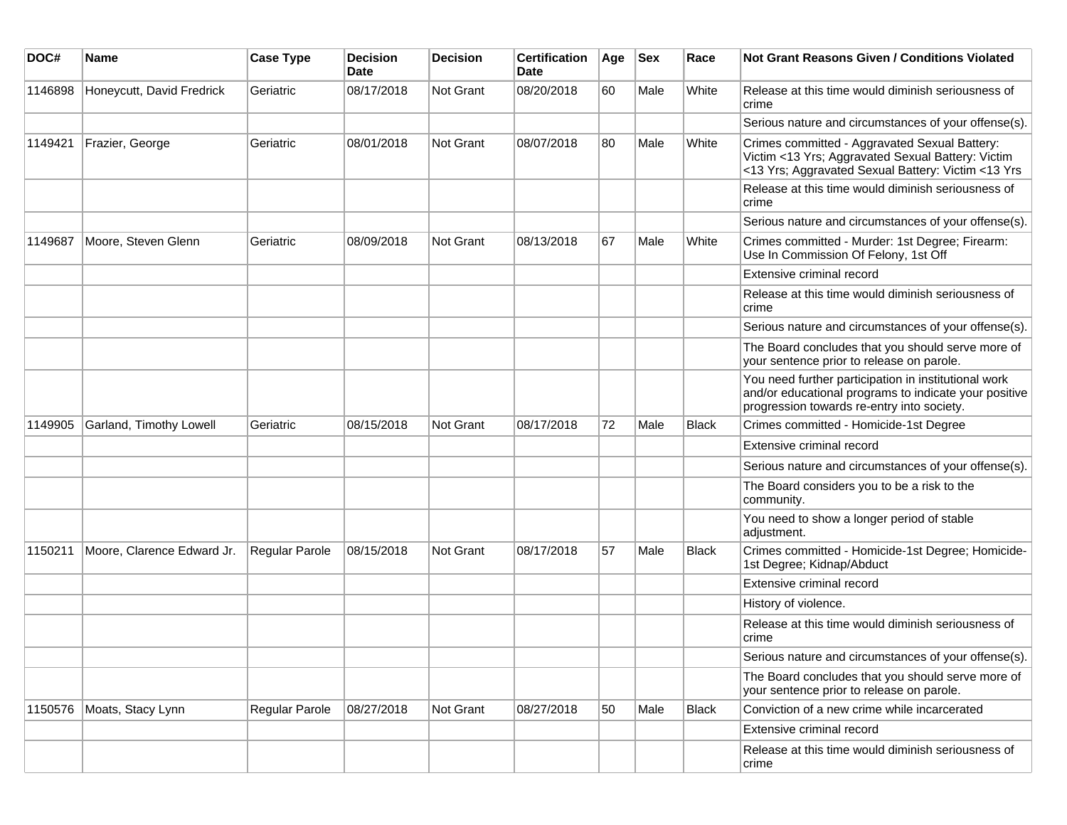| DOC#    | Name                       | <b>Case Type</b> | <b>Decision</b><br><b>Date</b> | <b>Decision</b>  | <b>Certification</b><br>Date | Age | <b>Sex</b> | Race         | <b>Not Grant Reasons Given / Conditions Violated</b>                                                                                                        |
|---------|----------------------------|------------------|--------------------------------|------------------|------------------------------|-----|------------|--------------|-------------------------------------------------------------------------------------------------------------------------------------------------------------|
| 1146898 | Honeycutt, David Fredrick  | Geriatric        | 08/17/2018                     | <b>Not Grant</b> | 08/20/2018                   | 60  | Male       | White        | Release at this time would diminish seriousness of<br>crime                                                                                                 |
|         |                            |                  |                                |                  |                              |     |            |              | Serious nature and circumstances of your offense(s).                                                                                                        |
| 1149421 | Frazier, George            | Geriatric        | 08/01/2018                     | <b>Not Grant</b> | 08/07/2018                   | 80  | Male       | White        | Crimes committed - Aggravated Sexual Battery:<br>Victim <13 Yrs; Aggravated Sexual Battery: Victim<br><13 Yrs; Aggravated Sexual Battery: Victim <13 Yrs    |
|         |                            |                  |                                |                  |                              |     |            |              | Release at this time would diminish seriousness of<br>crime                                                                                                 |
|         |                            |                  |                                |                  |                              |     |            |              | Serious nature and circumstances of your offense(s).                                                                                                        |
| 1149687 | Moore, Steven Glenn        | Geriatric        | 08/09/2018                     | <b>Not Grant</b> | 08/13/2018                   | 67  | Male       | White        | Crimes committed - Murder: 1st Degree; Firearm:<br>Use In Commission Of Felony, 1st Off                                                                     |
|         |                            |                  |                                |                  |                              |     |            |              | Extensive criminal record                                                                                                                                   |
|         |                            |                  |                                |                  |                              |     |            |              | Release at this time would diminish seriousness of<br>crime                                                                                                 |
|         |                            |                  |                                |                  |                              |     |            |              | Serious nature and circumstances of your offense(s).                                                                                                        |
|         |                            |                  |                                |                  |                              |     |            |              | The Board concludes that you should serve more of<br>your sentence prior to release on parole.                                                              |
|         |                            |                  |                                |                  |                              |     |            |              | You need further participation in institutional work<br>and/or educational programs to indicate your positive<br>progression towards re-entry into society. |
| 1149905 | Garland, Timothy Lowell    | Geriatric        | 08/15/2018                     | <b>Not Grant</b> | 08/17/2018                   | 72  | Male       | <b>Black</b> | Crimes committed - Homicide-1st Degree                                                                                                                      |
|         |                            |                  |                                |                  |                              |     |            |              | Extensive criminal record                                                                                                                                   |
|         |                            |                  |                                |                  |                              |     |            |              | Serious nature and circumstances of your offense(s).                                                                                                        |
|         |                            |                  |                                |                  |                              |     |            |              | The Board considers you to be a risk to the<br>community.                                                                                                   |
|         |                            |                  |                                |                  |                              |     |            |              | You need to show a longer period of stable<br>adjustment.                                                                                                   |
| 1150211 | Moore, Clarence Edward Jr. | Regular Parole   | 08/15/2018                     | <b>Not Grant</b> | 08/17/2018                   | 57  | Male       | <b>Black</b> | Crimes committed - Homicide-1st Degree; Homicide-<br>1st Degree; Kidnap/Abduct                                                                              |
|         |                            |                  |                                |                  |                              |     |            |              | Extensive criminal record                                                                                                                                   |
|         |                            |                  |                                |                  |                              |     |            |              | History of violence.                                                                                                                                        |
|         |                            |                  |                                |                  |                              |     |            |              | Release at this time would diminish seriousness of<br>crime                                                                                                 |
|         |                            |                  |                                |                  |                              |     |            |              | Serious nature and circumstances of your offense(s).                                                                                                        |
|         |                            |                  |                                |                  |                              |     |            |              | The Board concludes that you should serve more of<br>your sentence prior to release on parole.                                                              |
| 1150576 | Moats, Stacy Lynn          | Regular Parole   | 08/27/2018                     | Not Grant        | 08/27/2018                   | 50  | Male       | Black        | Conviction of a new crime while incarcerated                                                                                                                |
|         |                            |                  |                                |                  |                              |     |            |              | Extensive criminal record                                                                                                                                   |
|         |                            |                  |                                |                  |                              |     |            |              | Release at this time would diminish seriousness of<br>crime                                                                                                 |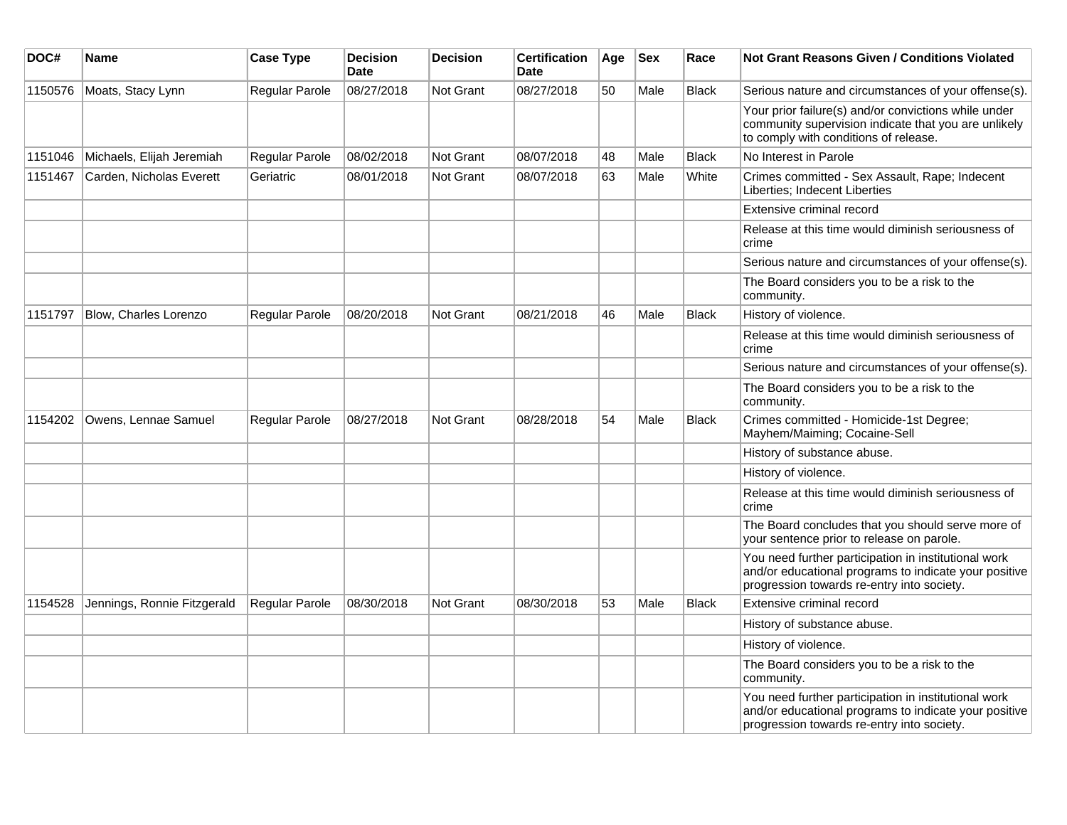| DOC#    | <b>Name</b>                 | <b>Case Type</b> | <b>Decision</b><br><b>Date</b> | <b>Decision</b>  | <b>Certification</b><br>Date | Age | <b>Sex</b> | Race         | <b>Not Grant Reasons Given / Conditions Violated</b>                                                                                                        |
|---------|-----------------------------|------------------|--------------------------------|------------------|------------------------------|-----|------------|--------------|-------------------------------------------------------------------------------------------------------------------------------------------------------------|
| 1150576 | Moats, Stacy Lynn           | Regular Parole   | 08/27/2018                     | <b>Not Grant</b> | 08/27/2018                   | 50  | Male       | <b>Black</b> | Serious nature and circumstances of your offense(s).                                                                                                        |
|         |                             |                  |                                |                  |                              |     |            |              | Your prior failure(s) and/or convictions while under<br>community supervision indicate that you are unlikely<br>to comply with conditions of release.       |
| 1151046 | Michaels, Elijah Jeremiah   | Regular Parole   | 08/02/2018                     | <b>Not Grant</b> | 08/07/2018                   | 48  | Male       | <b>Black</b> | No Interest in Parole                                                                                                                                       |
| 1151467 | Carden, Nicholas Everett    | Geriatric        | 08/01/2018                     | <b>Not Grant</b> | 08/07/2018                   | 63  | Male       | White        | Crimes committed - Sex Assault, Rape; Indecent<br>Liberties: Indecent Liberties                                                                             |
|         |                             |                  |                                |                  |                              |     |            |              | Extensive criminal record                                                                                                                                   |
|         |                             |                  |                                |                  |                              |     |            |              | Release at this time would diminish seriousness of<br>crime                                                                                                 |
|         |                             |                  |                                |                  |                              |     |            |              | Serious nature and circumstances of your offense(s).                                                                                                        |
|         |                             |                  |                                |                  |                              |     |            |              | The Board considers you to be a risk to the<br>community.                                                                                                   |
| 1151797 | Blow, Charles Lorenzo       | Regular Parole   | 08/20/2018                     | <b>Not Grant</b> | 08/21/2018                   | 46  | Male       | <b>Black</b> | History of violence.                                                                                                                                        |
|         |                             |                  |                                |                  |                              |     |            |              | Release at this time would diminish seriousness of<br>crime                                                                                                 |
|         |                             |                  |                                |                  |                              |     |            |              | Serious nature and circumstances of your offense(s).                                                                                                        |
|         |                             |                  |                                |                  |                              |     |            |              | The Board considers you to be a risk to the<br>community.                                                                                                   |
| 1154202 | Owens, Lennae Samuel        | Regular Parole   | 08/27/2018                     | <b>Not Grant</b> | 08/28/2018                   | 54  | Male       | <b>Black</b> | Crimes committed - Homicide-1st Degree;<br>Mayhem/Maiming; Cocaine-Sell                                                                                     |
|         |                             |                  |                                |                  |                              |     |            |              | History of substance abuse.                                                                                                                                 |
|         |                             |                  |                                |                  |                              |     |            |              | History of violence.                                                                                                                                        |
|         |                             |                  |                                |                  |                              |     |            |              | Release at this time would diminish seriousness of<br>crime                                                                                                 |
|         |                             |                  |                                |                  |                              |     |            |              | The Board concludes that you should serve more of<br>your sentence prior to release on parole.                                                              |
|         |                             |                  |                                |                  |                              |     |            |              | You need further participation in institutional work<br>and/or educational programs to indicate your positive<br>progression towards re-entry into society. |
| 1154528 | Jennings, Ronnie Fitzgerald | Regular Parole   | 08/30/2018                     | <b>Not Grant</b> | 08/30/2018                   | 53  | Male       | <b>Black</b> | Extensive criminal record                                                                                                                                   |
|         |                             |                  |                                |                  |                              |     |            |              | History of substance abuse.                                                                                                                                 |
|         |                             |                  |                                |                  |                              |     |            |              | History of violence.                                                                                                                                        |
|         |                             |                  |                                |                  |                              |     |            |              | The Board considers you to be a risk to the<br>community.                                                                                                   |
|         |                             |                  |                                |                  |                              |     |            |              | You need further participation in institutional work<br>and/or educational programs to indicate your positive<br>progression towards re-entry into society. |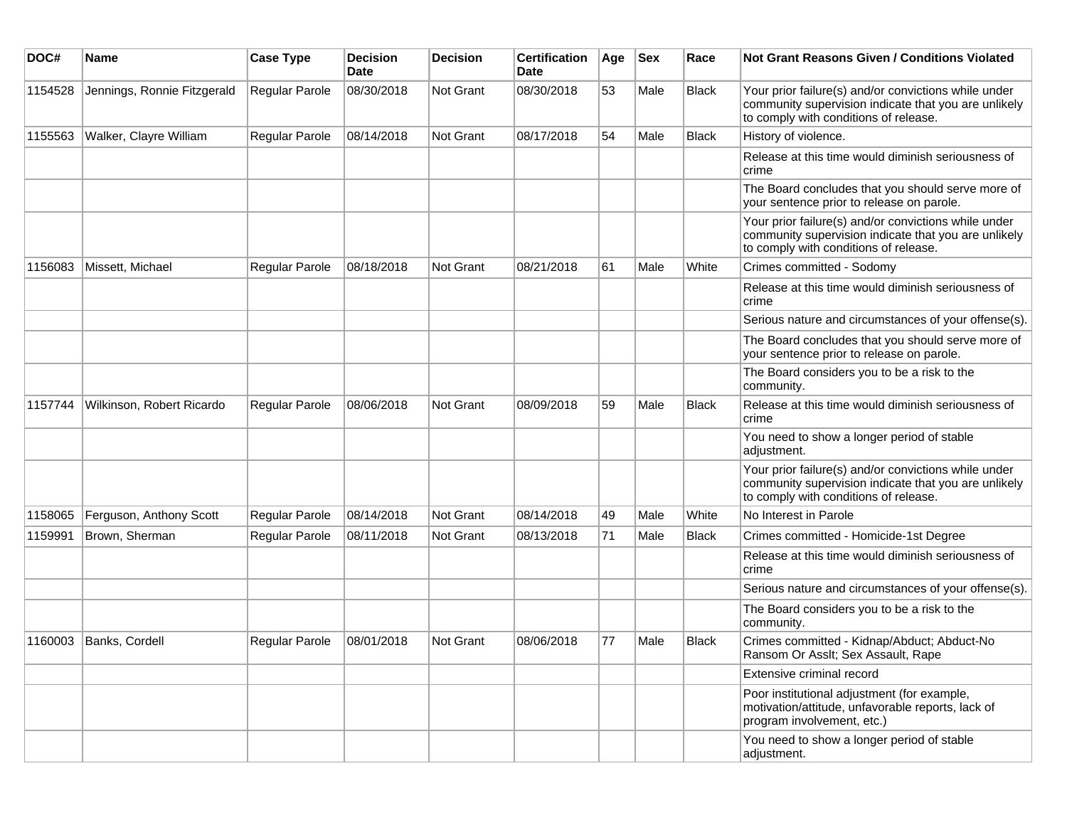| DOC#    | Name                        | <b>Case Type</b> | <b>Decision</b><br>Date | <b>Decision</b>  | <b>Certification</b><br><b>Date</b> | Age | <b>Sex</b> | Race         | <b>Not Grant Reasons Given / Conditions Violated</b>                                                                                                  |
|---------|-----------------------------|------------------|-------------------------|------------------|-------------------------------------|-----|------------|--------------|-------------------------------------------------------------------------------------------------------------------------------------------------------|
| 1154528 | Jennings, Ronnie Fitzgerald | Regular Parole   | 08/30/2018              | Not Grant        | 08/30/2018                          | 53  | Male       | <b>Black</b> | Your prior failure(s) and/or convictions while under<br>community supervision indicate that you are unlikely<br>to comply with conditions of release. |
| 1155563 | Walker, Clayre William      | Regular Parole   | 08/14/2018              | Not Grant        | 08/17/2018                          | 54  | Male       | <b>Black</b> | History of violence.                                                                                                                                  |
|         |                             |                  |                         |                  |                                     |     |            |              | Release at this time would diminish seriousness of<br>crime                                                                                           |
|         |                             |                  |                         |                  |                                     |     |            |              | The Board concludes that you should serve more of<br>your sentence prior to release on parole.                                                        |
|         |                             |                  |                         |                  |                                     |     |            |              | Your prior failure(s) and/or convictions while under<br>community supervision indicate that you are unlikely<br>to comply with conditions of release. |
| 1156083 | Missett, Michael            | Regular Parole   | 08/18/2018              | Not Grant        | 08/21/2018                          | 61  | Male       | White        | Crimes committed - Sodomy                                                                                                                             |
|         |                             |                  |                         |                  |                                     |     |            |              | Release at this time would diminish seriousness of<br>crime                                                                                           |
|         |                             |                  |                         |                  |                                     |     |            |              | Serious nature and circumstances of your offense(s).                                                                                                  |
|         |                             |                  |                         |                  |                                     |     |            |              | The Board concludes that you should serve more of<br>your sentence prior to release on parole.                                                        |
|         |                             |                  |                         |                  |                                     |     |            |              | The Board considers you to be a risk to the<br>community.                                                                                             |
| 1157744 | Wilkinson, Robert Ricardo   | Regular Parole   | 08/06/2018              | Not Grant        | 08/09/2018                          | 59  | Male       | Black        | Release at this time would diminish seriousness of<br>crime                                                                                           |
|         |                             |                  |                         |                  |                                     |     |            |              | You need to show a longer period of stable<br>adjustment.                                                                                             |
|         |                             |                  |                         |                  |                                     |     |            |              | Your prior failure(s) and/or convictions while under<br>community supervision indicate that you are unlikely<br>to comply with conditions of release. |
| 1158065 | Ferguson, Anthony Scott     | Regular Parole   | 08/14/2018              | Not Grant        | 08/14/2018                          | 49  | Male       | White        | No Interest in Parole                                                                                                                                 |
| 1159991 | Brown, Sherman              | Regular Parole   | 08/11/2018              | <b>Not Grant</b> | 08/13/2018                          | 71  | Male       | <b>Black</b> | Crimes committed - Homicide-1st Degree                                                                                                                |
|         |                             |                  |                         |                  |                                     |     |            |              | Release at this time would diminish seriousness of<br>crime                                                                                           |
|         |                             |                  |                         |                  |                                     |     |            |              | Serious nature and circumstances of your offense(s).                                                                                                  |
|         |                             |                  |                         |                  |                                     |     |            |              | The Board considers you to be a risk to the<br>community.                                                                                             |
| 1160003 | Banks, Cordell              | Regular Parole   | 08/01/2018              | Not Grant        | 08/06/2018                          | 77  | Male       | <b>Black</b> | Crimes committed - Kidnap/Abduct; Abduct-No<br>Ransom Or Asslt; Sex Assault, Rape                                                                     |
|         |                             |                  |                         |                  |                                     |     |            |              | Extensive criminal record                                                                                                                             |
|         |                             |                  |                         |                  |                                     |     |            |              | Poor institutional adjustment (for example,<br>motivation/attitude, unfavorable reports, lack of<br>program involvement, etc.)                        |
|         |                             |                  |                         |                  |                                     |     |            |              | You need to show a longer period of stable<br>adjustment.                                                                                             |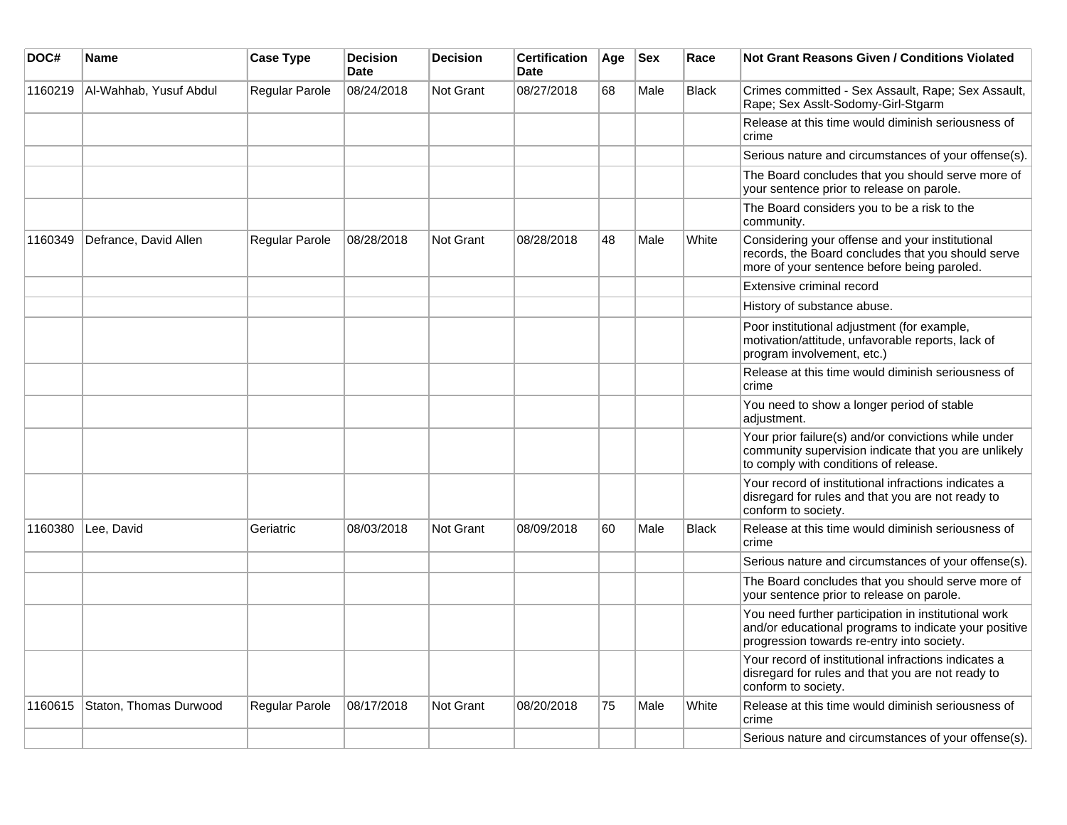| DOC#    | <b>Name</b>            | <b>Case Type</b> | <b>Decision</b><br><b>Date</b> | <b>Decision</b>  | <b>Certification</b><br><b>Date</b> | Age | <b>Sex</b> | Race         | Not Grant Reasons Given / Conditions Violated                                                                                                               |
|---------|------------------------|------------------|--------------------------------|------------------|-------------------------------------|-----|------------|--------------|-------------------------------------------------------------------------------------------------------------------------------------------------------------|
| 1160219 | Al-Wahhab, Yusuf Abdul | Regular Parole   | 08/24/2018                     | Not Grant        | 08/27/2018                          | 68  | Male       | <b>Black</b> | Crimes committed - Sex Assault, Rape; Sex Assault,<br>Rape; Sex Asslt-Sodomy-Girl-Stgarm                                                                    |
|         |                        |                  |                                |                  |                                     |     |            |              | Release at this time would diminish seriousness of<br>crime                                                                                                 |
|         |                        |                  |                                |                  |                                     |     |            |              | Serious nature and circumstances of your offense(s).                                                                                                        |
|         |                        |                  |                                |                  |                                     |     |            |              | The Board concludes that you should serve more of<br>your sentence prior to release on parole.                                                              |
|         |                        |                  |                                |                  |                                     |     |            |              | The Board considers you to be a risk to the<br>community.                                                                                                   |
| 1160349 | Defrance, David Allen  | Regular Parole   | 08/28/2018                     | Not Grant        | 08/28/2018                          | 48  | Male       | White        | Considering your offense and your institutional<br>records, the Board concludes that you should serve<br>more of your sentence before being paroled.        |
|         |                        |                  |                                |                  |                                     |     |            |              | Extensive criminal record                                                                                                                                   |
|         |                        |                  |                                |                  |                                     |     |            |              | History of substance abuse.                                                                                                                                 |
|         |                        |                  |                                |                  |                                     |     |            |              | Poor institutional adjustment (for example,<br>motivation/attitude, unfavorable reports, lack of<br>program involvement, etc.)                              |
|         |                        |                  |                                |                  |                                     |     |            |              | Release at this time would diminish seriousness of<br>crime                                                                                                 |
|         |                        |                  |                                |                  |                                     |     |            |              | You need to show a longer period of stable<br>adjustment.                                                                                                   |
|         |                        |                  |                                |                  |                                     |     |            |              | Your prior failure(s) and/or convictions while under<br>community supervision indicate that you are unlikely<br>to comply with conditions of release.       |
|         |                        |                  |                                |                  |                                     |     |            |              | Your record of institutional infractions indicates a<br>disregard for rules and that you are not ready to<br>conform to society.                            |
| 1160380 | Lee, David             | Geriatric        | 08/03/2018                     | <b>Not Grant</b> | 08/09/2018                          | 60  | Male       | <b>Black</b> | Release at this time would diminish seriousness of<br>crime                                                                                                 |
|         |                        |                  |                                |                  |                                     |     |            |              | Serious nature and circumstances of your offense(s).                                                                                                        |
|         |                        |                  |                                |                  |                                     |     |            |              | The Board concludes that you should serve more of<br>your sentence prior to release on parole.                                                              |
|         |                        |                  |                                |                  |                                     |     |            |              | You need further participation in institutional work<br>and/or educational programs to indicate your positive<br>progression towards re-entry into society. |
|         |                        |                  |                                |                  |                                     |     |            |              | Your record of institutional infractions indicates a<br>disregard for rules and that you are not ready to<br>conform to society.                            |
| 1160615 | Staton, Thomas Durwood | Regular Parole   | 08/17/2018                     | Not Grant        | 08/20/2018                          | 75  | Male       | White        | Release at this time would diminish seriousness of<br>crime                                                                                                 |
|         |                        |                  |                                |                  |                                     |     |            |              | Serious nature and circumstances of your offense(s).                                                                                                        |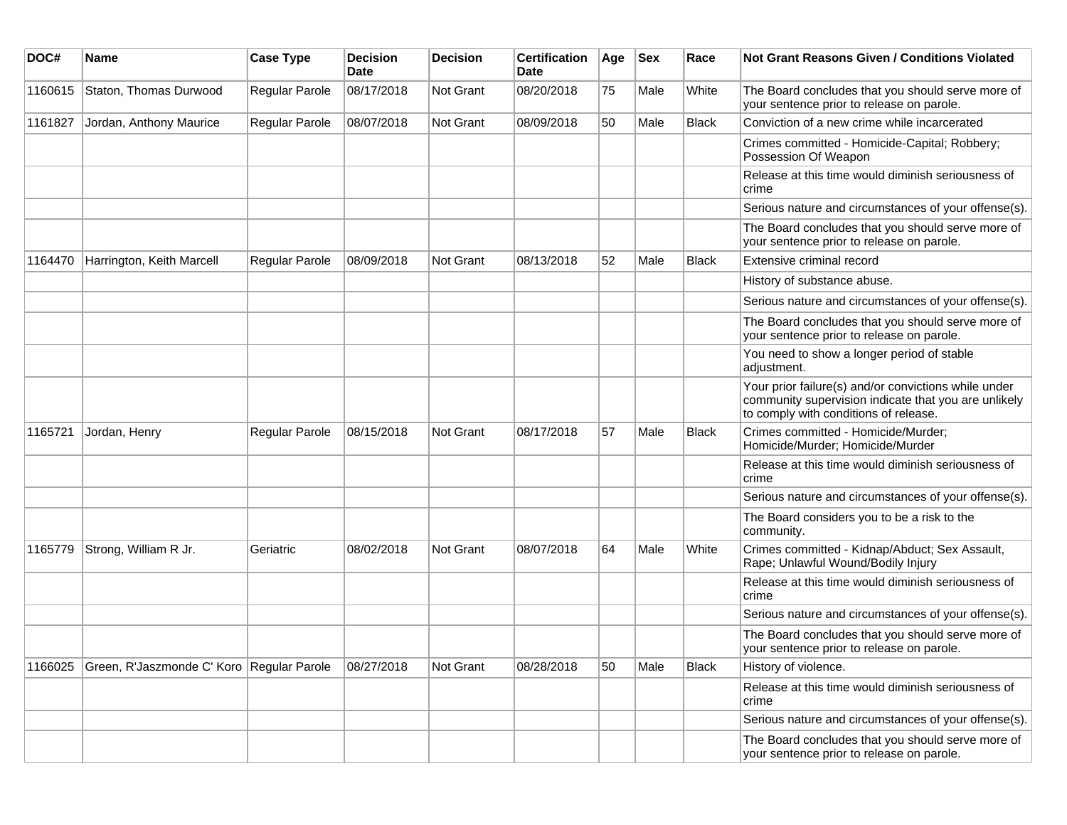| DOC#    | Name                                      | <b>Case Type</b>      | <b>Decision</b><br>Date | <b>Decision</b>  | <b>Certification</b><br>Date | Age | <b>Sex</b> | Race         | <b>Not Grant Reasons Given / Conditions Violated</b>                                                                                                  |
|---------|-------------------------------------------|-----------------------|-------------------------|------------------|------------------------------|-----|------------|--------------|-------------------------------------------------------------------------------------------------------------------------------------------------------|
| 1160615 | Staton, Thomas Durwood                    | Regular Parole        | 08/17/2018              | Not Grant        | 08/20/2018                   | 75  | Male       | White        | The Board concludes that you should serve more of<br>your sentence prior to release on parole.                                                        |
| 1161827 | Jordan, Anthony Maurice                   | Regular Parole        | 08/07/2018              | <b>Not Grant</b> | 08/09/2018                   | 50  | Male       | <b>Black</b> | Conviction of a new crime while incarcerated                                                                                                          |
|         |                                           |                       |                         |                  |                              |     |            |              | Crimes committed - Homicide-Capital; Robbery;<br>Possession Of Weapon                                                                                 |
|         |                                           |                       |                         |                  |                              |     |            |              | Release at this time would diminish seriousness of<br>crime                                                                                           |
|         |                                           |                       |                         |                  |                              |     |            |              | Serious nature and circumstances of your offense(s).                                                                                                  |
|         |                                           |                       |                         |                  |                              |     |            |              | The Board concludes that you should serve more of<br>your sentence prior to release on parole.                                                        |
| 1164470 | Harrington, Keith Marcell                 | <b>Regular Parole</b> | 08/09/2018              | Not Grant        | 08/13/2018                   | 52  | Male       | <b>Black</b> | Extensive criminal record                                                                                                                             |
|         |                                           |                       |                         |                  |                              |     |            |              | History of substance abuse.                                                                                                                           |
|         |                                           |                       |                         |                  |                              |     |            |              | Serious nature and circumstances of your offense(s).                                                                                                  |
|         |                                           |                       |                         |                  |                              |     |            |              | The Board concludes that you should serve more of<br>your sentence prior to release on parole.                                                        |
|         |                                           |                       |                         |                  |                              |     |            |              | You need to show a longer period of stable<br>adjustment.                                                                                             |
|         |                                           |                       |                         |                  |                              |     |            |              | Your prior failure(s) and/or convictions while under<br>community supervision indicate that you are unlikely<br>to comply with conditions of release. |
| 1165721 | Jordan, Henry                             | Regular Parole        | 08/15/2018              | Not Grant        | 08/17/2018                   | 57  | Male       | <b>Black</b> | Crimes committed - Homicide/Murder;<br>Homicide/Murder; Homicide/Murder                                                                               |
|         |                                           |                       |                         |                  |                              |     |            |              | Release at this time would diminish seriousness of<br>crime                                                                                           |
|         |                                           |                       |                         |                  |                              |     |            |              | Serious nature and circumstances of your offense(s).                                                                                                  |
|         |                                           |                       |                         |                  |                              |     |            |              | The Board considers you to be a risk to the<br>community.                                                                                             |
| 1165779 | Strong, William R Jr.                     | Geriatric             | 08/02/2018              | Not Grant        | 08/07/2018                   | 64  | Male       | White        | Crimes committed - Kidnap/Abduct; Sex Assault,<br>Rape; Unlawful Wound/Bodily Injury                                                                  |
|         |                                           |                       |                         |                  |                              |     |            |              | Release at this time would diminish seriousness of<br>crime                                                                                           |
|         |                                           |                       |                         |                  |                              |     |            |              | Serious nature and circumstances of your offense(s).                                                                                                  |
|         |                                           |                       |                         |                  |                              |     |            |              | The Board concludes that you should serve more of<br>your sentence prior to release on parole.                                                        |
| 1166025 | Green, R'Jaszmonde C' Koro Regular Parole |                       | 08/27/2018              | Not Grant        | 08/28/2018                   | 50  | Male       | Black        | History of violence.                                                                                                                                  |
|         |                                           |                       |                         |                  |                              |     |            |              | Release at this time would diminish seriousness of<br>crime                                                                                           |
|         |                                           |                       |                         |                  |                              |     |            |              | Serious nature and circumstances of your offense(s).                                                                                                  |
|         |                                           |                       |                         |                  |                              |     |            |              | The Board concludes that you should serve more of<br>your sentence prior to release on parole.                                                        |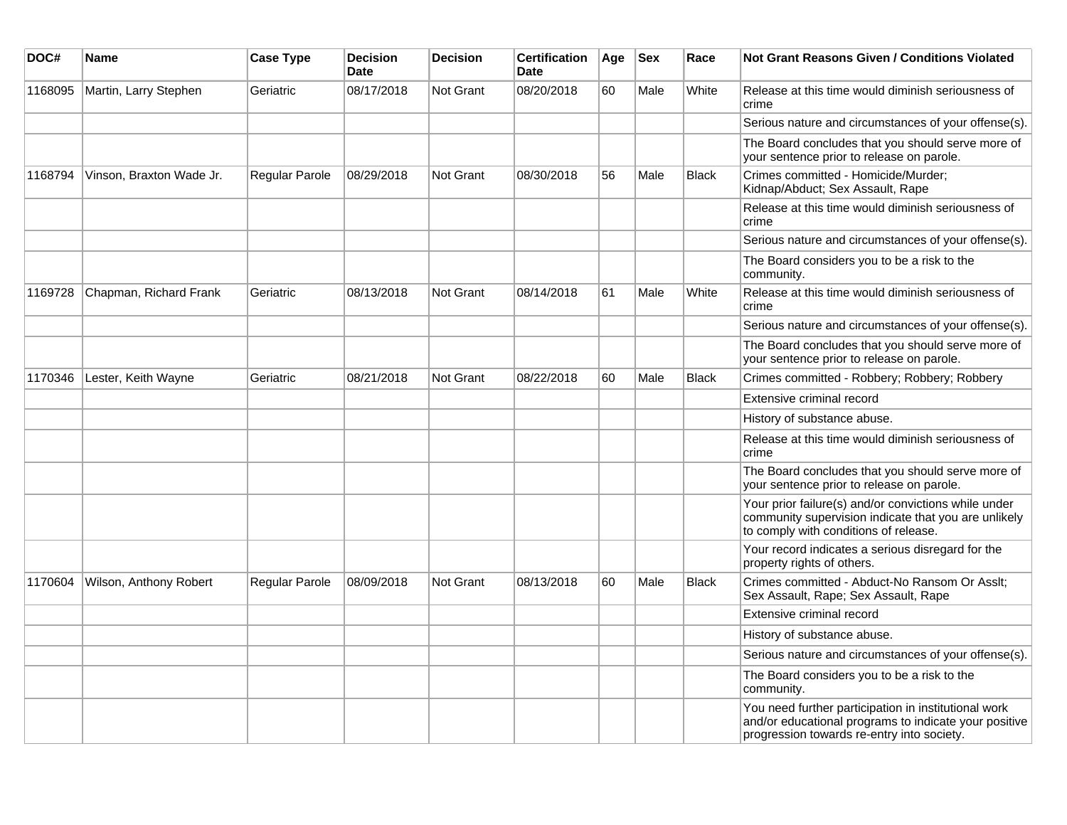| DOC#    | <b>Name</b>              | <b>Case Type</b>      | <b>Decision</b><br><b>Date</b> | <b>Decision</b>  | <b>Certification</b><br><b>Date</b> | Age | <b>Sex</b> | Race         | Not Grant Reasons Given / Conditions Violated                                                                                                               |
|---------|--------------------------|-----------------------|--------------------------------|------------------|-------------------------------------|-----|------------|--------------|-------------------------------------------------------------------------------------------------------------------------------------------------------------|
| 1168095 | Martin, Larry Stephen    | Geriatric             | 08/17/2018                     | Not Grant        | 08/20/2018                          | 60  | Male       | White        | Release at this time would diminish seriousness of<br>crime                                                                                                 |
|         |                          |                       |                                |                  |                                     |     |            |              | Serious nature and circumstances of your offense(s).                                                                                                        |
|         |                          |                       |                                |                  |                                     |     |            |              | The Board concludes that you should serve more of<br>your sentence prior to release on parole.                                                              |
| 1168794 | Vinson, Braxton Wade Jr. | <b>Regular Parole</b> | 08/29/2018                     | Not Grant        | 08/30/2018                          | 56  | Male       | <b>Black</b> | Crimes committed - Homicide/Murder;<br>Kidnap/Abduct; Sex Assault, Rape                                                                                     |
|         |                          |                       |                                |                  |                                     |     |            |              | Release at this time would diminish seriousness of<br>crime                                                                                                 |
|         |                          |                       |                                |                  |                                     |     |            |              | Serious nature and circumstances of your offense(s).                                                                                                        |
|         |                          |                       |                                |                  |                                     |     |            |              | The Board considers you to be a risk to the<br>community.                                                                                                   |
| 1169728 | Chapman, Richard Frank   | Geriatric             | 08/13/2018                     | <b>Not Grant</b> | 08/14/2018                          | 61  | Male       | White        | Release at this time would diminish seriousness of<br>crime                                                                                                 |
|         |                          |                       |                                |                  |                                     |     |            |              | Serious nature and circumstances of your offense(s).                                                                                                        |
|         |                          |                       |                                |                  |                                     |     |            |              | The Board concludes that you should serve more of<br>your sentence prior to release on parole.                                                              |
| 1170346 | Lester, Keith Wayne      | Geriatric             | 08/21/2018                     | Not Grant        | 08/22/2018                          | 60  | Male       | <b>Black</b> | Crimes committed - Robbery; Robbery; Robbery                                                                                                                |
|         |                          |                       |                                |                  |                                     |     |            |              | Extensive criminal record                                                                                                                                   |
|         |                          |                       |                                |                  |                                     |     |            |              | History of substance abuse.                                                                                                                                 |
|         |                          |                       |                                |                  |                                     |     |            |              | Release at this time would diminish seriousness of<br>crime                                                                                                 |
|         |                          |                       |                                |                  |                                     |     |            |              | The Board concludes that you should serve more of<br>your sentence prior to release on parole.                                                              |
|         |                          |                       |                                |                  |                                     |     |            |              | Your prior failure(s) and/or convictions while under<br>community supervision indicate that you are unlikely<br>to comply with conditions of release.       |
|         |                          |                       |                                |                  |                                     |     |            |              | Your record indicates a serious disregard for the<br>property rights of others.                                                                             |
| 1170604 | Wilson, Anthony Robert   | Regular Parole        | 08/09/2018                     | <b>Not Grant</b> | 08/13/2018                          | 60  | Male       | <b>Black</b> | Crimes committed - Abduct-No Ransom Or Asslt;<br>Sex Assault, Rape; Sex Assault, Rape                                                                       |
|         |                          |                       |                                |                  |                                     |     |            |              | Extensive criminal record                                                                                                                                   |
|         |                          |                       |                                |                  |                                     |     |            |              | History of substance abuse.                                                                                                                                 |
|         |                          |                       |                                |                  |                                     |     |            |              | Serious nature and circumstances of your offense(s).                                                                                                        |
|         |                          |                       |                                |                  |                                     |     |            |              | The Board considers you to be a risk to the<br>community.                                                                                                   |
|         |                          |                       |                                |                  |                                     |     |            |              | You need further participation in institutional work<br>and/or educational programs to indicate your positive<br>progression towards re-entry into society. |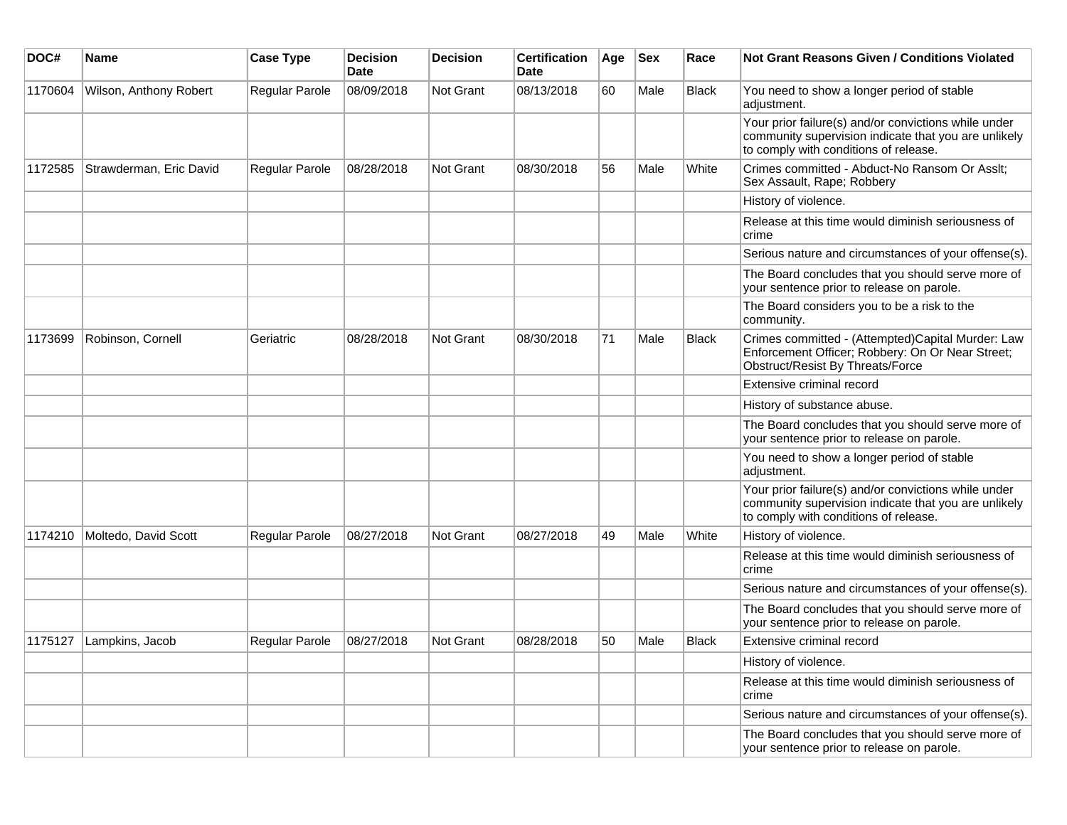| DOC#    | <b>Name</b>             | <b>Case Type</b> | <b>Decision</b><br><b>Date</b> | <b>Decision</b> | <b>Certification</b><br>Date | Age | <b>Sex</b> | Race         | <b>Not Grant Reasons Given / Conditions Violated</b>                                                                                                  |
|---------|-------------------------|------------------|--------------------------------|-----------------|------------------------------|-----|------------|--------------|-------------------------------------------------------------------------------------------------------------------------------------------------------|
| 1170604 | Wilson, Anthony Robert  | Regular Parole   | 08/09/2018                     | Not Grant       | 08/13/2018                   | 60  | Male       | <b>Black</b> | You need to show a longer period of stable<br>adjustment.                                                                                             |
|         |                         |                  |                                |                 |                              |     |            |              | Your prior failure(s) and/or convictions while under<br>community supervision indicate that you are unlikely<br>to comply with conditions of release. |
| 1172585 | Strawderman, Eric David | Regular Parole   | 08/28/2018                     | Not Grant       | 08/30/2018                   | 56  | Male       | White        | Crimes committed - Abduct-No Ransom Or Asslt;<br>Sex Assault, Rape; Robbery                                                                           |
|         |                         |                  |                                |                 |                              |     |            |              | History of violence.                                                                                                                                  |
|         |                         |                  |                                |                 |                              |     |            |              | Release at this time would diminish seriousness of<br>crime                                                                                           |
|         |                         |                  |                                |                 |                              |     |            |              | Serious nature and circumstances of your offense(s).                                                                                                  |
|         |                         |                  |                                |                 |                              |     |            |              | The Board concludes that you should serve more of<br>your sentence prior to release on parole.                                                        |
|         |                         |                  |                                |                 |                              |     |            |              | The Board considers you to be a risk to the<br>community.                                                                                             |
| 1173699 | Robinson, Cornell       | Geriatric        | 08/28/2018                     | Not Grant       | 08/30/2018                   | 71  | Male       | Black        | Crimes committed - (Attempted)Capital Murder: Law<br>Enforcement Officer; Robbery: On Or Near Street;<br>Obstruct/Resist By Threats/Force             |
|         |                         |                  |                                |                 |                              |     |            |              | Extensive criminal record                                                                                                                             |
|         |                         |                  |                                |                 |                              |     |            |              | History of substance abuse.                                                                                                                           |
|         |                         |                  |                                |                 |                              |     |            |              | The Board concludes that you should serve more of<br>your sentence prior to release on parole.                                                        |
|         |                         |                  |                                |                 |                              |     |            |              | You need to show a longer period of stable<br>adjustment.                                                                                             |
|         |                         |                  |                                |                 |                              |     |            |              | Your prior failure(s) and/or convictions while under<br>community supervision indicate that you are unlikely<br>to comply with conditions of release. |
| 1174210 | Moltedo, David Scott    | Regular Parole   | 08/27/2018                     | Not Grant       | 08/27/2018                   | 49  | Male       | White        | History of violence.                                                                                                                                  |
|         |                         |                  |                                |                 |                              |     |            |              | Release at this time would diminish seriousness of<br>crime                                                                                           |
|         |                         |                  |                                |                 |                              |     |            |              | Serious nature and circumstances of your offense(s).                                                                                                  |
|         |                         |                  |                                |                 |                              |     |            |              | The Board concludes that you should serve more of<br>your sentence prior to release on parole.                                                        |
| 1175127 | Lampkins, Jacob         | Regular Parole   | 08/27/2018                     | Not Grant       | 08/28/2018                   | 50  | Male       | <b>Black</b> | Extensive criminal record                                                                                                                             |
|         |                         |                  |                                |                 |                              |     |            |              | History of violence.                                                                                                                                  |
|         |                         |                  |                                |                 |                              |     |            |              | Release at this time would diminish seriousness of<br>crime                                                                                           |
|         |                         |                  |                                |                 |                              |     |            |              | Serious nature and circumstances of your offense(s).                                                                                                  |
|         |                         |                  |                                |                 |                              |     |            |              | The Board concludes that you should serve more of<br>your sentence prior to release on parole.                                                        |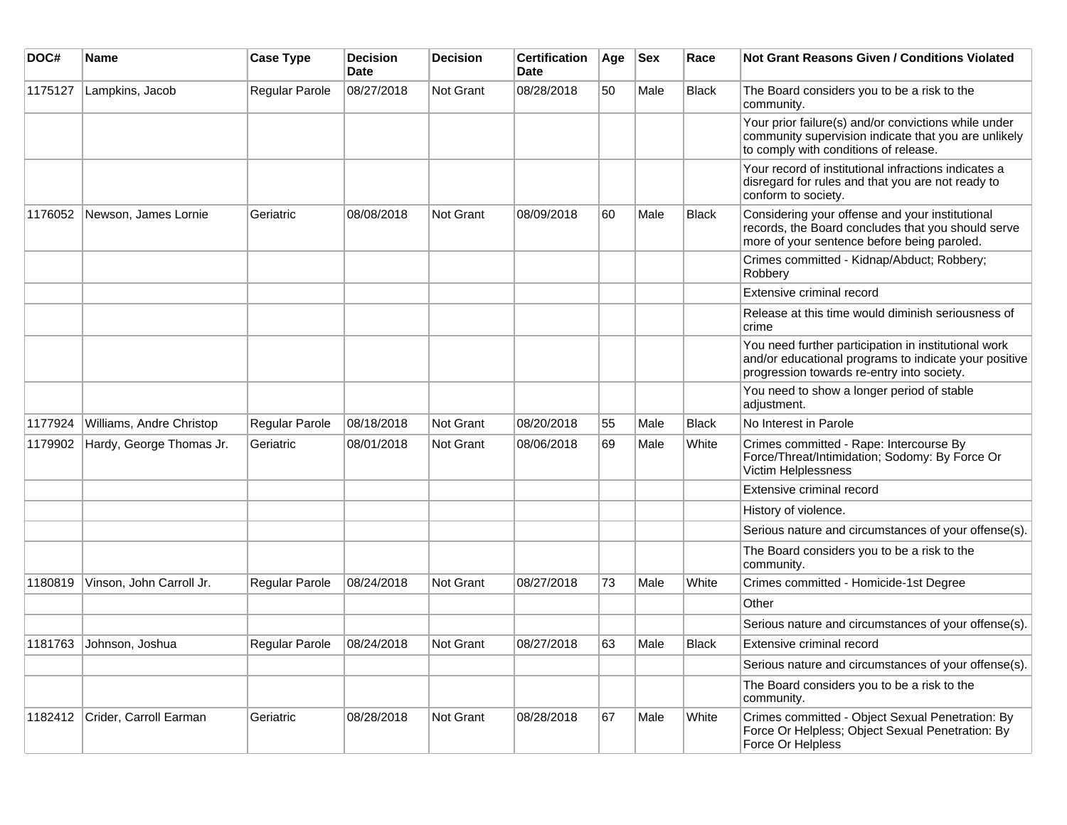| DOC#    | <b>Name</b>                    | <b>Case Type</b>      | <b>Decision</b><br>Date | <b>Decision</b> | <b>Certification</b><br>Date | Age | <b>Sex</b> | Race         | <b>Not Grant Reasons Given / Conditions Violated</b>                                                                                                        |
|---------|--------------------------------|-----------------------|-------------------------|-----------------|------------------------------|-----|------------|--------------|-------------------------------------------------------------------------------------------------------------------------------------------------------------|
| 1175127 | Lampkins, Jacob                | Regular Parole        | 08/27/2018              | Not Grant       | 08/28/2018                   | 50  | Male       | Black        | The Board considers you to be a risk to the<br>community.                                                                                                   |
|         |                                |                       |                         |                 |                              |     |            |              | Your prior failure(s) and/or convictions while under<br>community supervision indicate that you are unlikely<br>to comply with conditions of release.       |
|         |                                |                       |                         |                 |                              |     |            |              | Your record of institutional infractions indicates a<br>disregard for rules and that you are not ready to<br>conform to society.                            |
| 1176052 | Newson, James Lornie           | Geriatric             | 08/08/2018              | Not Grant       | 08/09/2018                   | 60  | Male       | <b>Black</b> | Considering your offense and your institutional<br>records, the Board concludes that you should serve<br>more of your sentence before being paroled.        |
|         |                                |                       |                         |                 |                              |     |            |              | Crimes committed - Kidnap/Abduct; Robbery;<br>Robbery                                                                                                       |
|         |                                |                       |                         |                 |                              |     |            |              | Extensive criminal record                                                                                                                                   |
|         |                                |                       |                         |                 |                              |     |            |              | Release at this time would diminish seriousness of<br>crime                                                                                                 |
|         |                                |                       |                         |                 |                              |     |            |              | You need further participation in institutional work<br>and/or educational programs to indicate your positive<br>progression towards re-entry into society. |
|         |                                |                       |                         |                 |                              |     |            |              | You need to show a longer period of stable<br>adjustment.                                                                                                   |
| 1177924 | Williams, Andre Christop       | Regular Parole        | 08/18/2018              | Not Grant       | 08/20/2018                   | 55  | Male       | <b>Black</b> | No Interest in Parole                                                                                                                                       |
| 1179902 | Hardy, George Thomas Jr.       | Geriatric             | 08/01/2018              | Not Grant       | 08/06/2018                   | 69  | Male       | White        | Crimes committed - Rape: Intercourse By<br>Force/Threat/Intimidation; Sodomy: By Force Or<br>Victim Helplessness                                            |
|         |                                |                       |                         |                 |                              |     |            |              | Extensive criminal record                                                                                                                                   |
|         |                                |                       |                         |                 |                              |     |            |              | History of violence.                                                                                                                                        |
|         |                                |                       |                         |                 |                              |     |            |              | Serious nature and circumstances of your offense(s).                                                                                                        |
|         |                                |                       |                         |                 |                              |     |            |              | The Board considers you to be a risk to the<br>community.                                                                                                   |
| 1180819 | Vinson, John Carroll Jr.       | Regular Parole        | 08/24/2018              | Not Grant       | 08/27/2018                   | 73  | Male       | White        | Crimes committed - Homicide-1st Degree                                                                                                                      |
|         |                                |                       |                         |                 |                              |     |            |              | Other                                                                                                                                                       |
|         |                                |                       |                         |                 |                              |     |            |              | Serious nature and circumstances of your offense(s).                                                                                                        |
| 1181763 | Johnson, Joshua                | <b>Regular Parole</b> | 08/24/2018              | Not Grant       | 08/27/2018                   | 63  | Male       | Black        | Extensive criminal record                                                                                                                                   |
|         |                                |                       |                         |                 |                              |     |            |              | Serious nature and circumstances of your offense(s).                                                                                                        |
|         |                                |                       |                         |                 |                              |     |            |              | The Board considers you to be a risk to the<br>community.                                                                                                   |
|         | 1182412 Crider, Carroll Earman | Geriatric             | 08/28/2018              | Not Grant       | 08/28/2018                   | 67  | Male       | White        | Crimes committed - Object Sexual Penetration: By<br>Force Or Helpless; Object Sexual Penetration: By<br>Force Or Helpless                                   |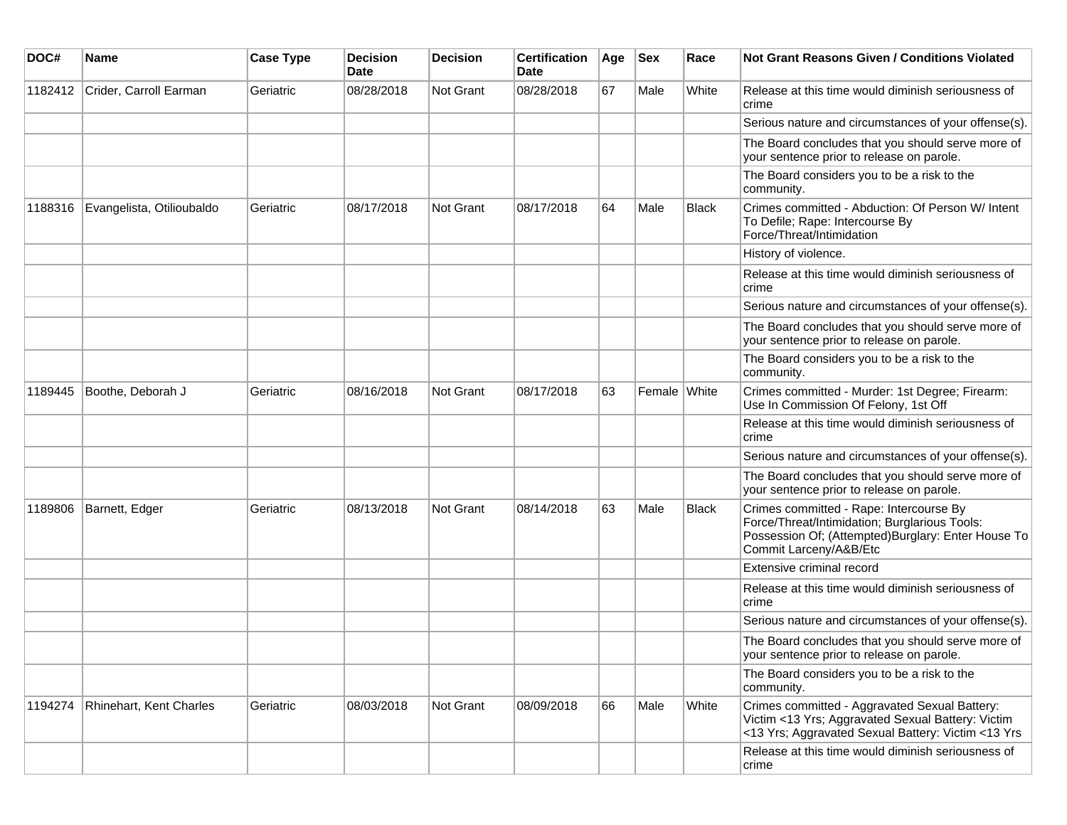| DOC#    | <b>Name</b>                    | <b>Case Type</b> | <b>Decision</b><br><b>Date</b> | <b>Decision</b> | <b>Certification</b><br>Date | Age | <b>Sex</b>   | Race  | <b>Not Grant Reasons Given / Conditions Violated</b>                                                                                                                     |
|---------|--------------------------------|------------------|--------------------------------|-----------------|------------------------------|-----|--------------|-------|--------------------------------------------------------------------------------------------------------------------------------------------------------------------------|
| 1182412 | Crider, Carroll Earman         | Geriatric        | 08/28/2018                     | Not Grant       | 08/28/2018                   | 67  | Male         | White | Release at this time would diminish seriousness of<br>crime                                                                                                              |
|         |                                |                  |                                |                 |                              |     |              |       | Serious nature and circumstances of your offense(s).                                                                                                                     |
|         |                                |                  |                                |                 |                              |     |              |       | The Board concludes that you should serve more of<br>your sentence prior to release on parole.                                                                           |
|         |                                |                  |                                |                 |                              |     |              |       | The Board considers you to be a risk to the<br>community.                                                                                                                |
| 1188316 | Evangelista, Otilioubaldo      | Geriatric        | 08/17/2018                     | Not Grant       | 08/17/2018                   | 64  | Male         | Black | Crimes committed - Abduction: Of Person W/ Intent<br>To Defile; Rape: Intercourse By<br>Force/Threat/Intimidation                                                        |
|         |                                |                  |                                |                 |                              |     |              |       | History of violence.                                                                                                                                                     |
|         |                                |                  |                                |                 |                              |     |              |       | Release at this time would diminish seriousness of<br>crime                                                                                                              |
|         |                                |                  |                                |                 |                              |     |              |       | Serious nature and circumstances of your offense(s).                                                                                                                     |
|         |                                |                  |                                |                 |                              |     |              |       | The Board concludes that you should serve more of<br>your sentence prior to release on parole.                                                                           |
|         |                                |                  |                                |                 |                              |     |              |       | The Board considers you to be a risk to the<br>community.                                                                                                                |
| 1189445 | Boothe, Deborah J              | Geriatric        | 08/16/2018                     | Not Grant       | 08/17/2018                   | 63  | Female White |       | Crimes committed - Murder: 1st Degree; Firearm:<br>Use In Commission Of Felony, 1st Off                                                                                  |
|         |                                |                  |                                |                 |                              |     |              |       | Release at this time would diminish seriousness of<br>crime                                                                                                              |
|         |                                |                  |                                |                 |                              |     |              |       | Serious nature and circumstances of your offense(s).                                                                                                                     |
|         |                                |                  |                                |                 |                              |     |              |       | The Board concludes that you should serve more of<br>your sentence prior to release on parole.                                                                           |
| 1189806 | Barnett, Edger                 | Geriatric        | 08/13/2018                     | Not Grant       | 08/14/2018                   | 63  | Male         | Black | Crimes committed - Rape: Intercourse By<br>Force/Threat/Intimidation; Burglarious Tools:<br>Possession Of; (Attempted)Burglary: Enter House To<br>Commit Larceny/A&B/Etc |
|         |                                |                  |                                |                 |                              |     |              |       | Extensive criminal record                                                                                                                                                |
|         |                                |                  |                                |                 |                              |     |              |       | Release at this time would diminish seriousness of<br>crime                                                                                                              |
|         |                                |                  |                                |                 |                              |     |              |       | Serious nature and circumstances of your offense(s).                                                                                                                     |
|         |                                |                  |                                |                 |                              |     |              |       | The Board concludes that you should serve more of<br>your sentence prior to release on parole.                                                                           |
|         |                                |                  |                                |                 |                              |     |              |       | The Board considers you to be a risk to the<br>community.                                                                                                                |
| 1194274 | <b>Rhinehart, Kent Charles</b> | Geriatric        | 08/03/2018                     | Not Grant       | 08/09/2018                   | 66  | Male         | White | Crimes committed - Aggravated Sexual Battery:<br>Victim <13 Yrs; Aggravated Sexual Battery: Victim<br><13 Yrs; Aggravated Sexual Battery: Victim <13 Yrs                 |
|         |                                |                  |                                |                 |                              |     |              |       | Release at this time would diminish seriousness of<br>crime                                                                                                              |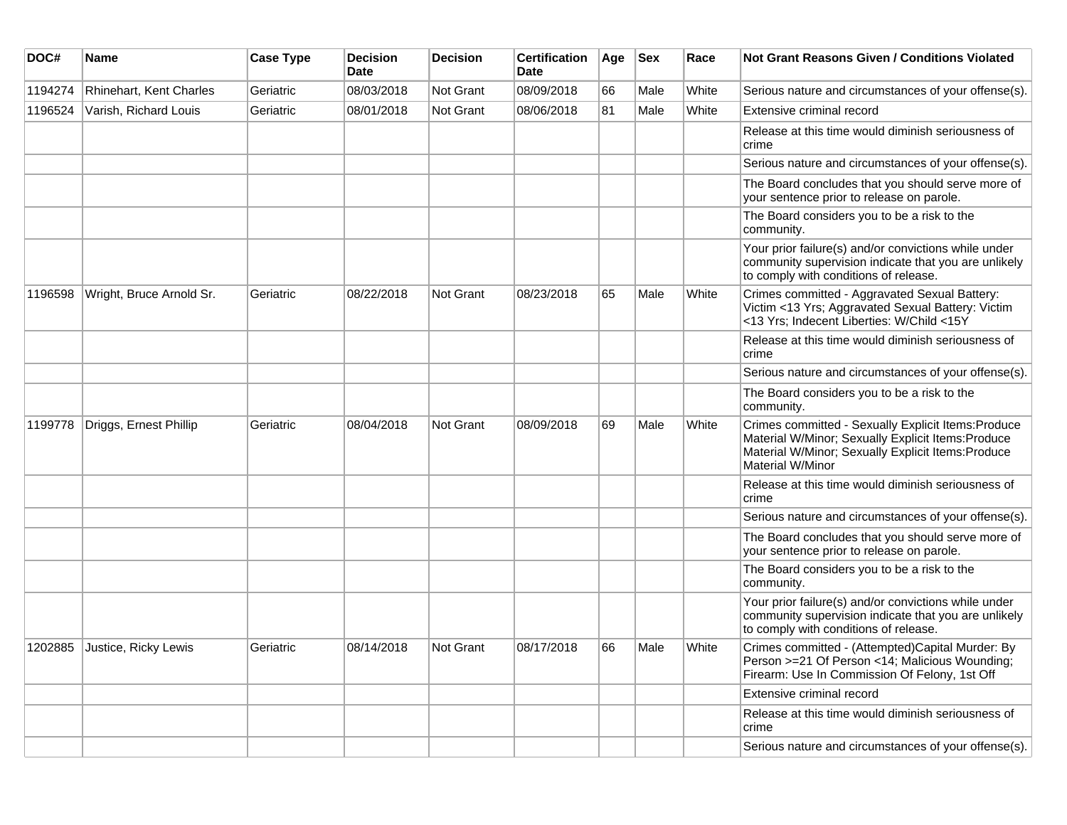| DOC#    | Name                     | <b>Case Type</b> | <b>Decision</b><br><b>Date</b> | <b>Decision</b>  | <b>Certification</b><br><b>Date</b> | Age | <b>Sex</b> | Race  | <b>Not Grant Reasons Given / Conditions Violated</b>                                                                                                                                |
|---------|--------------------------|------------------|--------------------------------|------------------|-------------------------------------|-----|------------|-------|-------------------------------------------------------------------------------------------------------------------------------------------------------------------------------------|
| 1194274 | Rhinehart, Kent Charles  | Geriatric        | 08/03/2018                     | Not Grant        | 08/09/2018                          | 66  | Male       | White | Serious nature and circumstances of your offense(s).                                                                                                                                |
| 1196524 | Varish, Richard Louis    | Geriatric        | 08/01/2018                     | Not Grant        | 08/06/2018                          | 81  | Male       | White | Extensive criminal record                                                                                                                                                           |
|         |                          |                  |                                |                  |                                     |     |            |       | Release at this time would diminish seriousness of<br>crime                                                                                                                         |
|         |                          |                  |                                |                  |                                     |     |            |       | Serious nature and circumstances of your offense(s).                                                                                                                                |
|         |                          |                  |                                |                  |                                     |     |            |       | The Board concludes that you should serve more of<br>your sentence prior to release on parole.                                                                                      |
|         |                          |                  |                                |                  |                                     |     |            |       | The Board considers you to be a risk to the<br>community.                                                                                                                           |
|         |                          |                  |                                |                  |                                     |     |            |       | Your prior failure(s) and/or convictions while under<br>community supervision indicate that you are unlikely<br>to comply with conditions of release.                               |
| 1196598 | Wright, Bruce Arnold Sr. | Geriatric        | 08/22/2018                     | <b>Not Grant</b> | 08/23/2018                          | 65  | Male       | White | Crimes committed - Aggravated Sexual Battery:<br>Victim <13 Yrs; Aggravated Sexual Battery: Victim<br><13 Yrs; Indecent Liberties: W/Child <15Y                                     |
|         |                          |                  |                                |                  |                                     |     |            |       | Release at this time would diminish seriousness of<br>crime                                                                                                                         |
|         |                          |                  |                                |                  |                                     |     |            |       | Serious nature and circumstances of your offense(s).                                                                                                                                |
|         |                          |                  |                                |                  |                                     |     |            |       | The Board considers you to be a risk to the<br>community.                                                                                                                           |
| 1199778 | Driggs, Ernest Phillip   | Geriatric        | 08/04/2018                     | <b>Not Grant</b> | 08/09/2018                          | 69  | Male       | White | Crimes committed - Sexually Explicit Items: Produce<br>Material W/Minor; Sexually Explicit Items: Produce<br>Material W/Minor; Sexually Explicit Items: Produce<br>Material W/Minor |
|         |                          |                  |                                |                  |                                     |     |            |       | Release at this time would diminish seriousness of<br>crime                                                                                                                         |
|         |                          |                  |                                |                  |                                     |     |            |       | Serious nature and circumstances of your offense(s).                                                                                                                                |
|         |                          |                  |                                |                  |                                     |     |            |       | The Board concludes that you should serve more of<br>your sentence prior to release on parole.                                                                                      |
|         |                          |                  |                                |                  |                                     |     |            |       | The Board considers you to be a risk to the<br>community.                                                                                                                           |
|         |                          |                  |                                |                  |                                     |     |            |       | Your prior failure(s) and/or convictions while under<br>community supervision indicate that you are unlikely<br>to comply with conditions of release.                               |
| 1202885 | Justice, Ricky Lewis     | Geriatric        | 08/14/2018                     | Not Grant        | 08/17/2018                          | 66  | Male       | White | Crimes committed - (Attempted)Capital Murder: By<br>Person >=21 Of Person <14; Malicious Wounding;<br>Firearm: Use In Commission Of Felony, 1st Off                                 |
|         |                          |                  |                                |                  |                                     |     |            |       | Extensive criminal record                                                                                                                                                           |
|         |                          |                  |                                |                  |                                     |     |            |       | Release at this time would diminish seriousness of<br>crime                                                                                                                         |
|         |                          |                  |                                |                  |                                     |     |            |       | Serious nature and circumstances of your offense(s).                                                                                                                                |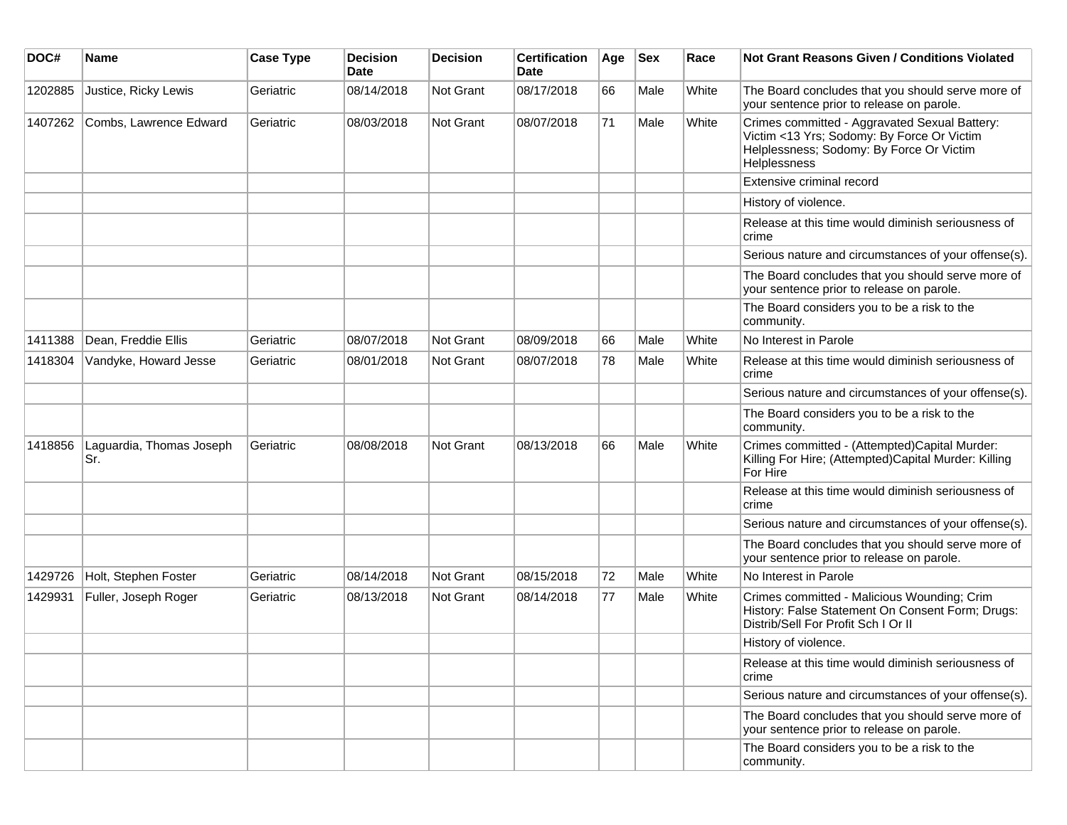| DOC#    | Name                            | <b>Case Type</b> | <b>Decision</b><br><b>Date</b> | <b>Decision</b>  | <b>Certification</b><br>Date | Age | <b>Sex</b> | Race  | <b>Not Grant Reasons Given / Conditions Violated</b>                                                                                                    |
|---------|---------------------------------|------------------|--------------------------------|------------------|------------------------------|-----|------------|-------|---------------------------------------------------------------------------------------------------------------------------------------------------------|
| 1202885 | Justice, Ricky Lewis            | Geriatric        | 08/14/2018                     | Not Grant        | 08/17/2018                   | 66  | Male       | White | The Board concludes that you should serve more of<br>your sentence prior to release on parole.                                                          |
| 1407262 | Combs, Lawrence Edward          | Geriatric        | 08/03/2018                     | Not Grant        | 08/07/2018                   | 71  | Male       | White | Crimes committed - Aggravated Sexual Battery:<br>Victim <13 Yrs; Sodomy: By Force Or Victim<br>Helplessness; Sodomy: By Force Or Victim<br>Helplessness |
|         |                                 |                  |                                |                  |                              |     |            |       | Extensive criminal record                                                                                                                               |
|         |                                 |                  |                                |                  |                              |     |            |       | History of violence.                                                                                                                                    |
|         |                                 |                  |                                |                  |                              |     |            |       | Release at this time would diminish seriousness of<br>crime                                                                                             |
|         |                                 |                  |                                |                  |                              |     |            |       | Serious nature and circumstances of your offense(s).                                                                                                    |
|         |                                 |                  |                                |                  |                              |     |            |       | The Board concludes that you should serve more of<br>your sentence prior to release on parole.                                                          |
|         |                                 |                  |                                |                  |                              |     |            |       | The Board considers you to be a risk to the<br>community.                                                                                               |
| 1411388 | Dean, Freddie Ellis             | Geriatric        | 08/07/2018                     | Not Grant        | 08/09/2018                   | 66  | Male       | White | No Interest in Parole                                                                                                                                   |
| 1418304 | Vandyke, Howard Jesse           | Geriatric        | 08/01/2018                     | Not Grant        | 08/07/2018                   | 78  | Male       | White | Release at this time would diminish seriousness of<br>crime                                                                                             |
|         |                                 |                  |                                |                  |                              |     |            |       | Serious nature and circumstances of your offense(s).                                                                                                    |
|         |                                 |                  |                                |                  |                              |     |            |       | The Board considers you to be a risk to the<br>community.                                                                                               |
| 1418856 | Laguardia, Thomas Joseph<br>Sr. | Geriatric        | 08/08/2018                     | Not Grant        | 08/13/2018                   | 66  | Male       | White | Crimes committed - (Attempted)Capital Murder:<br>Killing For Hire; (Attempted)Capital Murder: Killing<br>For Hire                                       |
|         |                                 |                  |                                |                  |                              |     |            |       | Release at this time would diminish seriousness of<br>crime                                                                                             |
|         |                                 |                  |                                |                  |                              |     |            |       | Serious nature and circumstances of your offense(s).                                                                                                    |
|         |                                 |                  |                                |                  |                              |     |            |       | The Board concludes that you should serve more of<br>your sentence prior to release on parole.                                                          |
| 1429726 | Holt, Stephen Foster            | Geriatric        | 08/14/2018                     | <b>Not Grant</b> | 08/15/2018                   | 72  | Male       | White | No Interest in Parole                                                                                                                                   |
| 1429931 | Fuller, Joseph Roger            | Geriatric        | 08/13/2018                     | <b>Not Grant</b> | 08/14/2018                   | 77  | Male       | White | Crimes committed - Malicious Wounding; Crim<br>History: False Statement On Consent Form; Drugs:<br>Distrib/Sell For Profit Sch I Or II                  |
|         |                                 |                  |                                |                  |                              |     |            |       | History of violence.                                                                                                                                    |
|         |                                 |                  |                                |                  |                              |     |            |       | Release at this time would diminish seriousness of<br>crime                                                                                             |
|         |                                 |                  |                                |                  |                              |     |            |       | Serious nature and circumstances of your offense(s).                                                                                                    |
|         |                                 |                  |                                |                  |                              |     |            |       | The Board concludes that you should serve more of<br>your sentence prior to release on parole.                                                          |
|         |                                 |                  |                                |                  |                              |     |            |       | The Board considers you to be a risk to the<br>community.                                                                                               |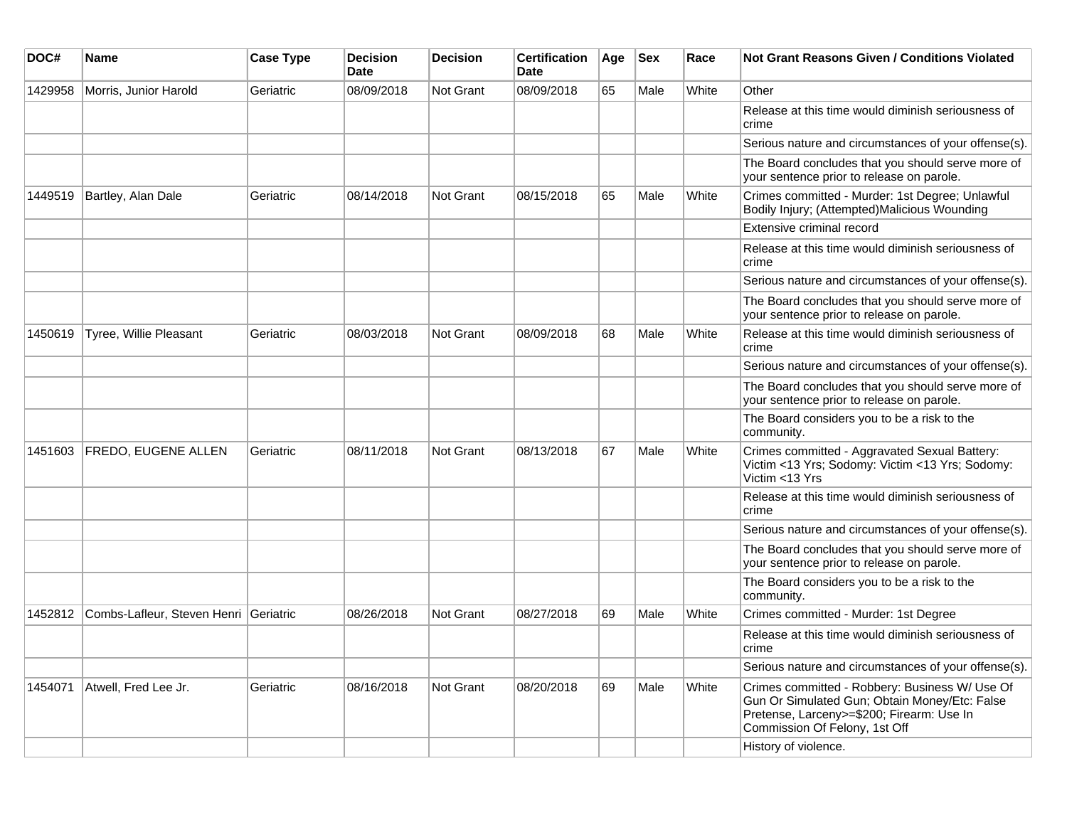| DOC#    | <b>Name</b>                           | <b>Case Type</b> | <b>Decision</b><br><b>Date</b> | <b>Decision</b> | <b>Certification</b><br>Date | Age | <b>Sex</b> | Race  | <b>Not Grant Reasons Given / Conditions Violated</b>                                                                                                                          |
|---------|---------------------------------------|------------------|--------------------------------|-----------------|------------------------------|-----|------------|-------|-------------------------------------------------------------------------------------------------------------------------------------------------------------------------------|
| 1429958 | Morris, Junior Harold                 | Geriatric        | 08/09/2018                     | Not Grant       | 08/09/2018                   | 65  | Male       | White | Other                                                                                                                                                                         |
|         |                                       |                  |                                |                 |                              |     |            |       | Release at this time would diminish seriousness of<br>crime                                                                                                                   |
|         |                                       |                  |                                |                 |                              |     |            |       | Serious nature and circumstances of your offense(s).                                                                                                                          |
|         |                                       |                  |                                |                 |                              |     |            |       | The Board concludes that you should serve more of<br>your sentence prior to release on parole.                                                                                |
| 1449519 | Bartley, Alan Dale                    | Geriatric        | 08/14/2018                     | Not Grant       | 08/15/2018                   | 65  | Male       | White | Crimes committed - Murder: 1st Degree; Unlawful<br>Bodily Injury; (Attempted)Malicious Wounding                                                                               |
|         |                                       |                  |                                |                 |                              |     |            |       | Extensive criminal record                                                                                                                                                     |
|         |                                       |                  |                                |                 |                              |     |            |       | Release at this time would diminish seriousness of<br>crime                                                                                                                   |
|         |                                       |                  |                                |                 |                              |     |            |       | Serious nature and circumstances of your offense(s).                                                                                                                          |
|         |                                       |                  |                                |                 |                              |     |            |       | The Board concludes that you should serve more of<br>your sentence prior to release on parole.                                                                                |
| 1450619 | Tyree, Willie Pleasant                | Geriatric        | 08/03/2018                     | Not Grant       | 08/09/2018                   | 68  | Male       | White | Release at this time would diminish seriousness of<br>crime                                                                                                                   |
|         |                                       |                  |                                |                 |                              |     |            |       | Serious nature and circumstances of your offense(s).                                                                                                                          |
|         |                                       |                  |                                |                 |                              |     |            |       | The Board concludes that you should serve more of<br>your sentence prior to release on parole.                                                                                |
|         |                                       |                  |                                |                 |                              |     |            |       | The Board considers you to be a risk to the<br>community.                                                                                                                     |
| 1451603 | <b>FREDO, EUGENE ALLEN</b>            | Geriatric        | 08/11/2018                     | Not Grant       | 08/13/2018                   | 67  | Male       | White | Crimes committed - Aggravated Sexual Battery:<br>Victim <13 Yrs; Sodomy: Victim <13 Yrs; Sodomy:<br>Victim <13 Yrs                                                            |
|         |                                       |                  |                                |                 |                              |     |            |       | Release at this time would diminish seriousness of<br>crime                                                                                                                   |
|         |                                       |                  |                                |                 |                              |     |            |       | Serious nature and circumstances of your offense(s).                                                                                                                          |
|         |                                       |                  |                                |                 |                              |     |            |       | The Board concludes that you should serve more of<br>your sentence prior to release on parole.                                                                                |
|         |                                       |                  |                                |                 |                              |     |            |       | The Board considers you to be a risk to the<br>community.                                                                                                                     |
| 1452812 | Combs-Lafleur, Steven Henri Geriatric |                  | 08/26/2018                     | Not Grant       | 08/27/2018                   | 69  | Male       | White | Crimes committed - Murder: 1st Degree                                                                                                                                         |
|         |                                       |                  |                                |                 |                              |     |            |       | Release at this time would diminish seriousness of<br>crime                                                                                                                   |
|         |                                       |                  |                                |                 |                              |     |            |       | Serious nature and circumstances of your offense(s).                                                                                                                          |
| 1454071 | Atwell, Fred Lee Jr.                  | Geriatric        | 08/16/2018                     | Not Grant       | 08/20/2018                   | 69  | Male       | White | Crimes committed - Robbery: Business W/ Use Of<br>Gun Or Simulated Gun; Obtain Money/Etc: False<br>Pretense, Larceny>=\$200; Firearm: Use In<br>Commission Of Felony, 1st Off |
|         |                                       |                  |                                |                 |                              |     |            |       | History of violence.                                                                                                                                                          |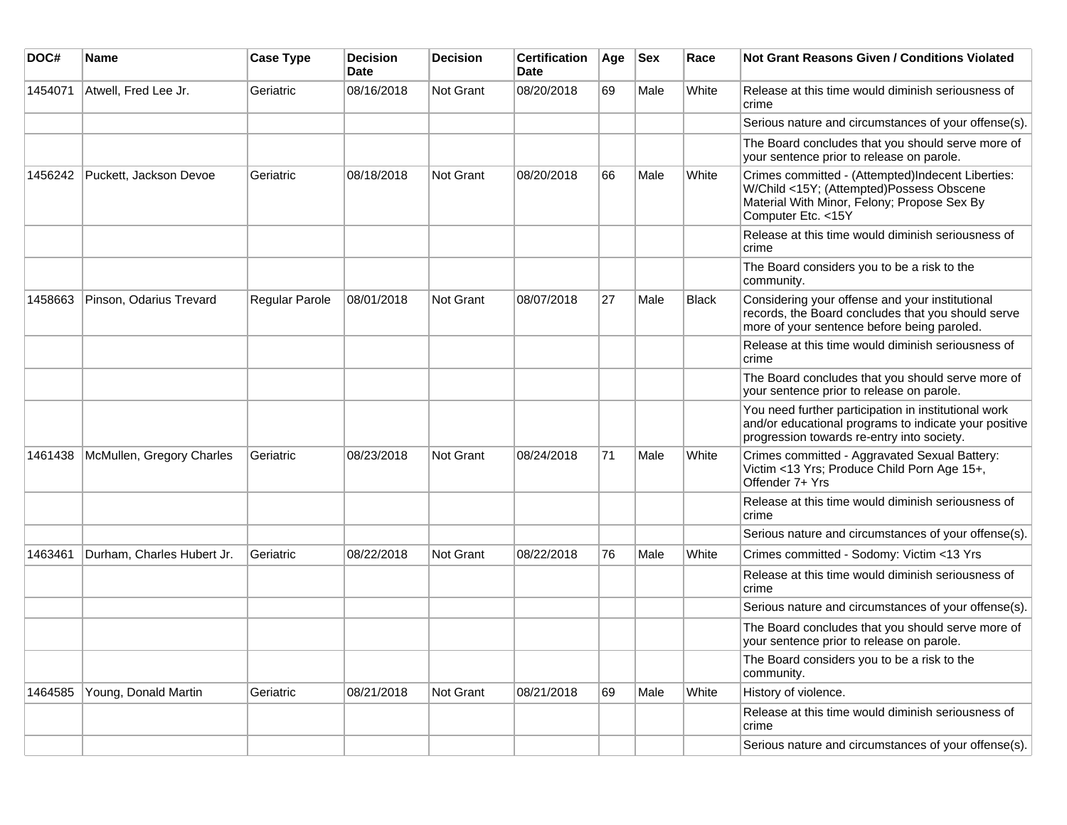| DOC#    | <b>Name</b>                | <b>Case Type</b> | <b>Decision</b><br><b>Date</b> | <b>Decision</b> | <b>Certification</b><br>Date | Age | <b>Sex</b> | Race  | <b>Not Grant Reasons Given / Conditions Violated</b>                                                                                                                |
|---------|----------------------------|------------------|--------------------------------|-----------------|------------------------------|-----|------------|-------|---------------------------------------------------------------------------------------------------------------------------------------------------------------------|
| 1454071 | Atwell, Fred Lee Jr.       | Geriatric        | 08/16/2018                     | Not Grant       | 08/20/2018                   | 69  | Male       | White | Release at this time would diminish seriousness of<br>crime                                                                                                         |
|         |                            |                  |                                |                 |                              |     |            |       | Serious nature and circumstances of your offense(s).                                                                                                                |
|         |                            |                  |                                |                 |                              |     |            |       | The Board concludes that you should serve more of<br>your sentence prior to release on parole.                                                                      |
| 1456242 | Puckett, Jackson Devoe     | Geriatric        | 08/18/2018                     | Not Grant       | 08/20/2018                   | 66  | Male       | White | Crimes committed - (Attempted)Indecent Liberties:<br>W/Child <15Y; (Attempted)Possess Obscene<br>Material With Minor, Felony; Propose Sex By<br>Computer Etc. < 15Y |
|         |                            |                  |                                |                 |                              |     |            |       | Release at this time would diminish seriousness of<br>crime                                                                                                         |
|         |                            |                  |                                |                 |                              |     |            |       | The Board considers you to be a risk to the<br>community.                                                                                                           |
| 1458663 | Pinson, Odarius Trevard    | Regular Parole   | 08/01/2018                     | Not Grant       | 08/07/2018                   | 27  | Male       | Black | Considering your offense and your institutional<br>records, the Board concludes that you should serve<br>more of your sentence before being paroled.                |
|         |                            |                  |                                |                 |                              |     |            |       | Release at this time would diminish seriousness of<br>crime                                                                                                         |
|         |                            |                  |                                |                 |                              |     |            |       | The Board concludes that you should serve more of<br>your sentence prior to release on parole.                                                                      |
|         |                            |                  |                                |                 |                              |     |            |       | You need further participation in institutional work<br>and/or educational programs to indicate your positive<br>progression towards re-entry into society.         |
| 1461438 | McMullen, Gregory Charles  | Geriatric        | 08/23/2018                     | Not Grant       | 08/24/2018                   | 71  | Male       | White | Crimes committed - Aggravated Sexual Battery:<br>Victim <13 Yrs; Produce Child Porn Age 15+,<br>Offender 7+ Yrs                                                     |
|         |                            |                  |                                |                 |                              |     |            |       | Release at this time would diminish seriousness of<br>crime                                                                                                         |
|         |                            |                  |                                |                 |                              |     |            |       | Serious nature and circumstances of your offense(s).                                                                                                                |
| 1463461 | Durham, Charles Hubert Jr. | Geriatric        | 08/22/2018                     | Not Grant       | 08/22/2018                   | 76  | Male       | White | Crimes committed - Sodomy: Victim <13 Yrs                                                                                                                           |
|         |                            |                  |                                |                 |                              |     |            |       | Release at this time would diminish seriousness of<br>crime                                                                                                         |
|         |                            |                  |                                |                 |                              |     |            |       | Serious nature and circumstances of your offense(s).                                                                                                                |
|         |                            |                  |                                |                 |                              |     |            |       | The Board concludes that you should serve more of<br>your sentence prior to release on parole.                                                                      |
|         |                            |                  |                                |                 |                              |     |            |       | The Board considers you to be a risk to the<br>community.                                                                                                           |
| 1464585 | Young, Donald Martin       | Geriatric        | 08/21/2018                     | Not Grant       | 08/21/2018                   | 69  | Male       | White | History of violence.                                                                                                                                                |
|         |                            |                  |                                |                 |                              |     |            |       | Release at this time would diminish seriousness of<br>crime                                                                                                         |
|         |                            |                  |                                |                 |                              |     |            |       | Serious nature and circumstances of your offense(s).                                                                                                                |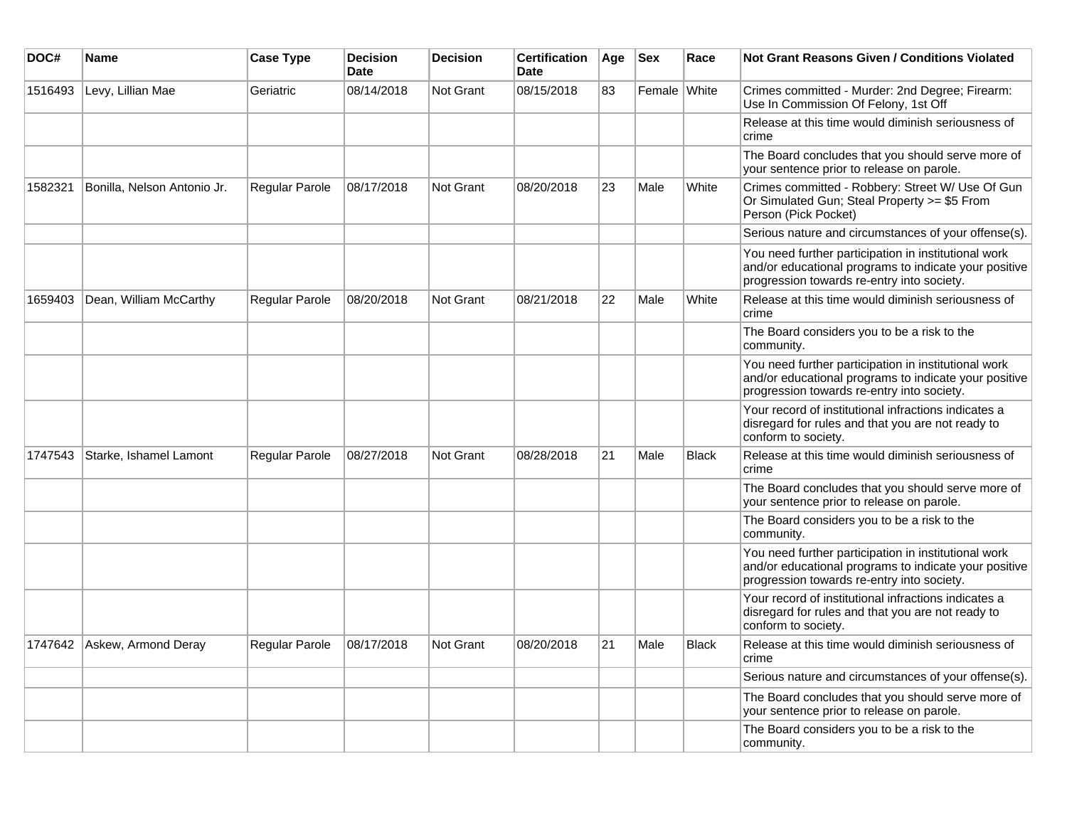| DOC#    | <b>Name</b>                 | <b>Case Type</b> | <b>Decision</b><br><b>Date</b> | <b>Decision</b>  | <b>Certification</b><br><b>Date</b> | Age | <b>Sex</b>   | Race         | <b>Not Grant Reasons Given / Conditions Violated</b>                                                                                                        |
|---------|-----------------------------|------------------|--------------------------------|------------------|-------------------------------------|-----|--------------|--------------|-------------------------------------------------------------------------------------------------------------------------------------------------------------|
| 1516493 | Levy, Lillian Mae           | Geriatric        | 08/14/2018                     | Not Grant        | 08/15/2018                          | 83  | Female White |              | Crimes committed - Murder: 2nd Degree; Firearm:<br>Use In Commission Of Felony, 1st Off                                                                     |
|         |                             |                  |                                |                  |                                     |     |              |              | Release at this time would diminish seriousness of<br>crime                                                                                                 |
|         |                             |                  |                                |                  |                                     |     |              |              | The Board concludes that you should serve more of<br>your sentence prior to release on parole.                                                              |
| 1582321 | Bonilla, Nelson Antonio Jr. | Regular Parole   | 08/17/2018                     | <b>Not Grant</b> | 08/20/2018                          | 23  | Male         | White        | Crimes committed - Robbery: Street W/ Use Of Gun<br>Or Simulated Gun; Steal Property >= \$5 From<br>Person (Pick Pocket)                                    |
|         |                             |                  |                                |                  |                                     |     |              |              | Serious nature and circumstances of your offense(s).                                                                                                        |
|         |                             |                  |                                |                  |                                     |     |              |              | You need further participation in institutional work<br>and/or educational programs to indicate your positive<br>progression towards re-entry into society. |
| 1659403 | Dean, William McCarthy      | Regular Parole   | 08/20/2018                     | <b>Not Grant</b> | 08/21/2018                          | 22  | Male         | White        | Release at this time would diminish seriousness of<br>crime                                                                                                 |
|         |                             |                  |                                |                  |                                     |     |              |              | The Board considers you to be a risk to the<br>community.                                                                                                   |
|         |                             |                  |                                |                  |                                     |     |              |              | You need further participation in institutional work<br>and/or educational programs to indicate your positive<br>progression towards re-entry into society. |
|         |                             |                  |                                |                  |                                     |     |              |              | Your record of institutional infractions indicates a<br>disregard for rules and that you are not ready to<br>conform to society.                            |
| 1747543 | Starke, Ishamel Lamont      | Regular Parole   | 08/27/2018                     | <b>Not Grant</b> | 08/28/2018                          | 21  | Male         | Black        | Release at this time would diminish seriousness of<br>crime                                                                                                 |
|         |                             |                  |                                |                  |                                     |     |              |              | The Board concludes that you should serve more of<br>your sentence prior to release on parole.                                                              |
|         |                             |                  |                                |                  |                                     |     |              |              | The Board considers you to be a risk to the<br>community.                                                                                                   |
|         |                             |                  |                                |                  |                                     |     |              |              | You need further participation in institutional work<br>and/or educational programs to indicate your positive<br>progression towards re-entry into society. |
|         |                             |                  |                                |                  |                                     |     |              |              | Your record of institutional infractions indicates a<br>disregard for rules and that you are not ready to<br>conform to society.                            |
| 1747642 | Askew, Armond Deray         | Regular Parole   | 08/17/2018                     | <b>Not Grant</b> | 08/20/2018                          | 21  | Male         | <b>Black</b> | Release at this time would diminish seriousness of<br>crime                                                                                                 |
|         |                             |                  |                                |                  |                                     |     |              |              | Serious nature and circumstances of your offense(s).                                                                                                        |
|         |                             |                  |                                |                  |                                     |     |              |              | The Board concludes that you should serve more of<br>your sentence prior to release on parole.                                                              |
|         |                             |                  |                                |                  |                                     |     |              |              | The Board considers you to be a risk to the<br>community.                                                                                                   |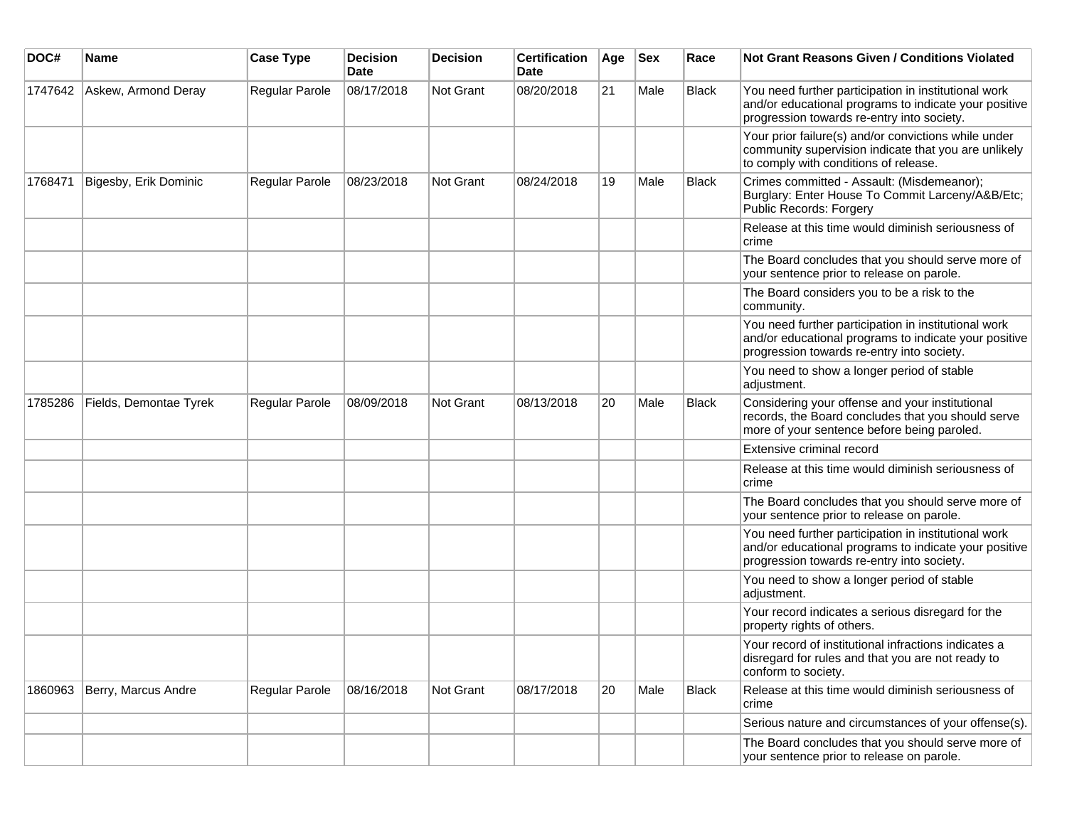| DOC#    | <b>Name</b>            | <b>Case Type</b>      | <b>Decision</b><br><b>Date</b> | <b>Decision</b> | <b>Certification</b><br>Date | Age | <b>Sex</b> | Race         | Not Grant Reasons Given / Conditions Violated                                                                                                               |
|---------|------------------------|-----------------------|--------------------------------|-----------------|------------------------------|-----|------------|--------------|-------------------------------------------------------------------------------------------------------------------------------------------------------------|
| 1747642 | Askew, Armond Deray    | Regular Parole        | 08/17/2018                     | Not Grant       | 08/20/2018                   | 21  | Male       | Black        | You need further participation in institutional work<br>and/or educational programs to indicate your positive<br>progression towards re-entry into society. |
|         |                        |                       |                                |                 |                              |     |            |              | Your prior failure(s) and/or convictions while under<br>community supervision indicate that you are unlikely<br>to comply with conditions of release.       |
| 1768471 | Bigesby, Erik Dominic  | <b>Regular Parole</b> | 08/23/2018                     | Not Grant       | 08/24/2018                   | 19  | Male       | <b>Black</b> | Crimes committed - Assault: (Misdemeanor);<br>Burglary: Enter House To Commit Larceny/A&B/Etc;<br>Public Records: Forgery                                   |
|         |                        |                       |                                |                 |                              |     |            |              | Release at this time would diminish seriousness of<br>crime                                                                                                 |
|         |                        |                       |                                |                 |                              |     |            |              | The Board concludes that you should serve more of<br>your sentence prior to release on parole.                                                              |
|         |                        |                       |                                |                 |                              |     |            |              | The Board considers you to be a risk to the<br>community.                                                                                                   |
|         |                        |                       |                                |                 |                              |     |            |              | You need further participation in institutional work<br>and/or educational programs to indicate your positive<br>progression towards re-entry into society. |
|         |                        |                       |                                |                 |                              |     |            |              | You need to show a longer period of stable<br>adjustment.                                                                                                   |
| 1785286 | Fields, Demontae Tyrek | Regular Parole        | 08/09/2018                     | Not Grant       | 08/13/2018                   | 20  | Male       | Black        | Considering your offense and your institutional<br>records, the Board concludes that you should serve<br>more of your sentence before being paroled.        |
|         |                        |                       |                                |                 |                              |     |            |              | Extensive criminal record                                                                                                                                   |
|         |                        |                       |                                |                 |                              |     |            |              | Release at this time would diminish seriousness of<br>crime                                                                                                 |
|         |                        |                       |                                |                 |                              |     |            |              | The Board concludes that you should serve more of<br>your sentence prior to release on parole.                                                              |
|         |                        |                       |                                |                 |                              |     |            |              | You need further participation in institutional work<br>and/or educational programs to indicate your positive<br>progression towards re-entry into society. |
|         |                        |                       |                                |                 |                              |     |            |              | You need to show a longer period of stable<br>adjustment.                                                                                                   |
|         |                        |                       |                                |                 |                              |     |            |              | Your record indicates a serious disregard for the<br>property rights of others.                                                                             |
|         |                        |                       |                                |                 |                              |     |            |              | Your record of institutional infractions indicates a<br>disregard for rules and that you are not ready to<br>conform to society.                            |
| 1860963 | Berry, Marcus Andre    | Regular Parole        | 08/16/2018                     | Not Grant       | 08/17/2018                   | 20  | Male       | <b>Black</b> | Release at this time would diminish seriousness of<br>crime                                                                                                 |
|         |                        |                       |                                |                 |                              |     |            |              | Serious nature and circumstances of your offense(s).                                                                                                        |
|         |                        |                       |                                |                 |                              |     |            |              | The Board concludes that you should serve more of<br>your sentence prior to release on parole.                                                              |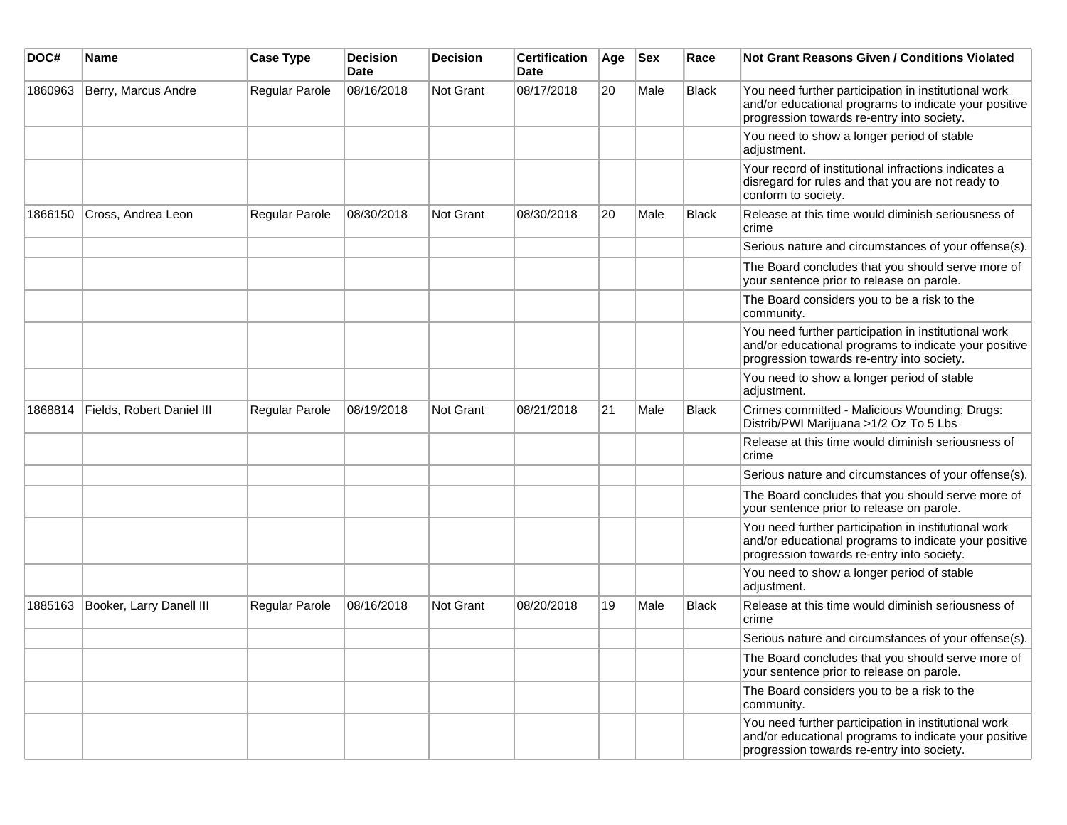| DOC#    | <b>Name</b>               | <b>Case Type</b>      | <b>Decision</b><br><b>Date</b> | <b>Decision</b> | <b>Certification</b><br>Date | Age | <b>Sex</b> | Race         | <b>Not Grant Reasons Given / Conditions Violated</b>                                                                                                        |
|---------|---------------------------|-----------------------|--------------------------------|-----------------|------------------------------|-----|------------|--------------|-------------------------------------------------------------------------------------------------------------------------------------------------------------|
| 1860963 | Berry, Marcus Andre       | Regular Parole        | 08/16/2018                     | Not Grant       | 08/17/2018                   | 20  | Male       | Black        | You need further participation in institutional work<br>and/or educational programs to indicate your positive<br>progression towards re-entry into society. |
|         |                           |                       |                                |                 |                              |     |            |              | You need to show a longer period of stable<br>adjustment.                                                                                                   |
|         |                           |                       |                                |                 |                              |     |            |              | Your record of institutional infractions indicates a<br>disregard for rules and that you are not ready to<br>conform to society.                            |
| 1866150 | Cross, Andrea Leon        | <b>Regular Parole</b> | 08/30/2018                     | Not Grant       | 08/30/2018                   | 20  | Male       | <b>Black</b> | Release at this time would diminish seriousness of<br>crime                                                                                                 |
|         |                           |                       |                                |                 |                              |     |            |              | Serious nature and circumstances of your offense(s).                                                                                                        |
|         |                           |                       |                                |                 |                              |     |            |              | The Board concludes that you should serve more of<br>your sentence prior to release on parole.                                                              |
|         |                           |                       |                                |                 |                              |     |            |              | The Board considers you to be a risk to the<br>community.                                                                                                   |
|         |                           |                       |                                |                 |                              |     |            |              | You need further participation in institutional work<br>and/or educational programs to indicate your positive<br>progression towards re-entry into society. |
|         |                           |                       |                                |                 |                              |     |            |              | You need to show a longer period of stable<br>adjustment.                                                                                                   |
| 1868814 | Fields, Robert Daniel III | Regular Parole        | 08/19/2018                     | Not Grant       | 08/21/2018                   | 21  | Male       | <b>Black</b> | Crimes committed - Malicious Wounding; Drugs:<br>Distrib/PWI Marijuana >1/2 Oz To 5 Lbs                                                                     |
|         |                           |                       |                                |                 |                              |     |            |              | Release at this time would diminish seriousness of<br>crime                                                                                                 |
|         |                           |                       |                                |                 |                              |     |            |              | Serious nature and circumstances of your offense(s).                                                                                                        |
|         |                           |                       |                                |                 |                              |     |            |              | The Board concludes that you should serve more of<br>your sentence prior to release on parole.                                                              |
|         |                           |                       |                                |                 |                              |     |            |              | You need further participation in institutional work<br>and/or educational programs to indicate your positive<br>progression towards re-entry into society. |
|         |                           |                       |                                |                 |                              |     |            |              | You need to show a longer period of stable<br>adjustment.                                                                                                   |
| 1885163 | Booker, Larry Danell III  | Regular Parole        | 08/16/2018                     | Not Grant       | 08/20/2018                   | 19  | Male       | <b>Black</b> | Release at this time would diminish seriousness of<br>crime                                                                                                 |
|         |                           |                       |                                |                 |                              |     |            |              | Serious nature and circumstances of your offense(s).                                                                                                        |
|         |                           |                       |                                |                 |                              |     |            |              | The Board concludes that you should serve more of<br>your sentence prior to release on parole.                                                              |
|         |                           |                       |                                |                 |                              |     |            |              | The Board considers you to be a risk to the<br>community.                                                                                                   |
|         |                           |                       |                                |                 |                              |     |            |              | You need further participation in institutional work<br>and/or educational programs to indicate your positive<br>progression towards re-entry into society. |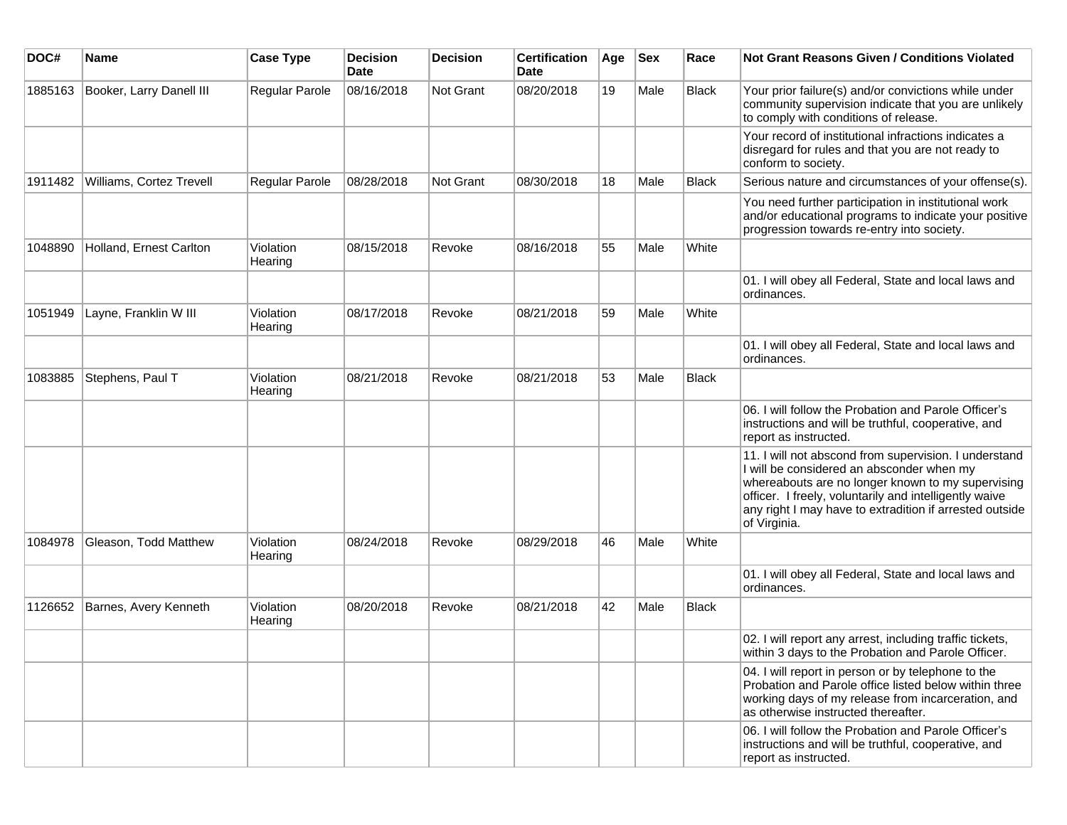| DOC#    | Name                     | <b>Case Type</b>      | <b>Decision</b><br>Date | <b>Decision</b>  | <b>Certification</b><br>Date | Age | <b>Sex</b> | Race         | <b>Not Grant Reasons Given / Conditions Violated</b>                                                                                                                                                                                                                                         |
|---------|--------------------------|-----------------------|-------------------------|------------------|------------------------------|-----|------------|--------------|----------------------------------------------------------------------------------------------------------------------------------------------------------------------------------------------------------------------------------------------------------------------------------------------|
| 1885163 | Booker, Larry Danell III | Regular Parole        | 08/16/2018              | Not Grant        | 08/20/2018                   | 19  | Male       | Black        | Your prior failure(s) and/or convictions while under<br>community supervision indicate that you are unlikely<br>to comply with conditions of release.                                                                                                                                        |
|         |                          |                       |                         |                  |                              |     |            |              | Your record of institutional infractions indicates a<br>disregard for rules and that you are not ready to<br>conform to society.                                                                                                                                                             |
| 1911482 | Williams, Cortez Trevell | <b>Regular Parole</b> | 08/28/2018              | <b>Not Grant</b> | 08/30/2018                   | 18  | Male       | Black        | Serious nature and circumstances of your offense(s).                                                                                                                                                                                                                                         |
|         |                          |                       |                         |                  |                              |     |            |              | You need further participation in institutional work<br>and/or educational programs to indicate your positive<br>progression towards re-entry into society.                                                                                                                                  |
| 1048890 | Holland, Ernest Carlton  | Violation<br>Hearing  | 08/15/2018              | Revoke           | 08/16/2018                   | 55  | Male       | White        |                                                                                                                                                                                                                                                                                              |
|         |                          |                       |                         |                  |                              |     |            |              | 01. I will obey all Federal, State and local laws and<br>ordinances.                                                                                                                                                                                                                         |
| 1051949 | Layne, Franklin W III    | Violation<br>Hearing  | 08/17/2018              | Revoke           | 08/21/2018                   | 59  | Male       | White        |                                                                                                                                                                                                                                                                                              |
|         |                          |                       |                         |                  |                              |     |            |              | 01. I will obey all Federal, State and local laws and<br>ordinances.                                                                                                                                                                                                                         |
| 1083885 | Stephens, Paul T         | Violation<br>Hearing  | 08/21/2018              | Revoke           | 08/21/2018                   | 53  | Male       | <b>Black</b> |                                                                                                                                                                                                                                                                                              |
|         |                          |                       |                         |                  |                              |     |            |              | 06. I will follow the Probation and Parole Officer's<br>instructions and will be truthful, cooperative, and<br>report as instructed.                                                                                                                                                         |
|         |                          |                       |                         |                  |                              |     |            |              | 11. I will not abscond from supervision. I understand<br>I will be considered an absconder when my<br>whereabouts are no longer known to my supervising<br>officer. I freely, voluntarily and intelligently waive<br>any right I may have to extradition if arrested outside<br>of Virginia. |
| 1084978 | Gleason, Todd Matthew    | Violation<br>Hearing  | 08/24/2018              | Revoke           | 08/29/2018                   | 46  | Male       | White        |                                                                                                                                                                                                                                                                                              |
|         |                          |                       |                         |                  |                              |     |            |              | 01. I will obey all Federal, State and local laws and<br>ordinances.                                                                                                                                                                                                                         |
| 1126652 | Barnes, Avery Kenneth    | Violation<br>Hearing  | 08/20/2018              | Revoke           | 08/21/2018                   | 42  | Male       | Black        |                                                                                                                                                                                                                                                                                              |
|         |                          |                       |                         |                  |                              |     |            |              | 02. I will report any arrest, including traffic tickets,<br>within 3 days to the Probation and Parole Officer.                                                                                                                                                                               |
|         |                          |                       |                         |                  |                              |     |            |              | 04. I will report in person or by telephone to the<br>Probation and Parole office listed below within three<br>working days of my release from incarceration, and<br>as otherwise instructed thereafter.                                                                                     |
|         |                          |                       |                         |                  |                              |     |            |              | 06. I will follow the Probation and Parole Officer's<br>instructions and will be truthful, cooperative, and<br>report as instructed.                                                                                                                                                         |